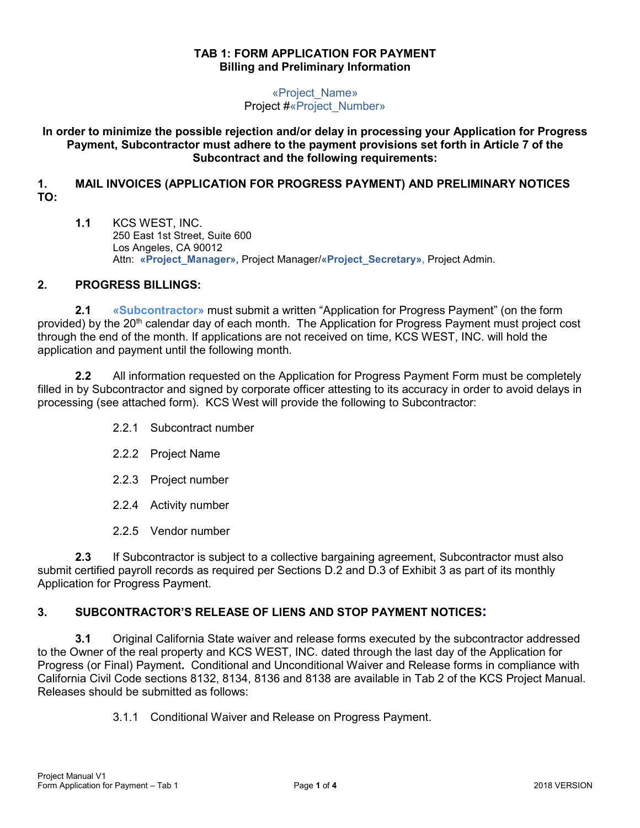#### **TAB 1: FORM APPLICATION FOR PAYMENT Billing and Preliminary Information**

«Project\_Name» Project #«Project\_Number»

**In order to minimize the possible rejection and/or delay in processing your Application for Progress Payment, Subcontractor must adhere to the payment provisions set forth in Article 7 of the Subcontract and the following requirements:** 

### **1. MAIL INVOICES (APPLICATION FOR PROGRESS PAYMENT) AND PRELIMINARY NOTICES TO:**

**1.1** KCS WEST, INC. 250 East 1st Street, Suite 600 Los Angeles, CA 90012 Attn: **«Project\_Manager»**, Project Manager/**«Project\_Secretary»,** Project Admin.

## **2. PROGRESS BILLINGS:**

**2.1 «Subcontractor»** must submit a written "Application for Progress Payment" (on the form provided) by the 20<sup>th</sup> calendar day of each month. The Application for Progress Payment must project cost through the end of the month. If applications are not received on time, KCS WEST, INC. will hold the application and payment until the following month.

**2.2** All information requested on the Application for Progress Payment Form must be completely filled in by Subcontractor and signed by corporate officer attesting to its accuracy in order to avoid delays in processing (see attached form). KCS West will provide the following to Subcontractor:

- 2.2.1 Subcontract number
- 2.2.2 Project Name
- 2.2.3 Project number
- 2.2.4 Activity number
- 2.2.5 Vendor number

**2.3** If Subcontractor is subject to a collective bargaining agreement, Subcontractor must also submit certified payroll records as required per Sections D.2 and D.3 of Exhibit 3 as part of its monthly Application for Progress Payment.

## **3. SUBCONTRACTOR'S RELEASE OF LIENS AND STOP PAYMENT NOTICES:**

**3.1** Original California State waiver and release forms executed by the subcontractor addressed to the Owner of the real property and KCS WEST, INC. dated through the last day of the Application for Progress (or Final) Payment**.** Conditional and Unconditional Waiver and Release forms in compliance with California Civil Code sections 8132, 8134, 8136 and 8138 are available in Tab 2 of the KCS Project Manual. Releases should be submitted as follows:

3.1.1 Conditional Waiver and Release on Progress Payment.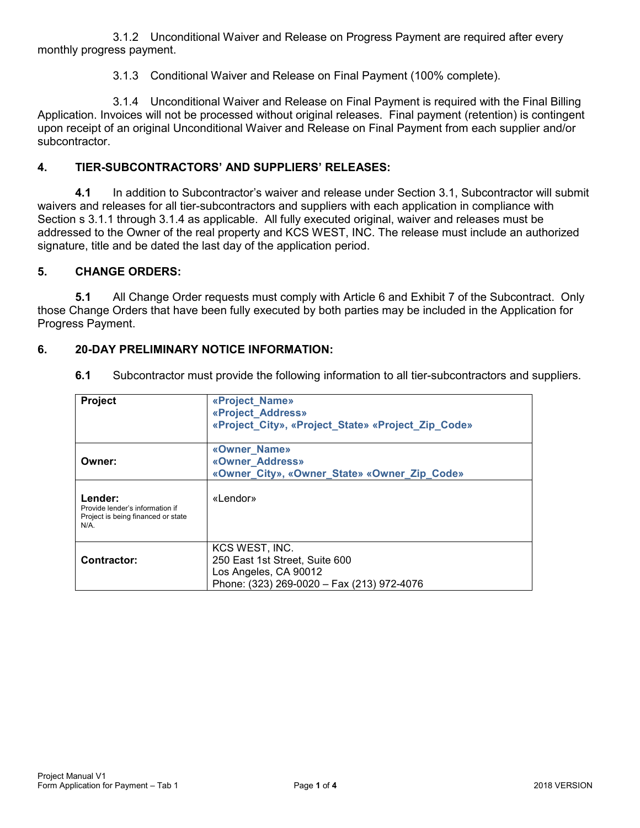3.1.2 Unconditional Waiver and Release on Progress Payment are required after every monthly progress payment.

3.1.3 Conditional Waiver and Release on Final Payment (100% complete).

3.1.4 Unconditional Waiver and Release on Final Payment is required with the Final Billing Application. Invoices will not be processed without original releases. Final payment (retention) is contingent upon receipt of an original Unconditional Waiver and Release on Final Payment from each supplier and/or subcontractor.

### **4. TIER-SUBCONTRACTORS' AND SUPPLIERS' RELEASES:**

**4.1** In addition to Subcontractor's waiver and release under Section 3.1, Subcontractor will submit waivers and releases for all tier-subcontractors and suppliers with each application in compliance with Section s 3.1.1 through 3.1.4 as applicable. All fully executed original, waiver and releases must be addressed to the Owner of the real property and KCS WEST, INC. The release must include an authorized signature, title and be dated the last day of the application period.

#### **5. CHANGE ORDERS:**

**5.1** All Change Order requests must comply with Article 6 and Exhibit 7 of the Subcontract. Only those Change Orders that have been fully executed by both parties may be included in the Application for Progress Payment.

#### **6. 20-DAY PRELIMINARY NOTICE INFORMATION:**

| Project                                                                                     | «Project_Name»<br>«Project Address»<br>«Project_City», «Project_State» «Project_Zip_Code»                               |
|---------------------------------------------------------------------------------------------|-------------------------------------------------------------------------------------------------------------------------|
| Owner:                                                                                      | «Owner Name»<br>«Owner Address»<br>«Owner City», «Owner State» «Owner Zip Code»                                         |
| Lender:<br>Provide lender's information if<br>Project is being financed or state<br>$N/A$ . | «Lendor»                                                                                                                |
| Contractor:                                                                                 | KCS WEST, INC.<br>250 East 1st Street, Suite 600<br>Los Angeles, CA 90012<br>Phone: (323) 269-0020 - Fax (213) 972-4076 |

**6.1** Subcontractor must provide the following information to all tier-subcontractors and suppliers.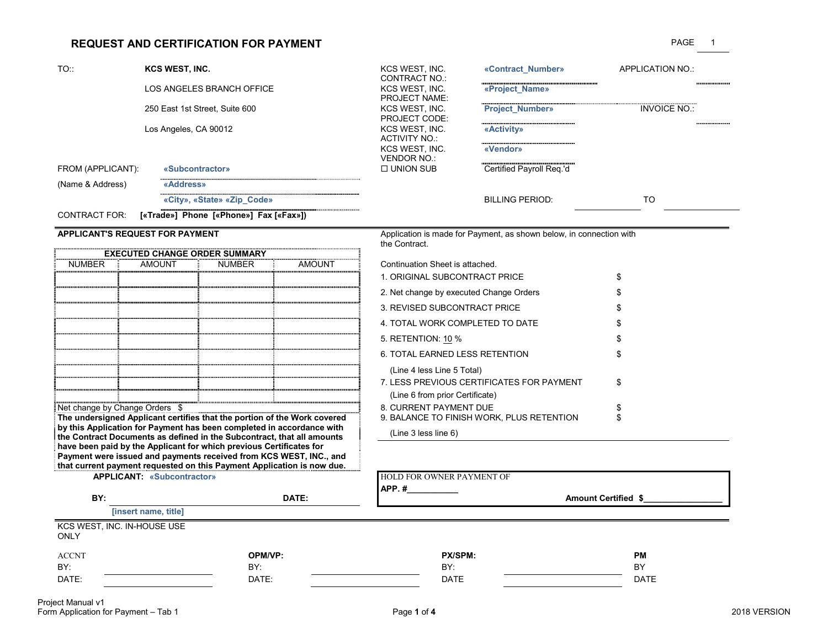#### **REQUEST AND CERTIFICATION FOR PAYMENT** PAGE

| TO::                 | <b>KCS WEST. INC.</b>                  | KCS WEST. INC.       | «Contract Number»        | APPLICATION NO.:    |
|----------------------|----------------------------------------|----------------------|--------------------------|---------------------|
|                      |                                        | CONTRACT NO.:        |                          |                     |
|                      | LOS ANGELES BRANCH OFFICE              | KCS WEST. INC.       | «Project Name»           |                     |
|                      |                                        | <b>PROJECT NAME:</b> |                          |                     |
|                      | 250 East 1st Street, Suite 600         | KCS WEST. INC.       | <b>Project Number»</b>   | <b>INVOICE NO.:</b> |
|                      |                                        | <b>PROJECT CODE:</b> |                          |                     |
|                      | Los Angeles, CA 90012                  | KCS WEST. INC.       | «Activity»               |                     |
|                      |                                        | ACTIVITY NO.:        |                          |                     |
|                      |                                        | KCS WEST. INC.       | «Vendor»                 |                     |
|                      |                                        | VENDOR NO.:          |                          |                     |
| FROM (APPLICANT):    | «Subcontractor»                        | $\Box$ UNION SUB     | Certified Payroll Reg.'d |                     |
| (Name & Address)     | «Address»                              |                      |                          |                     |
|                      | «City», «State» «Zip Code»             |                      | <b>BILLING PERIOD:</b>   | TO                  |
| <b>CONTRACT FOR:</b> | [«Trade»] Phone [«Phone»] Fax [«Fax»]) |                      |                          |                     |

|                             | <b>EXECUTED CHANGE ORDER SUMMARY</b> |        |        |                                 |
|-----------------------------|--------------------------------------|--------|--------|---------------------------------|
| NUMBER                      | AMOUNT                               | NUMBER | AMOUNT | Continuation Sheet is attached. |
|                             |                                      |        |        | 1. ORIGINAL SUBCONTRACT         |
|                             |                                      |        |        | 2. Net change by executed Cha   |
|                             |                                      |        |        | 3. REVISED SUBCONTRACT F        |
|                             |                                      |        |        | 4. TOTAL WORK COMPLETED         |
|                             |                                      |        |        | 5. RETENTION: 10 %              |
|                             |                                      |        |        | 6. TOTAL EARNED LESS RETI       |
|                             |                                      |        |        | (Line 4 less Line 5 Total)      |
|                             |                                      |        |        | 7. LESS PREVIOUS CERTIFIC.      |
|                             |                                      |        |        | (Line 6 from prior Certificate) |
| Net change by Change Orders |                                      |        |        | 8. CURRENT PAYMENT DUE          |

Net change by Change Orders \$<br>The undersigned Applicant certifies that the portion of the Work covered 5. BALANCE TO FINISH WOR<br>by this Application for Payment has been completed in accordance with<br>the Contract Documents a

**APPLICANT'S REQUEST FOR PAYMENT Application is made for Payment, as shown below, in connection with** the Contract.

| Continuation Sheet is attached            |     |
|-------------------------------------------|-----|
| 1. ORIGINAL SUBCONTRACT PRICE             | \$  |
| 2. Net change by executed Change Orders   | S   |
| 3. REVISED SUBCONTRACT PRICE              | \$  |
| 4. TOTAL WORK COMPLETED TO DATE           | \$  |
| 5. RETENTION: 10 %                        | S   |
| 6 TOTAL FARNED LESS RETENTION             | \$. |
| (Line 4 less Line 5 Total)                |     |
| 7. LESS PREVIOUS CERTIFICATES FOR PAYMENT | \$. |
| (Line 6 from prior Certificate)           |     |
| 8. CURRENT PAYMENT DUE                    | \$  |
| 9. BALANCE TO FINISH WORK, PLUS RETENTION | \$. |
| (Line 3 less line 6)                      |     |

have been paid by the Applicant for which previous Certificates for<br>
Payment were issued and payments received from KCS WEST, INC., and<br>
that current payment requested on this Payment Application is now due.<br>APPLICANT: «Su **APP. #\_\_\_\_\_\_\_\_\_\_\_BY: DATE: Amount Certified \$\_\_\_\_\_\_\_\_\_\_\_\_\_\_\_\_\_ [insert name, title]** KCS WEST, INC. IN-HOUSE USE **ONLY** ACCNT **OPM/VP: PX/SPM: PM** BY: BY: BY: BY

DATE: DATE: DATE DATE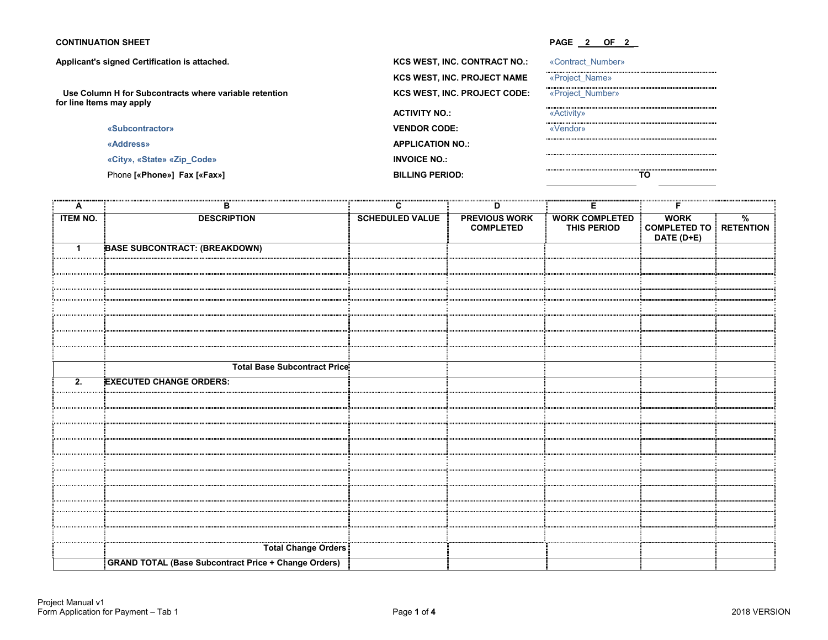#### Applicant's signed Certification is attached. **All and Servers Account CONTRACT WAS WEST,**  $KCS WEST$ ,

 **Use Column H for Subcontracts where variable retention for line Items may apply**

| «Subcontractor» |  |
|-----------------|--|
|-----------------|--|

#### **CONTINUATION SHEET** PAGE 2 OF 2

| signed Certification is attached.              | <b>KCS WEST, INC. CONTRACT NO.:</b> | «Contract Number» |
|------------------------------------------------|-------------------------------------|-------------------|
|                                                | <b>KCS WEST, INC. PROJECT NAME</b>  | «Project Name»    |
| nn H for Subcontracts where variable retention | <b>KCS WEST, INC. PROJECT CODE:</b> | «Project Number»  |
| s may apply                                    | <b>ACTIVITY NO.:</b>                | «Activity»        |
| «Subcontractor»                                | <b>VENDOR CODE:</b>                 | «Vendor»          |
| «Address»                                      | <b>APPLICATION NO.:</b>             |                   |
| «City», «State» «Zip Code»                     | <b>INVOICE NO.:</b>                 |                   |
| Phone [«Phone»] Fax [«Fax»]                    | <b>BILLING PERIOD:</b>              | ТΟ                |

| A                | в                                                           | C                      | D                                        | Е                                    | F                                                   |               |
|------------------|-------------------------------------------------------------|------------------------|------------------------------------------|--------------------------------------|-----------------------------------------------------|---------------|
| <b>ITEM NO.</b>  | <b>DESCRIPTION</b>                                          | <b>SCHEDULED VALUE</b> | <b>PREVIOUS WORK</b><br><b>COMPLETED</b> | <b>WORK COMPLETED</b><br>THIS PERIOD | <b>WORK</b><br>COMPLETED TO RETENTION<br>DATE (D+E) | $\frac{9}{6}$ |
| $\mathbf{1}$     | <b>BASE SUBCONTRACT: (BREAKDOWN)</b>                        |                        |                                          |                                      |                                                     |               |
|                  |                                                             |                        |                                          |                                      |                                                     |               |
|                  |                                                             |                        |                                          |                                      |                                                     |               |
|                  |                                                             |                        |                                          |                                      |                                                     |               |
|                  |                                                             |                        |                                          |                                      |                                                     |               |
|                  |                                                             |                        |                                          |                                      |                                                     |               |
|                  |                                                             |                        |                                          |                                      |                                                     |               |
|                  |                                                             |                        |                                          |                                      |                                                     |               |
|                  | <b>Total Base Subcontract Price</b>                         |                        |                                          |                                      |                                                     |               |
| $\overline{2}$ . | <b>EXECUTED CHANGE ORDERS:</b>                              |                        |                                          |                                      |                                                     |               |
|                  |                                                             |                        |                                          |                                      |                                                     |               |
|                  |                                                             |                        |                                          |                                      |                                                     |               |
|                  |                                                             |                        |                                          |                                      |                                                     |               |
|                  |                                                             |                        |                                          |                                      |                                                     |               |
|                  |                                                             |                        |                                          |                                      |                                                     |               |
|                  |                                                             |                        |                                          |                                      |                                                     |               |
|                  |                                                             |                        |                                          |                                      |                                                     |               |
|                  |                                                             |                        |                                          |                                      |                                                     |               |
|                  |                                                             |                        |                                          |                                      |                                                     |               |
|                  |                                                             |                        |                                          |                                      |                                                     |               |
|                  | Total Change Orders                                         |                        |                                          |                                      |                                                     |               |
|                  | <b>GRAND TOTAL (Base Subcontract Price + Change Orders)</b> |                        |                                          |                                      |                                                     |               |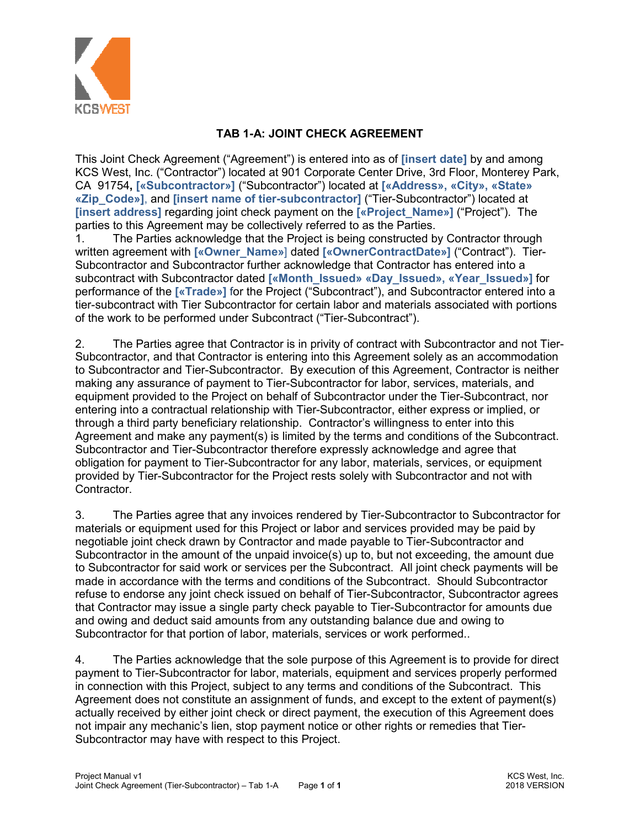

# **TAB 1-A: JOINT CHECK AGREEMENT**

This Joint Check Agreement ("Agreement") is entered into as of **[insert date]** by and among KCS West, Inc. ("Contractor") located at 901 Corporate Center Drive, 3rd Floor, Monterey Park, CA 91754**, [«Subcontractor»]** ("Subcontractor") located at **[«Address», «City», «State» «Zip\_Code»]**, and **[insert name of tier-subcontractor]** ("Tier-Subcontractor") located at **[insert address]** regarding joint check payment on the **[«Project\_Name»]** ("Project"). The parties to this Agreement may be collectively referred to as the Parties.

1. The Parties acknowledge that the Project is being constructed by Contractor through written agreement with **[«Owner\_Name»**] dated **[«OwnerContractDate»]** ("Contract"). Tier-Subcontractor and Subcontractor further acknowledge that Contractor has entered into a subcontract with Subcontractor dated **[«Month\_Issued» «Day\_Issued», «Year\_Issued»]** for performance of the **[«Trade»]** for the Project ("Subcontract"), and Subcontractor entered into a tier-subcontract with Tier Subcontractor for certain labor and materials associated with portions of the work to be performed under Subcontract ("Tier-Subcontract").

2. The Parties agree that Contractor is in privity of contract with Subcontractor and not Tier-Subcontractor, and that Contractor is entering into this Agreement solely as an accommodation to Subcontractor and Tier-Subcontractor. By execution of this Agreement, Contractor is neither making any assurance of payment to Tier-Subcontractor for labor, services, materials, and equipment provided to the Project on behalf of Subcontractor under the Tier-Subcontract, nor entering into a contractual relationship with Tier-Subcontractor, either express or implied, or through a third party beneficiary relationship. Contractor's willingness to enter into this Agreement and make any payment(s) is limited by the terms and conditions of the Subcontract. Subcontractor and Tier-Subcontractor therefore expressly acknowledge and agree that obligation for payment to Tier-Subcontractor for any labor, materials, services, or equipment provided by Tier-Subcontractor for the Project rests solely with Subcontractor and not with Contractor.

3. The Parties agree that any invoices rendered by Tier-Subcontractor to Subcontractor for materials or equipment used for this Project or labor and services provided may be paid by negotiable joint check drawn by Contractor and made payable to Tier-Subcontractor and Subcontractor in the amount of the unpaid invoice(s) up to, but not exceeding, the amount due to Subcontractor for said work or services per the Subcontract. All joint check payments will be made in accordance with the terms and conditions of the Subcontract. Should Subcontractor refuse to endorse any joint check issued on behalf of Tier-Subcontractor, Subcontractor agrees that Contractor may issue a single party check payable to Tier-Subcontractor for amounts due and owing and deduct said amounts from any outstanding balance due and owing to Subcontractor for that portion of labor, materials, services or work performed..

4. The Parties acknowledge that the sole purpose of this Agreement is to provide for direct payment to Tier-Subcontractor for labor, materials, equipment and services properly performed in connection with this Project, subject to any terms and conditions of the Subcontract. This Agreement does not constitute an assignment of funds, and except to the extent of payment(s) actually received by either joint check or direct payment, the execution of this Agreement does not impair any mechanic's lien, stop payment notice or other rights or remedies that Tier-Subcontractor may have with respect to this Project.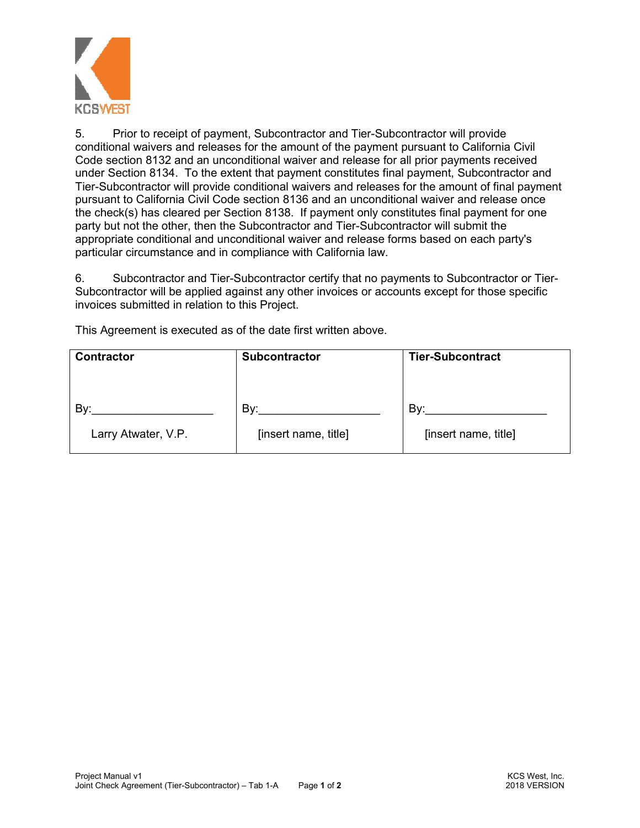

5. Prior to receipt of payment, Subcontractor and Tier-Subcontractor will provide conditional waivers and releases for the amount of the payment pursuant to California Civil Code section 8132 and an unconditional waiver and release for all prior payments received under Section 8134. To the extent that payment constitutes final payment, Subcontractor and Tier-Subcontractor will provide conditional waivers and releases for the amount of final payment pursuant to California Civil Code section 8136 and an unconditional waiver and release once the check(s) has cleared per Section 8138. If payment only constitutes final payment for one party but not the other, then the Subcontractor and Tier-Subcontractor will submit the appropriate conditional and unconditional waiver and release forms based on each party's particular circumstance and in compliance with California law.

6. Subcontractor and Tier-Subcontractor certify that no payments to Subcontractor or Tier-Subcontractor will be applied against any other invoices or accounts except for those specific invoices submitted in relation to this Project.

This Agreement is executed as of the date first written above.

| <b>Contractor</b>   | <b>Subcontractor</b> | <b>Tier-Subcontract</b> |
|---------------------|----------------------|-------------------------|
|                     |                      |                         |
| By:                 | By:                  | By:                     |
| Larry Atwater, V.P. | [insert name, title] | [insert name, title]    |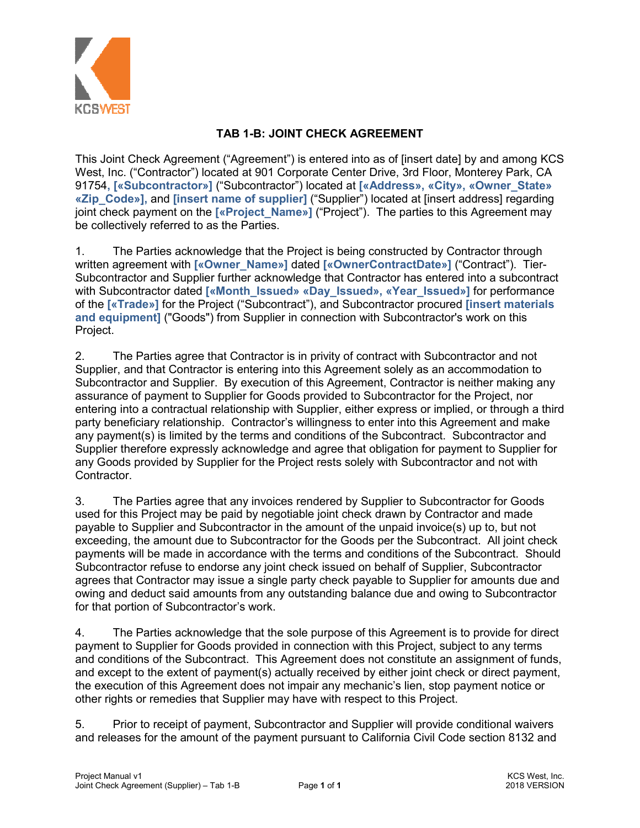

# **TAB 1-B: JOINT CHECK AGREEMENT**

This Joint Check Agreement ("Agreement") is entered into as of [insert date] by and among KCS West, Inc. ("Contractor") located at 901 Corporate Center Drive, 3rd Floor, Monterey Park, CA 91754**, [«Subcontractor»]** ("Subcontractor") located at **[«Address», «City», «Owner\_State» «Zip\_Code»],** and **[insert name of supplier]** ("Supplier") located at [insert address] regarding joint check payment on the **[«Project\_Name»]** ("Project"). The parties to this Agreement may be collectively referred to as the Parties.

1. The Parties acknowledge that the Project is being constructed by Contractor through written agreement with **[«Owner\_Name»]** dated **[«OwnerContractDate»]** ("Contract"). Tier-Subcontractor and Supplier further acknowledge that Contractor has entered into a subcontract with Subcontractor dated **[«Month\_Issued» «Day\_Issued», «Year\_Issued»**] for performance of the **[«Trade»]** for the Project ("Subcontract"), and Subcontractor procured **[insert materials and equipment]** ("Goods") from Supplier in connection with Subcontractor's work on this Project.

2. The Parties agree that Contractor is in privity of contract with Subcontractor and not Supplier, and that Contractor is entering into this Agreement solely as an accommodation to Subcontractor and Supplier. By execution of this Agreement, Contractor is neither making any assurance of payment to Supplier for Goods provided to Subcontractor for the Project, nor entering into a contractual relationship with Supplier, either express or implied, or through a third party beneficiary relationship. Contractor's willingness to enter into this Agreement and make any payment(s) is limited by the terms and conditions of the Subcontract. Subcontractor and Supplier therefore expressly acknowledge and agree that obligation for payment to Supplier for any Goods provided by Supplier for the Project rests solely with Subcontractor and not with Contractor.

3. The Parties agree that any invoices rendered by Supplier to Subcontractor for Goods used for this Project may be paid by negotiable joint check drawn by Contractor and made payable to Supplier and Subcontractor in the amount of the unpaid invoice(s) up to, but not exceeding, the amount due to Subcontractor for the Goods per the Subcontract. All joint check payments will be made in accordance with the terms and conditions of the Subcontract. Should Subcontractor refuse to endorse any joint check issued on behalf of Supplier, Subcontractor agrees that Contractor may issue a single party check payable to Supplier for amounts due and owing and deduct said amounts from any outstanding balance due and owing to Subcontractor for that portion of Subcontractor's work.

4. The Parties acknowledge that the sole purpose of this Agreement is to provide for direct payment to Supplier for Goods provided in connection with this Project, subject to any terms and conditions of the Subcontract. This Agreement does not constitute an assignment of funds, and except to the extent of payment(s) actually received by either joint check or direct payment, the execution of this Agreement does not impair any mechanic's lien, stop payment notice or other rights or remedies that Supplier may have with respect to this Project.

5. Prior to receipt of payment, Subcontractor and Supplier will provide conditional waivers and releases for the amount of the payment pursuant to California Civil Code section 8132 and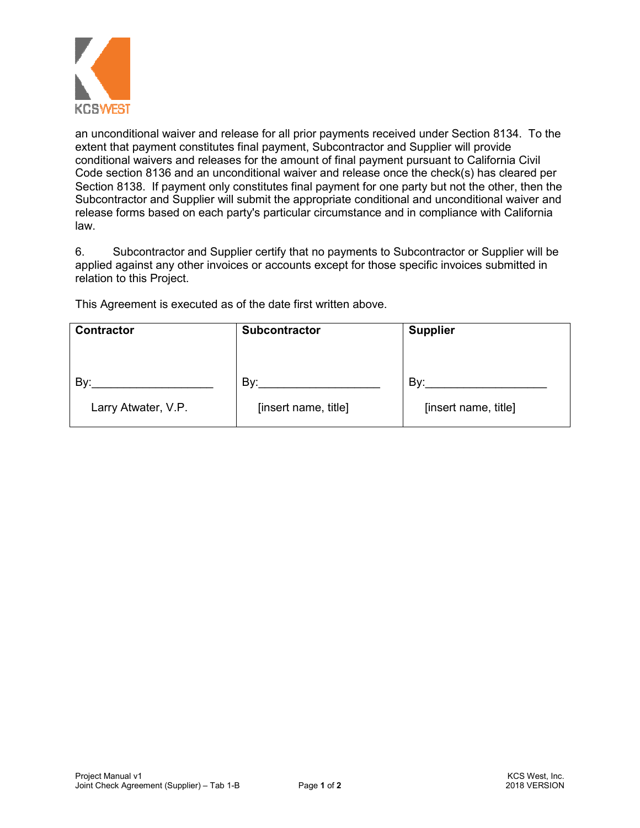

an unconditional waiver and release for all prior payments received under Section 8134. To the extent that payment constitutes final payment, Subcontractor and Supplier will provide conditional waivers and releases for the amount of final payment pursuant to California Civil Code section 8136 and an unconditional waiver and release once the check(s) has cleared per Section 8138. If payment only constitutes final payment for one party but not the other, then the Subcontractor and Supplier will submit the appropriate conditional and unconditional waiver and release forms based on each party's particular circumstance and in compliance with California law.

6. Subcontractor and Supplier certify that no payments to Subcontractor or Supplier will be applied against any other invoices or accounts except for those specific invoices submitted in relation to this Project.

This Agreement is executed as of the date first written above.

| <b>Contractor</b>   | <b>Subcontractor</b> | <b>Supplier</b>      |
|---------------------|----------------------|----------------------|
|                     |                      |                      |
| Bv:                 | By:                  | Bv:                  |
| Larry Atwater, V.P. | [insert name, title] | [insert name, title] |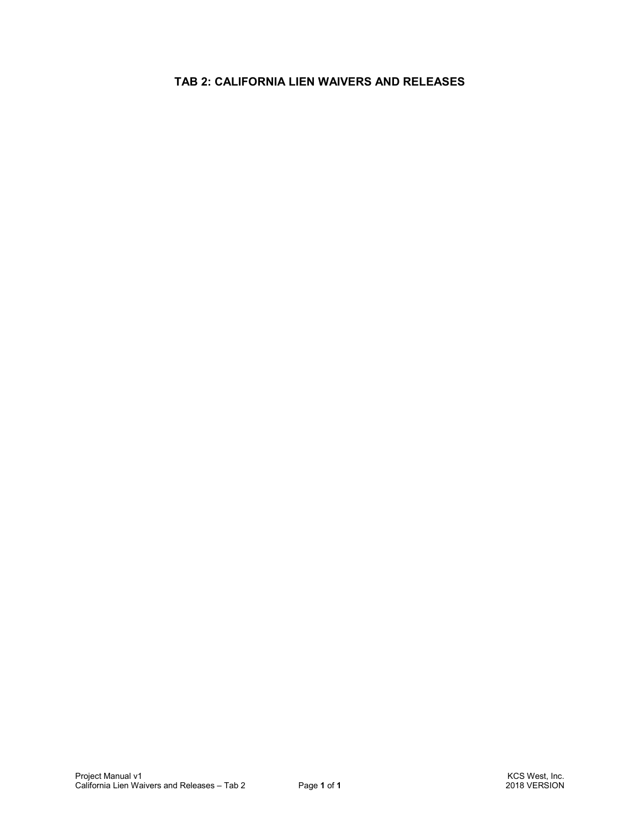# **TAB 2: CALIFORNIA LIEN WAIVERS AND RELEASES**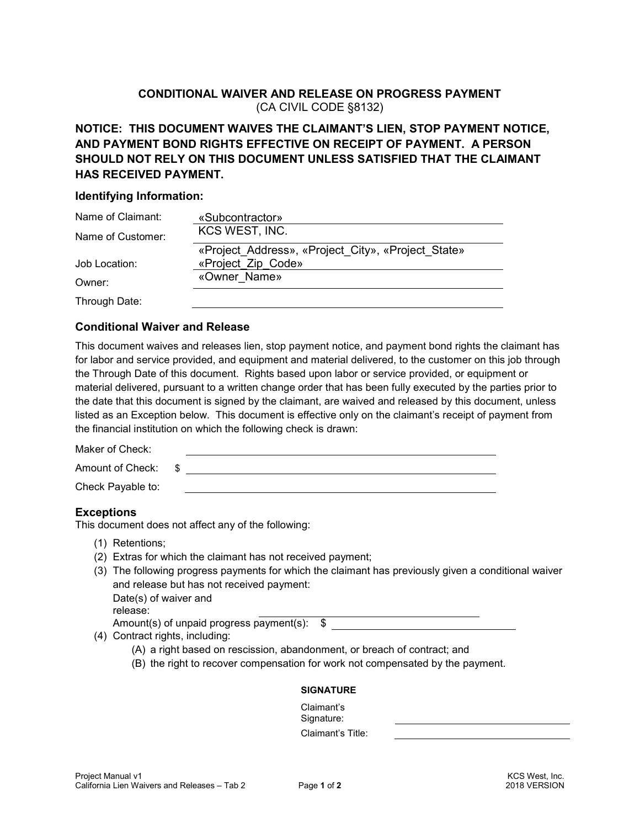## **CONDITIONAL WAIVER AND RELEASE ON PROGRESS PAYMENT**  (CA CIVIL CODE §8132)

# **NOTICE: THIS DOCUMENT WAIVES THE CLAIMANT'S LIEN, STOP PAYMENT NOTICE, AND PAYMENT BOND RIGHTS EFFECTIVE ON RECEIPT OF PAYMENT. A PERSON SHOULD NOT RELY ON THIS DOCUMENT UNLESS SATISFIED THAT THE CLAIMANT HAS RECEIVED PAYMENT.**

#### **Identifying Information:**

| Name of Claimant: | «Subcontractor»                                    |
|-------------------|----------------------------------------------------|
| Name of Customer: | KCS WEST, INC.                                     |
|                   | «Project Address», «Project City», «Project State» |
| Job Location:     | «Project Zip Code»                                 |
| Owner:            | «Owner Name»                                       |
| Through Date:     |                                                    |

#### **Conditional Waiver and Release**

This document waives and releases lien, stop payment notice, and payment bond rights the claimant has for labor and service provided, and equipment and material delivered, to the customer on this job through the Through Date of this document. Rights based upon labor or service provided, or equipment or material delivered, pursuant to a written change order that has been fully executed by the parties prior to the date that this document is signed by the claimant, are waived and released by this document, unless listed as an Exception below. This document is effective only on the claimant's receipt of payment from the financial institution on which the following check is drawn:

Maker of Check:

Amount of Check:  $\quad$  \$

Check Payable to:

#### **Exceptions**

This document does not affect any of the following:

- (1) Retentions;
- (2) Extras for which the claimant has not received payment;
- (3) The following progress payments for which the claimant has previously given a conditional waiver and release but has not received payment: Date(s) of waiver and release:

Amount(s) of unpaid progress payment(s): \$

- (4) Contract rights, including:
	- (A) a right based on rescission, abandonment, or breach of contract; and
	- (B) the right to recover compensation for work not compensated by the payment.

#### **SIGNATURE**

Claimant's Signature: Claimant's Title: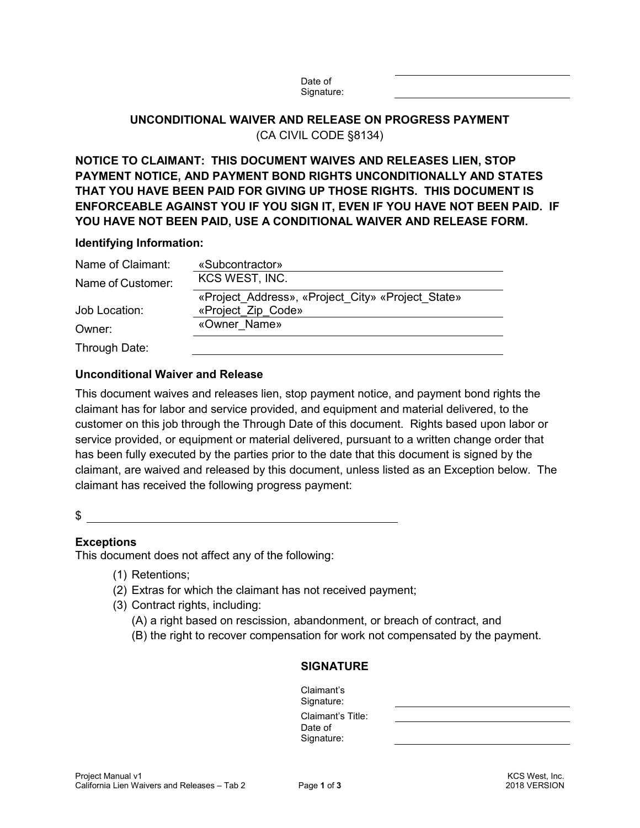# **UNCONDITIONAL WAIVER AND RELEASE ON PROGRESS PAYMENT**  (CA CIVIL CODE §8134)

Date of

# **NOTICE TO CLAIMANT: THIS DOCUMENT WAIVES AND RELEASES LIEN, STOP PAYMENT NOTICE, AND PAYMENT BOND RIGHTS UNCONDITIONALLY AND STATES THAT YOU HAVE BEEN PAID FOR GIVING UP THOSE RIGHTS. THIS DOCUMENT IS ENFORCEABLE AGAINST YOU IF YOU SIGN IT, EVEN IF YOU HAVE NOT BEEN PAID. IF YOU HAVE NOT BEEN PAID, USE A CONDITIONAL WAIVER AND RELEASE FORM.**

#### **Identifying Information:**

| Name of Claimant: | «Subcontractor»                                   |
|-------------------|---------------------------------------------------|
| Name of Customer: | KCS WEST, INC.                                    |
|                   | «Project Address», «Project City» «Project State» |
| Job Location:     | «Project Zip Code»                                |
| Owner:            | «Owner Name»                                      |
| Through Date:     |                                                   |

## **Unconditional Waiver and Release**

This document waives and releases lien, stop payment notice, and payment bond rights the claimant has for labor and service provided, and equipment and material delivered, to the customer on this job through the Through Date of this document. Rights based upon labor or service provided, or equipment or material delivered, pursuant to a written change order that has been fully executed by the parties prior to the date that this document is signed by the claimant, are waived and released by this document, unless listed as an Exception below. The claimant has received the following progress payment:

#### $\frac{1}{2}$

## **Exceptions**

This document does not affect any of the following:

- (1) Retentions;
- (2) Extras for which the claimant has not received payment;
- (3) Contract rights, including:
	- (A) a right based on rescission, abandonment, or breach of contract, and
	- (B) the right to recover compensation for work not compensated by the payment.

#### **SIGNATURE**

Claimant's Signature: Claimant's Title: Date of Signature: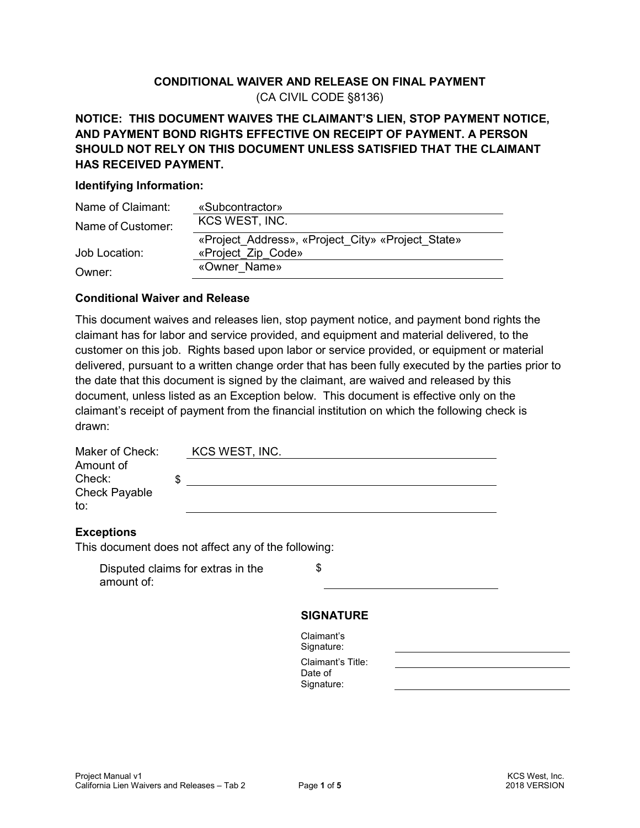# **CONDITIONAL WAIVER AND RELEASE ON FINAL PAYMENT**  (CA CIVIL CODE §8136)

# **NOTICE: THIS DOCUMENT WAIVES THE CLAIMANT'S LIEN, STOP PAYMENT NOTICE, AND PAYMENT BOND RIGHTS EFFECTIVE ON RECEIPT OF PAYMENT. A PERSON SHOULD NOT RELY ON THIS DOCUMENT UNLESS SATISFIED THAT THE CLAIMANT HAS RECEIVED PAYMENT.**

#### **Identifying Information:**

| Name of Claimant: | «Subcontractor»                                   |
|-------------------|---------------------------------------------------|
| Name of Customer: | KCS WEST, INC.                                    |
|                   | «Project Address», «Project City» «Project State» |
| Job Location:     | «Project Zip Code»                                |
| Owner:            | «Owner Name»                                      |

### **Conditional Waiver and Release**

This document waives and releases lien, stop payment notice, and payment bond rights the claimant has for labor and service provided, and equipment and material delivered, to the customer on this job. Rights based upon labor or service provided, or equipment or material delivered, pursuant to a written change order that has been fully executed by the parties prior to the date that this document is signed by the claimant, are waived and released by this document, unless listed as an Exception below. This document is effective only on the claimant's receipt of payment from the financial institution on which the following check is drawn:

| Maker of Check:      | KCS WEST, INC. |
|----------------------|----------------|
| Amount of            |                |
| Check:               |                |
| <b>Check Payable</b> |                |
| to:                  |                |
|                      |                |

## **Exceptions**

This document does not affect any of the following:

|            | Disputed claims for extras in the |
|------------|-----------------------------------|
| amount of: |                                   |

\$

## **SIGNATURE**

| Claimant's        |
|-------------------|
| Signature:        |
| Claimant's Title: |
| Date of           |
| Signature:        |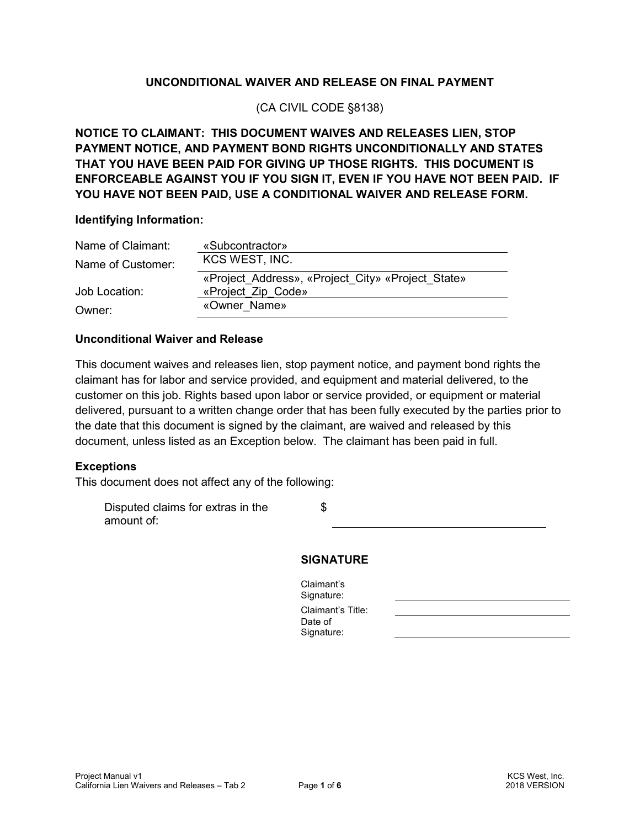## **UNCONDITIONAL WAIVER AND RELEASE ON FINAL PAYMENT**

(CA CIVIL CODE §8138)

**NOTICE TO CLAIMANT: THIS DOCUMENT WAIVES AND RELEASES LIEN, STOP PAYMENT NOTICE, AND PAYMENT BOND RIGHTS UNCONDITIONALLY AND STATES THAT YOU HAVE BEEN PAID FOR GIVING UP THOSE RIGHTS. THIS DOCUMENT IS ENFORCEABLE AGAINST YOU IF YOU SIGN IT, EVEN IF YOU HAVE NOT BEEN PAID. IF YOU HAVE NOT BEEN PAID, USE A CONDITIONAL WAIVER AND RELEASE FORM.**

#### **Identifying Information:**

| Name of Claimant: | «Subcontractor»                                   |
|-------------------|---------------------------------------------------|
| Name of Customer: | KCS WEST, INC.                                    |
|                   | «Project Address», «Project City» «Project State» |
| Job Location:     | «Project Zip Code»                                |
| Owner:            | «Owner Name»                                      |

#### **Unconditional Waiver and Release**

This document waives and releases lien, stop payment notice, and payment bond rights the claimant has for labor and service provided, and equipment and material delivered, to the customer on this job. Rights based upon labor or service provided, or equipment or material delivered, pursuant to a written change order that has been fully executed by the parties prior to the date that this document is signed by the claimant, are waived and released by this document, unless listed as an Exception below. The claimant has been paid in full.

#### **Exceptions**

This document does not affect any of the following:

Disputed claims for extras in the amount of: \$

#### **SIGNATURE**

Claimant's Signature: Claimant's Title: Date of Signature: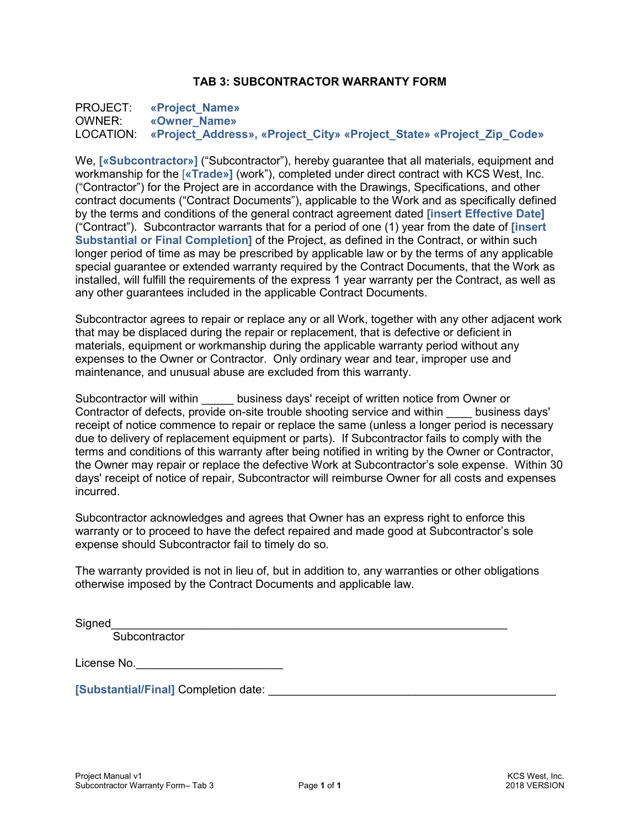### **TAB 3: SUBCONTRACTOR WARRANTY FORM**

PROJECT: **«Project\_Name»**  OWNER: **«Owner\_Name»**  LOCATION: **«Project\_Address», «Project\_City» «Project\_State» «Project\_Zip\_Code»** 

We, **[«Subcontractor»]** ("Subcontractor"), hereby guarantee that all materials, equipment and workmanship for the [**«Trade»]** (work"), completed under direct contract with KCS West, Inc. ("Contractor") for the Project are in accordance with the Drawings, Specifications, and other contract documents ("Contract Documents"), applicable to the Work and as specifically defined by the terms and conditions of the general contract agreement dated **[insert Effective Date]**  ("Contract"). Subcontractor warrants that for a period of one (1) year from the date of **[insert Substantial or Final Completion]** of the Project, as defined in the Contract, or within such longer period of time as may be prescribed by applicable law or by the terms of any applicable special guarantee or extended warranty required by the Contract Documents, that the Work as installed, will fulfill the requirements of the express 1 year warranty per the Contract, as well as any other guarantees included in the applicable Contract Documents.

Subcontractor agrees to repair or replace any or all Work, together with any other adjacent work that may be displaced during the repair or replacement, that is defective or deficient in materials, equipment or workmanship during the applicable warranty period without any expenses to the Owner or Contractor. Only ordinary wear and tear, improper use and maintenance, and unusual abuse are excluded from this warranty.

Subcontractor will within business days' receipt of written notice from Owner or Contractor of defects, provide on-site trouble shooting service and within business days' receipt of notice commence to repair or replace the same (unless a longer period is necessary due to delivery of replacement equipment or parts). If Subcontractor fails to comply with the terms and conditions of this warranty after being notified in writing by the Owner or Contractor, the Owner may repair or replace the defective Work at Subcontractor's sole expense. Within 30 days' receipt of notice of repair, Subcontractor will reimburse Owner for all costs and expenses incurred.

Subcontractor acknowledges and agrees that Owner has an express right to enforce this warranty or to proceed to have the defect repaired and made good at Subcontractor's sole expense should Subcontractor fail to timely do so.

The warranty provided is not in lieu of, but in addition to, any warranties or other obligations otherwise imposed by the Contract Documents and applicable law.

Signed\_\_\_\_\_\_\_\_\_\_\_\_\_\_\_\_\_\_\_\_\_\_\_\_\_\_\_\_\_\_\_\_\_\_\_\_\_\_\_\_\_\_\_\_\_\_\_\_\_\_\_\_\_\_\_\_\_\_\_\_\_\_

**Subcontractor** 

License No.

**[Substantial/Final]** Completion date: \_\_\_\_\_\_\_\_\_\_\_\_\_\_\_\_\_\_\_\_\_\_\_\_\_\_\_\_\_\_\_\_\_\_\_\_\_\_\_\_\_\_\_\_\_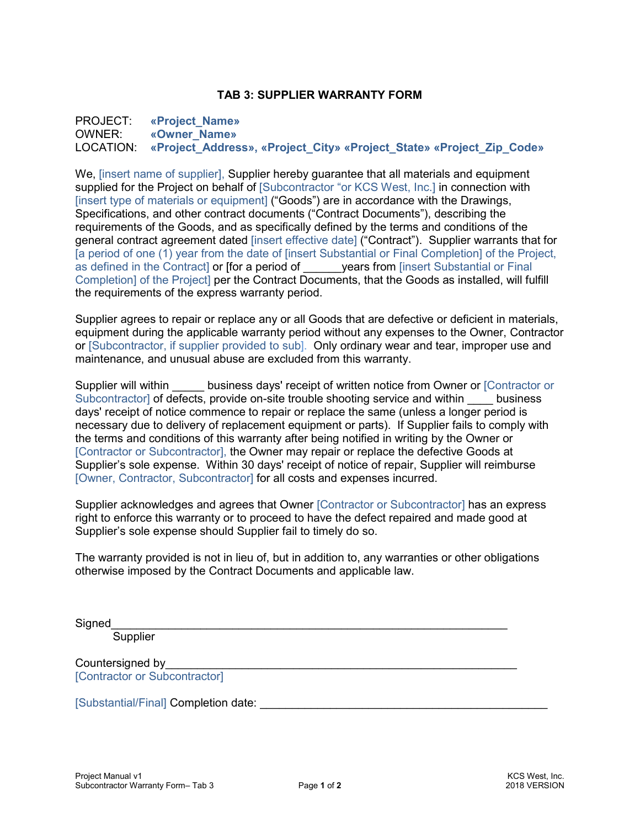#### **TAB 3: SUPPLIER WARRANTY FORM**

PROJECT: **«Project\_Name»**  OWNER: **«Owner\_Name»**  LOCATION: **«Project\_Address», «Project\_City» «Project\_State» «Project\_Zip\_Code»** 

We, [insert name of supplier], Supplier hereby guarantee that all materials and equipment supplied for the Project on behalf of [Subcontractor "or KCS West, Inc.] in connection with [insert type of materials or equipment] ("Goods") are in accordance with the Drawings, Specifications, and other contract documents ("Contract Documents"), describing the requirements of the Goods, and as specifically defined by the terms and conditions of the general contract agreement dated [insert effective date] ("Contract"). Supplier warrants that for [a period of one (1) year from the date of [insert Substantial or Final Completion] of the Project, as defined in the Contract] or [for a period of \_\_\_\_\_\_years from [insert Substantial or Final Completion] of the Project] per the Contract Documents, that the Goods as installed, will fulfill the requirements of the express warranty period.

Supplier agrees to repair or replace any or all Goods that are defective or deficient in materials, equipment during the applicable warranty period without any expenses to the Owner, Contractor or [Subcontractor, if supplier provided to sub]. Only ordinary wear and tear, improper use and maintenance, and unusual abuse are excluded from this warranty.

Supplier will within business days' receipt of written notice from Owner or [Contractor or Subcontractor] of defects, provide on-site trouble shooting service and within business days' receipt of notice commence to repair or replace the same (unless a longer period is necessary due to delivery of replacement equipment or parts). If Supplier fails to comply with the terms and conditions of this warranty after being notified in writing by the Owner or [Contractor or Subcontractor], the Owner may repair or replace the defective Goods at Supplier's sole expense. Within 30 days' receipt of notice of repair, Supplier will reimburse [Owner, Contractor, Subcontractor] for all costs and expenses incurred.

Supplier acknowledges and agrees that Owner [Contractor or Subcontractor] has an express right to enforce this warranty or to proceed to have the defect repaired and made good at Supplier's sole expense should Supplier fail to timely do so.

The warranty provided is not in lieu of, but in addition to, any warranties or other obligations otherwise imposed by the Contract Documents and applicable law.

Signed\_\_\_\_\_\_\_\_\_\_\_\_\_\_\_\_\_\_\_\_\_\_\_\_\_\_\_\_\_\_\_\_\_\_\_\_\_\_\_\_\_\_\_\_\_\_\_\_\_\_\_\_\_\_\_\_\_\_\_\_\_\_

**Supplier** 

Countersigned by [Contractor or Subcontractor]

[Substantial/Final] Completion date: \_\_\_\_\_\_\_\_\_\_\_\_\_\_\_\_\_\_\_\_\_\_\_\_\_\_\_\_\_\_\_\_\_\_\_\_\_\_\_\_\_\_\_\_\_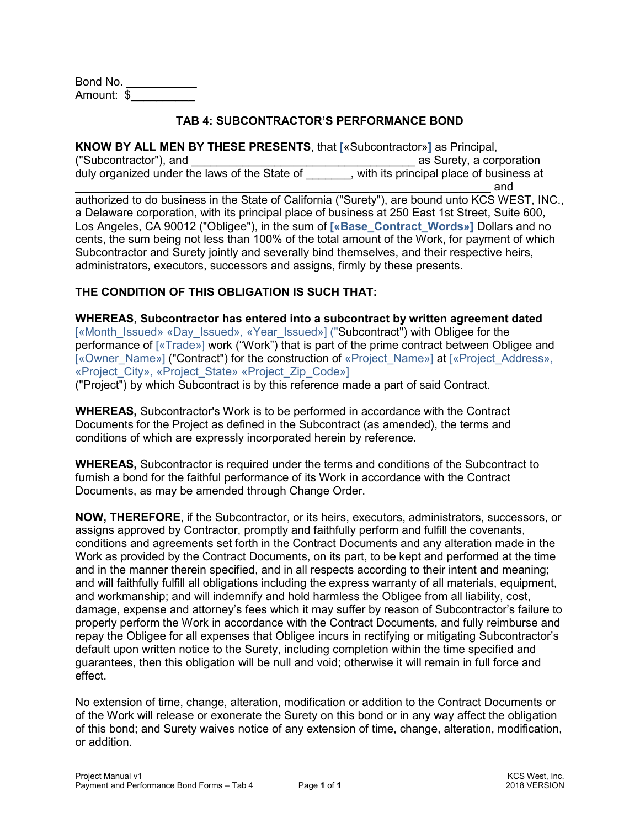Bond No. Amount: \$\_\_\_\_\_\_\_\_\_\_

#### **TAB 4: SUBCONTRACTOR'S PERFORMANCE BOND**

**KNOW BY ALL MEN BY THESE PRESENTS**, that **[**«Subcontractor»**]** as Principal, ("Subcontractor"), and \_\_\_\_\_\_\_\_\_\_\_\_\_\_\_\_\_\_\_\_\_\_\_\_\_\_\_\_\_\_\_\_\_\_\_ as Surety, a corporation duly organized under the laws of the State of **wich the promant contract of contact** of business at  $\blacksquare$  and  $\blacksquare$ 

authorized to do business in the State of California ("Surety"), are bound unto KCS WEST, INC., a Delaware corporation, with its principal place of business at 250 East 1st Street, Suite 600, Los Angeles, CA 90012 ("Obligee"), in the sum of **[«Base\_Contract\_Words»]** Dollars and no cents, the sum being not less than 100% of the total amount of the Work, for payment of which Subcontractor and Surety jointly and severally bind themselves, and their respective heirs, administrators, executors, successors and assigns, firmly by these presents.

## **THE CONDITION OF THIS OBLIGATION IS SUCH THAT:**

**WHEREAS, Subcontractor has entered into a subcontract by written agreement dated**  [«Month\_Issued» «Day\_Issued», «Year\_Issued»] ("Subcontract") with Obligee for the performance of [«Trade»] work ("Work") that is part of the prime contract between Obligee and [«Owner\_Name»] ("Contract") for the construction of «Project\_Name»] at [«Project\_Address», «Project\_City», «Project\_State» «Project\_Zip\_Code»] ("Project") by which Subcontract is by this reference made a part of said Contract.

**WHEREAS,** Subcontractor's Work is to be performed in accordance with the Contract Documents for the Project as defined in the Subcontract (as amended), the terms and conditions of which are expressly incorporated herein by reference.

**WHEREAS,** Subcontractor is required under the terms and conditions of the Subcontract to furnish a bond for the faithful performance of its Work in accordance with the Contract Documents, as may be amended through Change Order.

**NOW, THEREFORE**, if the Subcontractor, or its heirs, executors, administrators, successors, or assigns approved by Contractor, promptly and faithfully perform and fulfill the covenants, conditions and agreements set forth in the Contract Documents and any alteration made in the Work as provided by the Contract Documents, on its part, to be kept and performed at the time and in the manner therein specified, and in all respects according to their intent and meaning; and will faithfully fulfill all obligations including the express warranty of all materials, equipment, and workmanship; and will indemnify and hold harmless the Obligee from all liability, cost, damage, expense and attorney's fees which it may suffer by reason of Subcontractor's failure to properly perform the Work in accordance with the Contract Documents, and fully reimburse and repay the Obligee for all expenses that Obligee incurs in rectifying or mitigating Subcontractor's default upon written notice to the Surety, including completion within the time specified and guarantees, then this obligation will be null and void; otherwise it will remain in full force and effect.

No extension of time, change, alteration, modification or addition to the Contract Documents or of the Work will release or exonerate the Surety on this bond or in any way affect the obligation of this bond; and Surety waives notice of any extension of time, change, alteration, modification, or addition.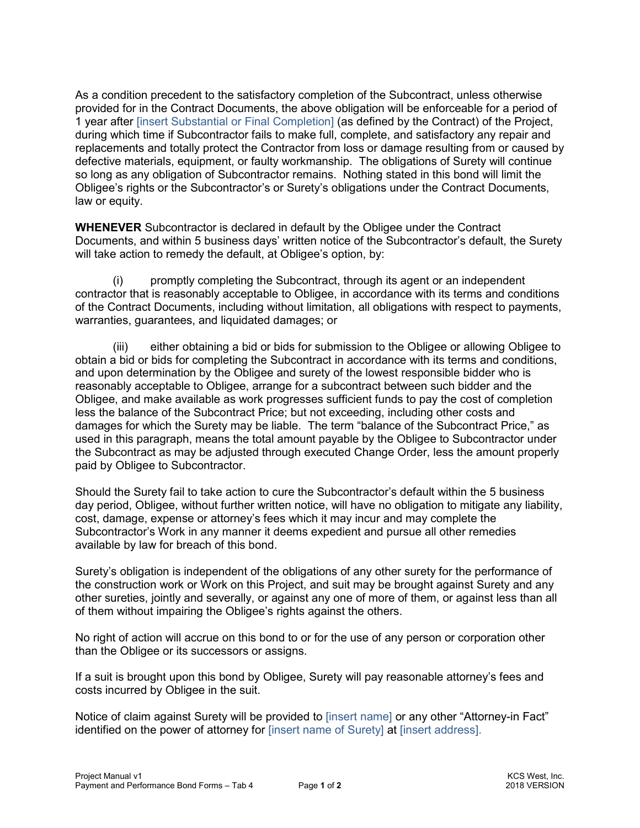As a condition precedent to the satisfactory completion of the Subcontract, unless otherwise provided for in the Contract Documents, the above obligation will be enforceable for a period of 1 year after [insert Substantial or Final Completion] (as defined by the Contract) of the Project, during which time if Subcontractor fails to make full, complete, and satisfactory any repair and replacements and totally protect the Contractor from loss or damage resulting from or caused by defective materials, equipment, or faulty workmanship. The obligations of Surety will continue so long as any obligation of Subcontractor remains. Nothing stated in this bond will limit the Obligee's rights or the Subcontractor's or Surety's obligations under the Contract Documents, law or equity.

**WHENEVER** Subcontractor is declared in default by the Obligee under the Contract Documents, and within 5 business days' written notice of the Subcontractor's default, the Surety will take action to remedy the default, at Obligee's option, by:

promptly completing the Subcontract, through its agent or an independent contractor that is reasonably acceptable to Obligee, in accordance with its terms and conditions of the Contract Documents, including without limitation, all obligations with respect to payments, warranties, guarantees, and liquidated damages; or

 (iii) either obtaining a bid or bids for submission to the Obligee or allowing Obligee to obtain a bid or bids for completing the Subcontract in accordance with its terms and conditions, and upon determination by the Obligee and surety of the lowest responsible bidder who is reasonably acceptable to Obligee, arrange for a subcontract between such bidder and the Obligee, and make available as work progresses sufficient funds to pay the cost of completion less the balance of the Subcontract Price; but not exceeding, including other costs and damages for which the Surety may be liable. The term "balance of the Subcontract Price," as used in this paragraph, means the total amount payable by the Obligee to Subcontractor under the Subcontract as may be adjusted through executed Change Order, less the amount properly paid by Obligee to Subcontractor.

Should the Surety fail to take action to cure the Subcontractor's default within the 5 business day period, Obligee, without further written notice, will have no obligation to mitigate any liability, cost, damage, expense or attorney's fees which it may incur and may complete the Subcontractor's Work in any manner it deems expedient and pursue all other remedies available by law for breach of this bond.

Surety's obligation is independent of the obligations of any other surety for the performance of the construction work or Work on this Project, and suit may be brought against Surety and any other sureties, jointly and severally, or against any one of more of them, or against less than all of them without impairing the Obligee's rights against the others.

No right of action will accrue on this bond to or for the use of any person or corporation other than the Obligee or its successors or assigns.

If a suit is brought upon this bond by Obligee, Surety will pay reasonable attorney's fees and costs incurred by Obligee in the suit.

Notice of claim against Surety will be provided to [insert name] or any other "Attorney-in Fact" identified on the power of attorney for [insert name of Surety] at [insert address].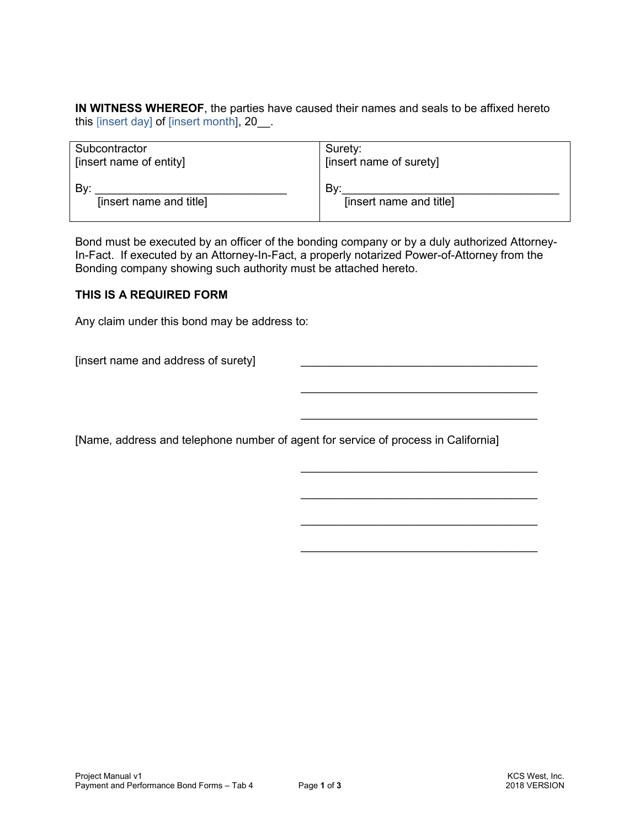**IN WITNESS WHEREOF**, the parties have caused their names and seals to be affixed hereto this [insert day] of [insert month], 20

| Subcontractor           | Surety:                 |
|-------------------------|-------------------------|
| [insert name of entity] | [insert name of surety] |
| Bv:                     | Bv:                     |
| [insert name and title] | [insert name and title] |

Bond must be executed by an officer of the bonding company or by a duly authorized Attorney-In-Fact. If executed by an Attorney-In-Fact, a properly notarized Power-of-Attorney from the Bonding company showing such authority must be attached hereto.

#### **THIS IS A REQUIRED FORM**

Any claim under this bond may be address to:

[insert name and address of surety]

[Name, address and telephone number of agent for service of process in California]

 $\frac{1}{\sqrt{2}}$  ,  $\frac{1}{\sqrt{2}}$  ,  $\frac{1}{\sqrt{2}}$  ,  $\frac{1}{\sqrt{2}}$  ,  $\frac{1}{\sqrt{2}}$  ,  $\frac{1}{\sqrt{2}}$  ,  $\frac{1}{\sqrt{2}}$  ,  $\frac{1}{\sqrt{2}}$  ,  $\frac{1}{\sqrt{2}}$  ,  $\frac{1}{\sqrt{2}}$  ,  $\frac{1}{\sqrt{2}}$  ,  $\frac{1}{\sqrt{2}}$  ,  $\frac{1}{\sqrt{2}}$  ,  $\frac{1}{\sqrt{2}}$  ,  $\frac{1}{\sqrt{2}}$ 

 $\mathcal{L}_\text{max}$  and  $\mathcal{L}_\text{max}$  and  $\mathcal{L}_\text{max}$  and  $\mathcal{L}_\text{max}$  and  $\mathcal{L}_\text{max}$  and  $\mathcal{L}_\text{max}$ 

 $\frac{1}{\sqrt{2}}$  ,  $\frac{1}{\sqrt{2}}$  ,  $\frac{1}{\sqrt{2}}$  ,  $\frac{1}{\sqrt{2}}$  ,  $\frac{1}{\sqrt{2}}$  ,  $\frac{1}{\sqrt{2}}$  ,  $\frac{1}{\sqrt{2}}$  ,  $\frac{1}{\sqrt{2}}$  ,  $\frac{1}{\sqrt{2}}$  ,  $\frac{1}{\sqrt{2}}$  ,  $\frac{1}{\sqrt{2}}$  ,  $\frac{1}{\sqrt{2}}$  ,  $\frac{1}{\sqrt{2}}$  ,  $\frac{1}{\sqrt{2}}$  ,  $\frac{1}{\sqrt{2}}$ 

 $\frac{1}{\sqrt{2}}$  ,  $\frac{1}{\sqrt{2}}$  ,  $\frac{1}{\sqrt{2}}$  ,  $\frac{1}{\sqrt{2}}$  ,  $\frac{1}{\sqrt{2}}$  ,  $\frac{1}{\sqrt{2}}$  ,  $\frac{1}{\sqrt{2}}$  ,  $\frac{1}{\sqrt{2}}$  ,  $\frac{1}{\sqrt{2}}$  ,  $\frac{1}{\sqrt{2}}$  ,  $\frac{1}{\sqrt{2}}$  ,  $\frac{1}{\sqrt{2}}$  ,  $\frac{1}{\sqrt{2}}$  ,  $\frac{1}{\sqrt{2}}$  ,  $\frac{1}{\sqrt{2}}$ 

 $\frac{1}{\sqrt{2}}$  ,  $\frac{1}{\sqrt{2}}$  ,  $\frac{1}{\sqrt{2}}$  ,  $\frac{1}{\sqrt{2}}$  ,  $\frac{1}{\sqrt{2}}$  ,  $\frac{1}{\sqrt{2}}$  ,  $\frac{1}{\sqrt{2}}$  ,  $\frac{1}{\sqrt{2}}$  ,  $\frac{1}{\sqrt{2}}$  ,  $\frac{1}{\sqrt{2}}$  ,  $\frac{1}{\sqrt{2}}$  ,  $\frac{1}{\sqrt{2}}$  ,  $\frac{1}{\sqrt{2}}$  ,  $\frac{1}{\sqrt{2}}$  ,  $\frac{1}{\sqrt{2}}$ 

 $\frac{1}{\sqrt{2}}$  ,  $\frac{1}{\sqrt{2}}$  ,  $\frac{1}{\sqrt{2}}$  ,  $\frac{1}{\sqrt{2}}$  ,  $\frac{1}{\sqrt{2}}$  ,  $\frac{1}{\sqrt{2}}$  ,  $\frac{1}{\sqrt{2}}$  ,  $\frac{1}{\sqrt{2}}$  ,  $\frac{1}{\sqrt{2}}$  ,  $\frac{1}{\sqrt{2}}$  ,  $\frac{1}{\sqrt{2}}$  ,  $\frac{1}{\sqrt{2}}$  ,  $\frac{1}{\sqrt{2}}$  ,  $\frac{1}{\sqrt{2}}$  ,  $\frac{1}{\sqrt{2}}$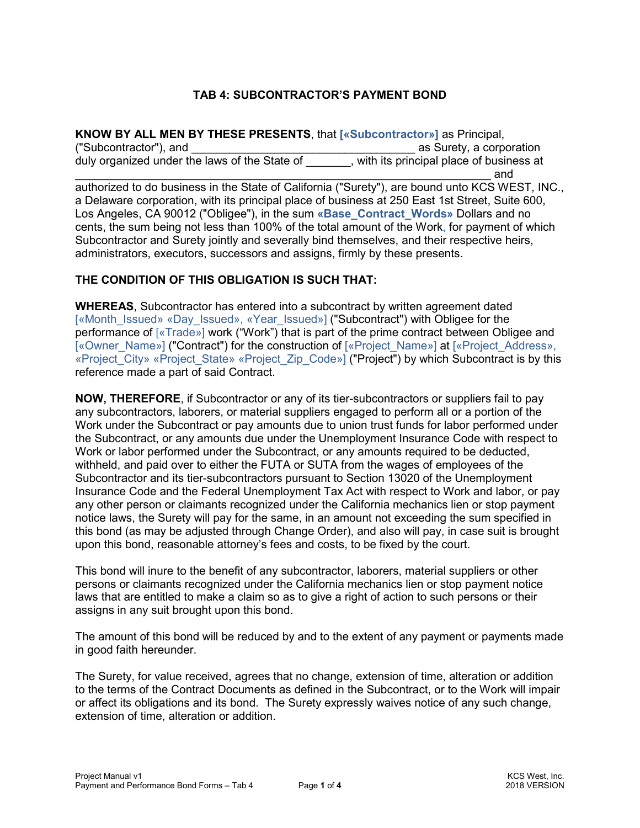# **TAB 4: SUBCONTRACTOR'S PAYMENT BOND**

**KNOW BY ALL MEN BY THESE PRESENTS**, that **[«Subcontractor»]** as Principal, ("Subcontractor"), and \_\_\_\_\_\_\_\_\_\_\_\_\_\_\_\_\_\_\_\_\_\_\_\_\_\_\_\_\_\_\_\_\_\_\_ as Surety, a corporation duly organized under the laws of the State of Table to the its principal place of business at  $\blacksquare$  and  $\blacksquare$ authorized to do business in the State of California ("Surety"), are bound unto KCS WEST, INC., a Delaware corporation, with its principal place of business at 250 East 1st Street, Suite 600, Los Angeles, CA 90012 ("Obligee"), in the sum **«Base\_Contract\_Words»** Dollars and no cents, the sum being not less than 100% of the total amount of the Work, for payment of which Subcontractor and Surety jointly and severally bind themselves, and their respective heirs, administrators, executors, successors and assigns, firmly by these presents.

# **THE CONDITION OF THIS OBLIGATION IS SUCH THAT:**

**WHEREAS**, Subcontractor has entered into a subcontract by written agreement dated [«Month\_Issued» «Day\_Issued», «Year\_Issued»] ("Subcontract") with Obligee for the performance of [«Trade»] work ("Work") that is part of the prime contract between Obligee and [«Owner\_Name»] ("Contract") for the construction of [«Project\_Name»] at [«Project\_Address», «Project City» «Project State» «Project Zip Code»] ("Project") by which Subcontract is by this reference made a part of said Contract.

**NOW, THEREFORE**, if Subcontractor or any of its tier-subcontractors or suppliers fail to pay any subcontractors, laborers, or material suppliers engaged to perform all or a portion of the Work under the Subcontract or pay amounts due to union trust funds for labor performed under the Subcontract, or any amounts due under the Unemployment Insurance Code with respect to Work or labor performed under the Subcontract, or any amounts required to be deducted, withheld, and paid over to either the FUTA or SUTA from the wages of employees of the Subcontractor and its tier-subcontractors pursuant to Section 13020 of the Unemployment Insurance Code and the Federal Unemployment Tax Act with respect to Work and labor, or pay any other person or claimants recognized under the California mechanics lien or stop payment notice laws, the Surety will pay for the same, in an amount not exceeding the sum specified in this bond (as may be adjusted through Change Order), and also will pay, in case suit is brought upon this bond, reasonable attorney's fees and costs, to be fixed by the court.

This bond will inure to the benefit of any subcontractor, laborers, material suppliers or other persons or claimants recognized under the California mechanics lien or stop payment notice laws that are entitled to make a claim so as to give a right of action to such persons or their assigns in any suit brought upon this bond.

The amount of this bond will be reduced by and to the extent of any payment or payments made in good faith hereunder.

The Surety, for value received, agrees that no change, extension of time, alteration or addition to the terms of the Contract Documents as defined in the Subcontract, or to the Work will impair or affect its obligations and its bond. The Surety expressly waives notice of any such change, extension of time, alteration or addition.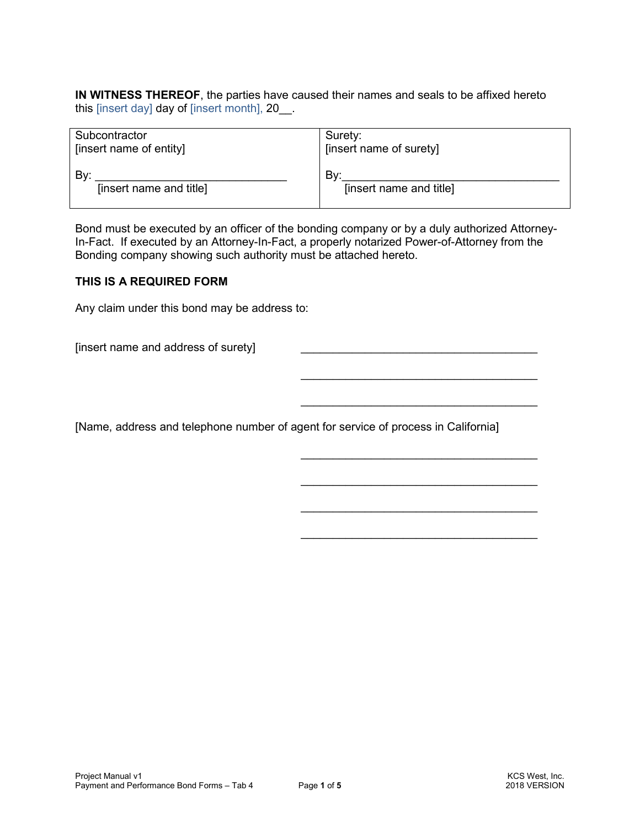**IN WITNESS THEREOF**, the parties have caused their names and seals to be affixed hereto this [insert day] day of [insert month], 20\_\_.

| Subcontractor           | Surety:                 |
|-------------------------|-------------------------|
| [insert name of entity] | [insert name of surety] |
| Bv:                     | Bv:                     |
| [insert name and title] | [insert name and title] |

Bond must be executed by an officer of the bonding company or by a duly authorized Attorney-In-Fact. If executed by an Attorney-In-Fact, a properly notarized Power-of-Attorney from the Bonding company showing such authority must be attached hereto.

#### **THIS IS A REQUIRED FORM**

Any claim under this bond may be address to:

[insert name and address of surety]

[Name, address and telephone number of agent for service of process in California]

 $\frac{1}{\sqrt{2}}$  ,  $\frac{1}{\sqrt{2}}$  ,  $\frac{1}{\sqrt{2}}$  ,  $\frac{1}{\sqrt{2}}$  ,  $\frac{1}{\sqrt{2}}$  ,  $\frac{1}{\sqrt{2}}$  ,  $\frac{1}{\sqrt{2}}$  ,  $\frac{1}{\sqrt{2}}$  ,  $\frac{1}{\sqrt{2}}$  ,  $\frac{1}{\sqrt{2}}$  ,  $\frac{1}{\sqrt{2}}$  ,  $\frac{1}{\sqrt{2}}$  ,  $\frac{1}{\sqrt{2}}$  ,  $\frac{1}{\sqrt{2}}$  ,  $\frac{1}{\sqrt{2}}$ 

 $\mathcal{L}_\text{max}$  and  $\mathcal{L}_\text{max}$  and  $\mathcal{L}_\text{max}$  and  $\mathcal{L}_\text{max}$  and  $\mathcal{L}_\text{max}$  and  $\mathcal{L}_\text{max}$ 

 $\mathcal{L}_\text{max}$  and  $\mathcal{L}_\text{max}$  and  $\mathcal{L}_\text{max}$  and  $\mathcal{L}_\text{max}$  and  $\mathcal{L}_\text{max}$  and  $\mathcal{L}_\text{max}$ 

 $\frac{1}{\sqrt{2}}$  ,  $\frac{1}{\sqrt{2}}$  ,  $\frac{1}{\sqrt{2}}$  ,  $\frac{1}{\sqrt{2}}$  ,  $\frac{1}{\sqrt{2}}$  ,  $\frac{1}{\sqrt{2}}$  ,  $\frac{1}{\sqrt{2}}$  ,  $\frac{1}{\sqrt{2}}$  ,  $\frac{1}{\sqrt{2}}$  ,  $\frac{1}{\sqrt{2}}$  ,  $\frac{1}{\sqrt{2}}$  ,  $\frac{1}{\sqrt{2}}$  ,  $\frac{1}{\sqrt{2}}$  ,  $\frac{1}{\sqrt{2}}$  ,  $\frac{1}{\sqrt{2}}$ 

 $\frac{1}{\sqrt{2}}$  ,  $\frac{1}{\sqrt{2}}$  ,  $\frac{1}{\sqrt{2}}$  ,  $\frac{1}{\sqrt{2}}$  ,  $\frac{1}{\sqrt{2}}$  ,  $\frac{1}{\sqrt{2}}$  ,  $\frac{1}{\sqrt{2}}$  ,  $\frac{1}{\sqrt{2}}$  ,  $\frac{1}{\sqrt{2}}$  ,  $\frac{1}{\sqrt{2}}$  ,  $\frac{1}{\sqrt{2}}$  ,  $\frac{1}{\sqrt{2}}$  ,  $\frac{1}{\sqrt{2}}$  ,  $\frac{1}{\sqrt{2}}$  ,  $\frac{1}{\sqrt{2}}$ 

 $\frac{1}{\sqrt{2}}$  ,  $\frac{1}{\sqrt{2}}$  ,  $\frac{1}{\sqrt{2}}$  ,  $\frac{1}{\sqrt{2}}$  ,  $\frac{1}{\sqrt{2}}$  ,  $\frac{1}{\sqrt{2}}$  ,  $\frac{1}{\sqrt{2}}$  ,  $\frac{1}{\sqrt{2}}$  ,  $\frac{1}{\sqrt{2}}$  ,  $\frac{1}{\sqrt{2}}$  ,  $\frac{1}{\sqrt{2}}$  ,  $\frac{1}{\sqrt{2}}$  ,  $\frac{1}{\sqrt{2}}$  ,  $\frac{1}{\sqrt{2}}$  ,  $\frac{1}{\sqrt{2}}$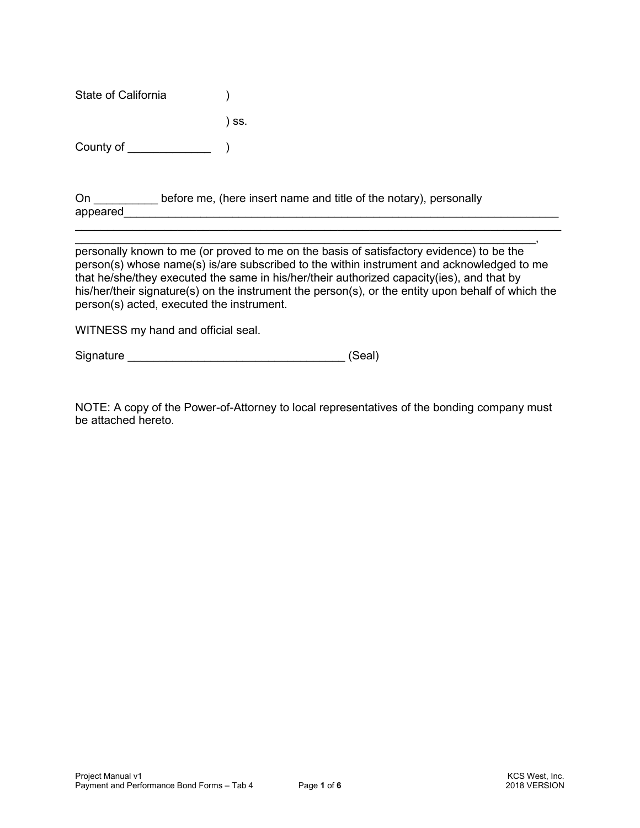State of California (1) ) ss.

County of the county of the county of the set of  $\setminus$ 

On before me, (here insert name and title of the notary), personally appeared **and a** set of the set of the set of the set of the set of the set of the set of the set of the set of the set of the set of the set of the set of the set of the set of the set of the set of the set of the set o

 $\overline{\phantom{a}}$  , and the contract of the contract of the contract of the contract of the contract of the contract of the contract of the contract of the contract of the contract of the contract of the contract of the contrac personally known to me (or proved to me on the basis of satisfactory evidence) to be the person(s) whose name(s) is/are subscribed to the within instrument and acknowledged to me that he/she/they executed the same in his/her/their authorized capacity(ies), and that by his/her/their signature(s) on the instrument the person(s), or the entity upon behalf of which the person(s) acted, executed the instrument.

 $\mathcal{L}_\text{max}$  and  $\mathcal{L}_\text{max}$  and  $\mathcal{L}_\text{max}$  and  $\mathcal{L}_\text{max}$  and  $\mathcal{L}_\text{max}$  and  $\mathcal{L}_\text{max}$ 

WITNESS my hand and official seal.

Signature \_\_\_\_\_\_\_\_\_\_\_\_\_\_\_\_\_\_\_\_\_\_\_\_\_\_\_\_\_\_\_\_\_\_ (Seal)

NOTE: A copy of the Power-of-Attorney to local representatives of the bonding company must be attached hereto.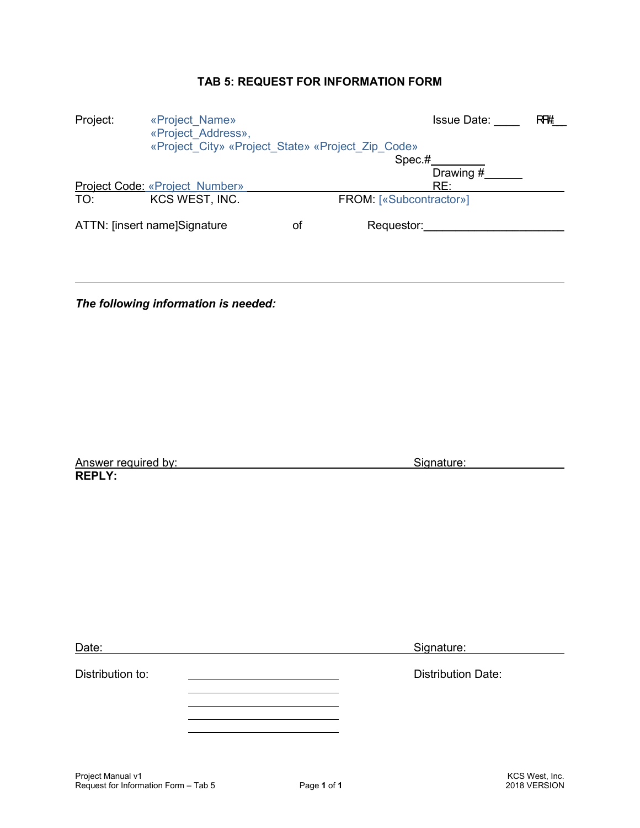# **TAB 5: REQUEST FOR INFORMATION FORM**

| «Project Name»<br>«Project Address», |                                                                | Issue Date:             | RF#                                               |
|--------------------------------------|----------------------------------------------------------------|-------------------------|---------------------------------------------------|
|                                      |                                                                |                         |                                                   |
|                                      |                                                                | Spec.#                  |                                                   |
|                                      |                                                                | Drawing #               |                                                   |
|                                      |                                                                | RE:                     |                                                   |
| KCS WEST, INC.                       |                                                                | FROM: [«Subcontractor»] |                                                   |
|                                      | οf                                                             | Requestor:              |                                                   |
|                                      | Project Code: «Project Number»<br>ATTN: [insert name]Signature |                         | «Project City» «Project State» «Project Zip Code» |

*The following information is needed:* 

| Answer required by: |  |
|---------------------|--|
| <b>REPLY:</b>       |  |

L

Signature:

| Date:            | Signature:                |
|------------------|---------------------------|
| Distribution to: | <b>Distribution Date:</b> |
|                  |                           |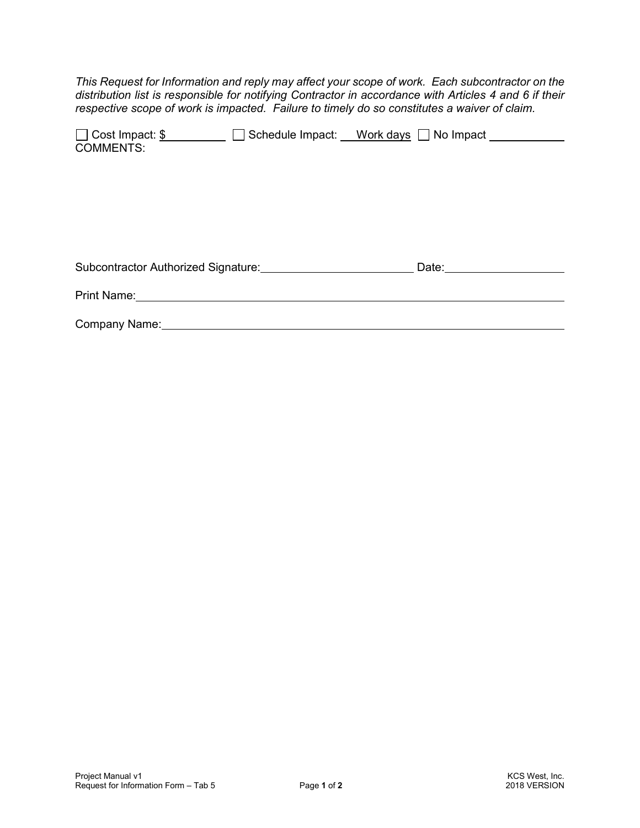*This Request for Information and reply may affect your scope of work. Each subcontractor on the distribution list is responsible for notifying Contractor in accordance with Articles 4 and 6 if their respective scope of work is impacted. Failure to timely do so constitutes a waiver of claim.* 

| □ Cost Impact: \$ | $\Box$ Schedule Impact: $\Box$ | Work days $\Box$ No Impact |  |
|-------------------|--------------------------------|----------------------------|--|
| <b>COMMENTS:</b>  |                                |                            |  |

| Subcontractor Authorized Signature: | Date: |  |
|-------------------------------------|-------|--|
| Print Name:                         |       |  |
| Company Name:                       |       |  |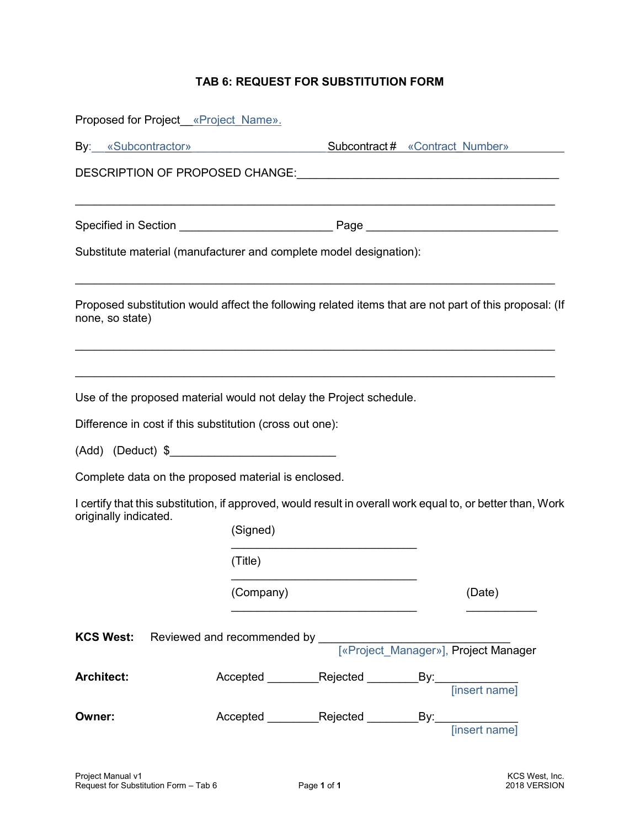# **TAB 6: REQUEST FOR SUBSTITUTION FORM**

|                       | Proposed for Project «Project Name». |                                                                                                                                |                                                                                                            |
|-----------------------|--------------------------------------|--------------------------------------------------------------------------------------------------------------------------------|------------------------------------------------------------------------------------------------------------|
|                       |                                      |                                                                                                                                | By: «Subcontractor» Subcontract# «Contract Number»                                                         |
|                       |                                      |                                                                                                                                |                                                                                                            |
|                       |                                      |                                                                                                                                |                                                                                                            |
|                       |                                      |                                                                                                                                |                                                                                                            |
|                       |                                      | Substitute material (manufacturer and complete model designation):                                                             |                                                                                                            |
| none, so state)       |                                      |                                                                                                                                | Proposed substitution would affect the following related items that are not part of this proposal: (If     |
|                       |                                      | Use of the proposed material would not delay the Project schedule.<br>Difference in cost if this substitution (cross out one): |                                                                                                            |
|                       |                                      |                                                                                                                                |                                                                                                            |
|                       |                                      |                                                                                                                                |                                                                                                            |
|                       |                                      | Complete data on the proposed material is enclosed.                                                                            |                                                                                                            |
|                       |                                      |                                                                                                                                | I certify that this substitution, if approved, would result in overall work equal to, or better than, Work |
| originally indicated. |                                      | (Signed)                                                                                                                       |                                                                                                            |
|                       |                                      | (Title)                                                                                                                        |                                                                                                            |
|                       |                                      | (Company)                                                                                                                      | (Date)                                                                                                     |
| <b>KCS West:</b>      |                                      |                                                                                                                                |                                                                                                            |
| <b>Architect:</b>     |                                      |                                                                                                                                |                                                                                                            |
| Owner:                |                                      |                                                                                                                                |                                                                                                            |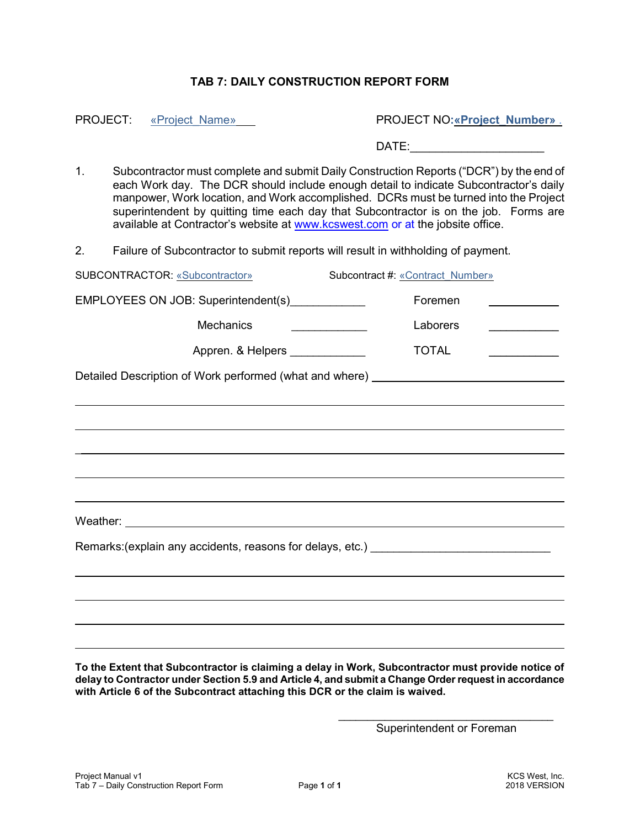## **TAB 7: DAILY CONSTRUCTION REPORT FORM**

PROJECT: «Project\_Name» Letter and a series and provided a series of the PROJECT NO: «Project\_Number» .

 $\mathsf{DATE:}\underline{\hspace{2.5cm}}$ 

1. Subcontractor must complete and submit Daily Construction Reports ("DCR") by the end of each Work day. The DCR should include enough detail to indicate Subcontractor's daily manpower, Work location, and Work accomplished. DCRs must be turned into the Project superintendent by quitting time each day that Subcontractor is on the job. Forms are available at Contractor's website at www.kcswest.com or at the jobsite office.

2. Failure of Subcontractor to submit reports will result in withholding of payment.

| SUBCONTRACTOR: «Subcontractor»                                                    | Subcontract #: «Contract Number»                                                 |  |  |
|-----------------------------------------------------------------------------------|----------------------------------------------------------------------------------|--|--|
| EMPLOYEES ON JOB: Superintendent(s)_____________                                  | Foremen                                                                          |  |  |
| <b>Mechanics</b>                                                                  | Laborers                                                                         |  |  |
| Appren. & Helpers _____________                                                   | <b>TOTAL</b>                                                                     |  |  |
|                                                                                   | Detailed Description of Work performed (what and where) ________________________ |  |  |
|                                                                                   | ,我们也不会有什么。""我们的人,我们也不会有什么?""我们的人,我们也不会有什么?""我们的人,我们也不会有什么?""我们的人,我们也不会有什么?""我们的人 |  |  |
|                                                                                   |                                                                                  |  |  |
|                                                                                   |                                                                                  |  |  |
|                                                                                   |                                                                                  |  |  |
| ,我们也不会有什么。""我们的人,我们也不会有什么?""我们的人,我们也不会有什么?""我们的人,我们也不会有什么?""我们的人,我们也不会有什么?""我们的人  |                                                                                  |  |  |
|                                                                                   |                                                                                  |  |  |
| Remarks: (explain any accidents, reasons for delays, etc.) ______________________ |                                                                                  |  |  |
|                                                                                   |                                                                                  |  |  |
|                                                                                   |                                                                                  |  |  |
|                                                                                   |                                                                                  |  |  |
|                                                                                   |                                                                                  |  |  |

**To the Extent that Subcontractor is claiming a delay in Work, Subcontractor must provide notice of delay to Contractor under Section 5.9 and Article 4, and submit a Change Order request in accordance with Article 6 of the Subcontract attaching this DCR or the claim is waived.** 

> \_\_\_\_\_\_\_\_\_\_\_\_\_\_\_\_\_\_\_\_\_\_\_\_\_\_\_\_\_\_\_\_\_\_\_\_\_ Superintendent or Foreman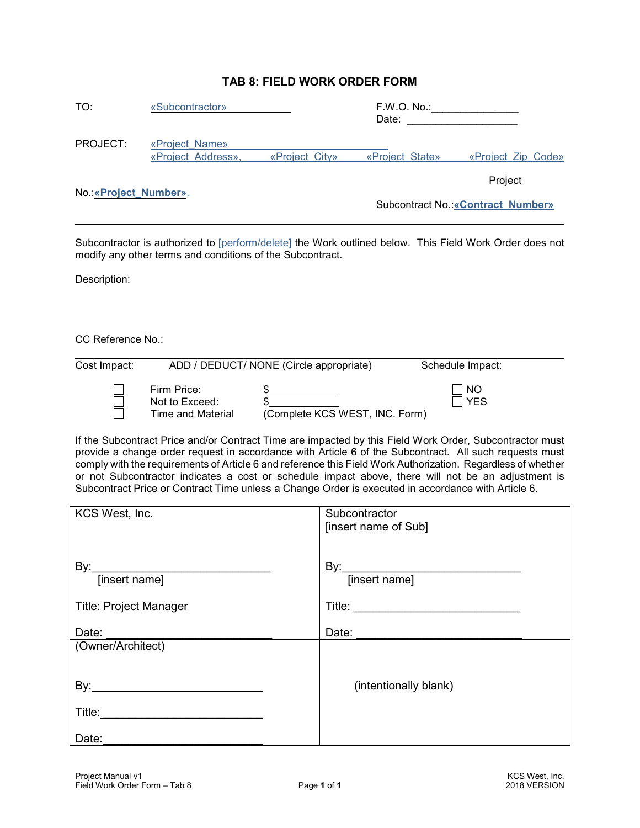# **TAB 8: FIELD WORK ORDER FORM**

| TO:                    | «Subcontractor»                      |                | F.W.O. No.<br>Date: |                                           |
|------------------------|--------------------------------------|----------------|---------------------|-------------------------------------------|
| PROJECT:               | «Project Name»<br>«Project Address», | «Project City» | «Project State»     | «Project Zip Code»                        |
| No.: «Project Number». |                                      |                |                     | Project                                   |
|                        |                                      |                |                     | <b>Subcontract No.: «Contract Number»</b> |

Subcontractor is authorized to [perform/delete] the Work outlined below. This Field Work Order does not modify any other terms and conditions of the Subcontract.

Description:

 $\overline{\phantom{a}}$ 

CC Reference No.:

| Cost Impact: |                                                    | ADD / DEDUCT/ NONE (Circle appropriate) | Schedule Impact:                     |
|--------------|----------------------------------------------------|-----------------------------------------|--------------------------------------|
|              | Firm Price:<br>Not to Exceed:<br>Time and Material | (Complete KCS WEST, INC. Form)          | $\overline{\phantom{a}}$ NO<br>∏ YES |

If the Subcontract Price and/or Contract Time are impacted by this Field Work Order, Subcontractor must provide a change order request in accordance with Article 6 of the Subcontract. All such requests must comply with the requirements of Article 6 and reference this Field Work Authorization. Regardless of whether or not Subcontractor indicates a cost or schedule impact above, there will not be an adjustment is Subcontract Price or Contract Time unless a Change Order is executed in accordance with Article 6.

| KCS West, Inc.                | Subcontractor                  |
|-------------------------------|--------------------------------|
|                               | [insert name of Sub]           |
|                               |                                |
|                               |                                |
|                               |                                |
|                               |                                |
| By: [insert name]             |                                |
|                               |                                |
| <b>Title: Project Manager</b> |                                |
|                               |                                |
| Date:                         | Date: <u>_________________</u> |
| (Owner/Architect)             |                                |
|                               |                                |
|                               |                                |
|                               |                                |
|                               | (intentionally blank)          |
|                               |                                |
|                               |                                |
|                               |                                |
|                               |                                |
| Date:                         |                                |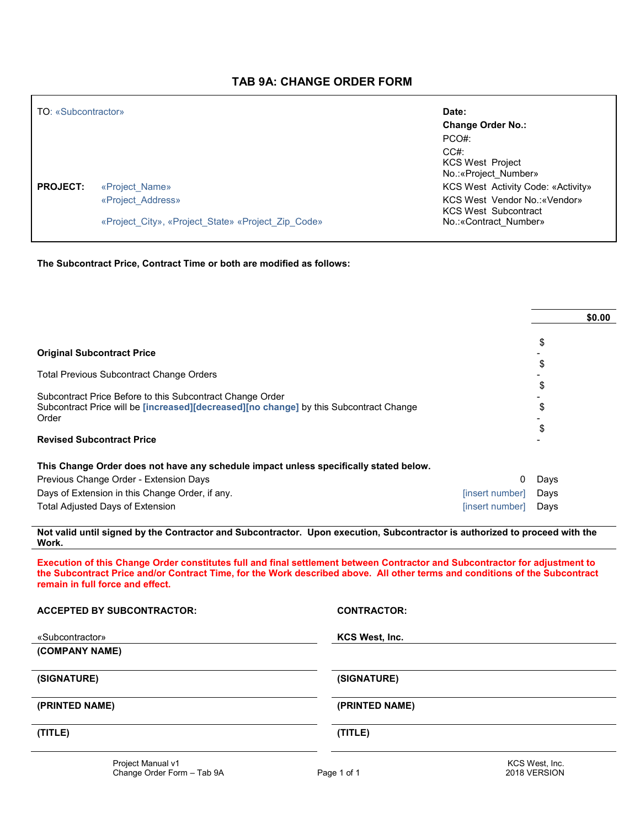### **TAB 9A: CHANGE ORDER FORM**

| <b>TO: «Subcontractor»</b> |                                                                         | Date:                                                                                  |
|----------------------------|-------------------------------------------------------------------------|----------------------------------------------------------------------------------------|
|                            |                                                                         | <b>Change Order No.:</b>                                                               |
|                            |                                                                         | PCO#                                                                                   |
|                            |                                                                         | CC#<br><b>KCS West Project</b><br>No.: «Project Number»                                |
| <b>PROJECT:</b>            | «Project Name»                                                          | <b>KCS West Activity Code: «Activity»</b>                                              |
|                            | «Project Address»<br>«Project City», «Project State» «Project Zip Code» | KCS West Vendor No.: «Vendor»<br><b>KCS West Subcontract</b><br>No.: «Contract Number» |
|                            |                                                                         |                                                                                        |

**The Subcontract Price, Contract Time or both are modified as follows:**

|                                                                                        |                 | \$0.00 |
|----------------------------------------------------------------------------------------|-----------------|--------|
| <b>Original Subcontract Price</b>                                                      |                 | \$     |
|                                                                                        |                 | S      |
| <b>Total Previous Subcontract Change Orders</b>                                        |                 | \$     |
| Subcontract Price Before to this Subcontract Change Order                              |                 |        |
| Subcontract Price will be [increased][decreased][no change] by this Subcontract Change |                 | \$     |
| Order                                                                                  |                 | \$     |
| <b>Revised Subcontract Price</b>                                                       |                 |        |
| This Change Order does not have any schedule impact unless specifically stated below.  |                 |        |
| Previous Change Order - Extension Days                                                 | 0               | Days   |
| Days of Extension in this Change Order, if any.                                        | [insert number] | Days   |
| Total Adjusted Days of Extension                                                       | [insert number] | Days   |
|                                                                                        |                 |        |

**Not valid until signed by the Contractor and Subcontractor. Upon execution, Subcontractor is authorized to proceed with the Work.**

**Execution of this Change Order constitutes full and final settlement between Contractor and Subcontractor for adjustment to the Subcontract Price and/or Contract Time, for the Work described above. All other terms and conditions of the Subcontract remain in full force and effect.** 

| <b>ACCEPTED BY SUBCONTRACTOR:</b> | <b>CONTRACTOR:</b> |
|-----------------------------------|--------------------|
| «Subcontractor»<br>(COMPANY NAME) | KCS West, Inc.     |
| (SIGNATURE)                       | (SIGNATURE)        |
| (PRINTED NAME)                    | (PRINTED NAME)     |
| (TITLE)                           | (TITLE)            |
| Project Manual v1                 | KCS West, Inc.     |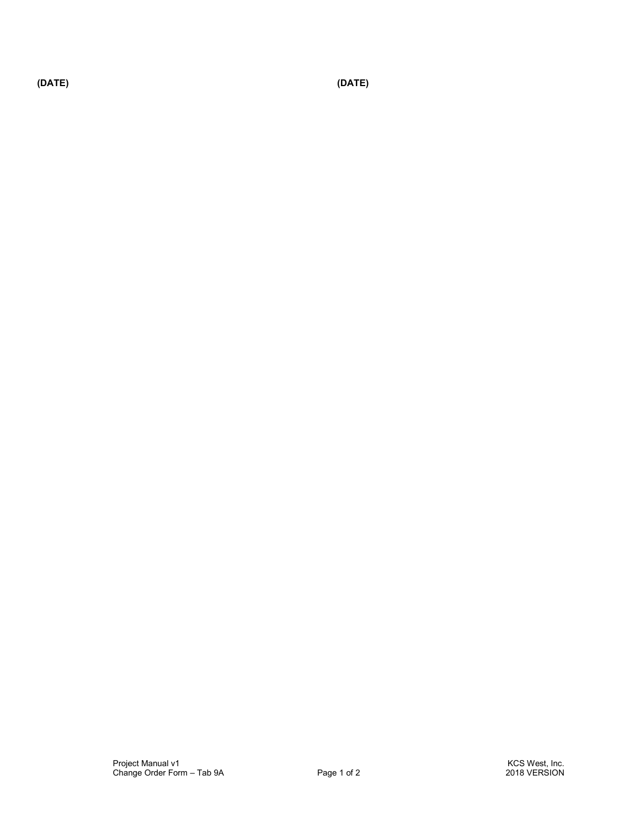**(DATE) (DATE)**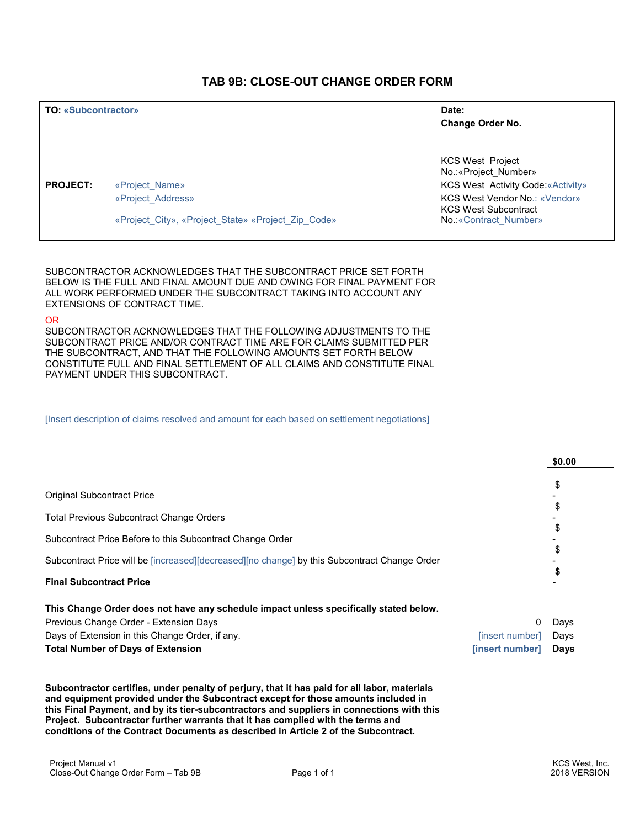#### **TAB 9B: CLOSE-OUT CHANGE ORDER FORM**

| <b>TO: «Subcontractor»</b> |                                                    | Date:<br>Change Order No.                                    |  |
|----------------------------|----------------------------------------------------|--------------------------------------------------------------|--|
|                            |                                                    | <b>KCS West Project</b><br>No.: «Project Number»             |  |
| <b>PROJECT:</b>            | «Project Name»                                     | <b>KCS West Activity Code: «Activity»</b>                    |  |
|                            | «Project Address»                                  | KCS West Vendor No.: «Vendor»<br><b>KCS West Subcontract</b> |  |
|                            | «Project_City», «Project_State» «Project_Zip_Code» | No.: «Contract Number»                                       |  |

SUBCONTRACTOR ACKNOWLEDGES THAT THE SUBCONTRACT PRICE SET FORTH BELOW IS THE FULL AND FINAL AMOUNT DUE AND OWING FOR FINAL PAYMENT FOR ALL WORK PERFORMED UNDER THE SUBCONTRACT TAKING INTO ACCOUNT ANY EXTENSIONS OF CONTRACT TIME.

#### OR

SUBCONTRACTOR ACKNOWLEDGES THAT THE FOLLOWING ADJUSTMENTS TO THE SUBCONTRACT PRICE AND/OR CONTRACT TIME ARE FOR CLAIMS SUBMITTED PER THE SUBCONTRACT, AND THAT THE FOLLOWING AMOUNTS SET FORTH BELOW CONSTITUTE FULL AND FINAL SETTLEMENT OF ALL CLAIMS AND CONSTITUTE FINAL PAYMENT UNDER THIS SUBCONTRACT.

[Insert description of claims resolved and amount for each based on settlement negotiations]

|                                                                                              |                 | \$0.00 |
|----------------------------------------------------------------------------------------------|-----------------|--------|
|                                                                                              |                 | \$     |
| <b>Original Subcontract Price</b>                                                            |                 | \$     |
| <b>Total Previous Subcontract Change Orders</b>                                              |                 |        |
|                                                                                              |                 | \$     |
| Subcontract Price Before to this Subcontract Change Order                                    |                 | \$     |
| Subcontract Price will be [increased][decreased][no change] by this Subcontract Change Order |                 |        |
| <b>Final Subcontract Price</b>                                                               |                 |        |
| This Change Order does not have any schedule impact unless specifically stated below.        |                 |        |
| Previous Change Order - Extension Days                                                       | 0               | Days   |
| Days of Extension in this Change Order, if any.                                              | [insert number] | Days   |
| <b>Total Number of Days of Extension</b>                                                     | [insert number] | Days   |

**Subcontractor certifies, under penalty of perjury, that it has paid for all labor, materials and equipment provided under the Subcontract except for those amounts included in this Final Payment, and by its tier-subcontractors and suppliers in connections with this Project. Subcontractor further warrants that it has complied with the terms and conditions of the Contract Documents as described in Article 2 of the Subcontract.**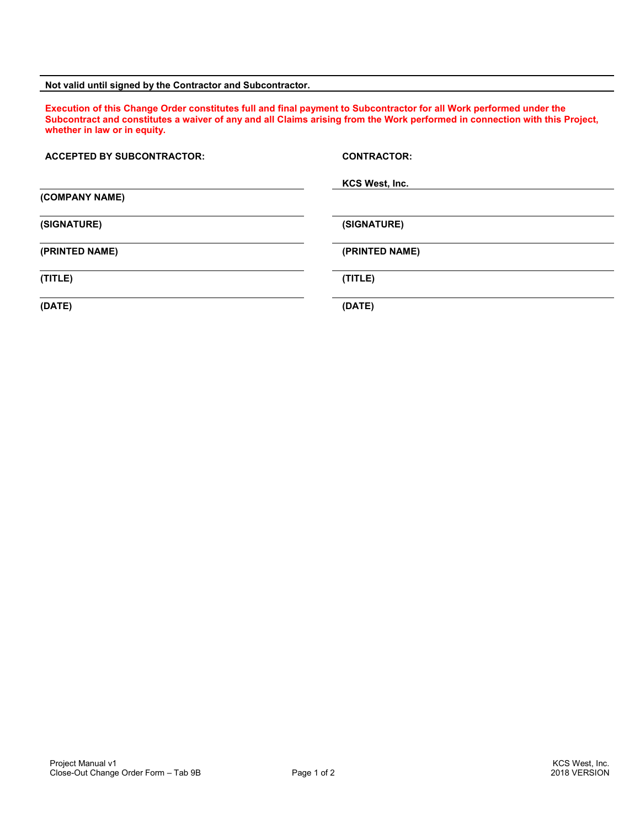#### **Not valid until signed by the Contractor and Subcontractor.**

**Execution of this Change Order constitutes full and final payment to Subcontractor for all Work performed under the Subcontract and constitutes a waiver of any and all Claims arising from the Work performed in connection with this Project, whether in law or in equity.** 

| <b>ACCEPTED BY SUBCONTRACTOR:</b> | <b>CONTRACTOR:</b> |
|-----------------------------------|--------------------|
|                                   | KCS West, Inc.     |
| (COMPANY NAME)                    |                    |
| (SIGNATURE)                       | (SIGNATURE)        |
| (PRINTED NAME)                    | (PRINTED NAME)     |
| (TITLE)                           | (TITLE)            |
| (DATE)                            | (DATE)             |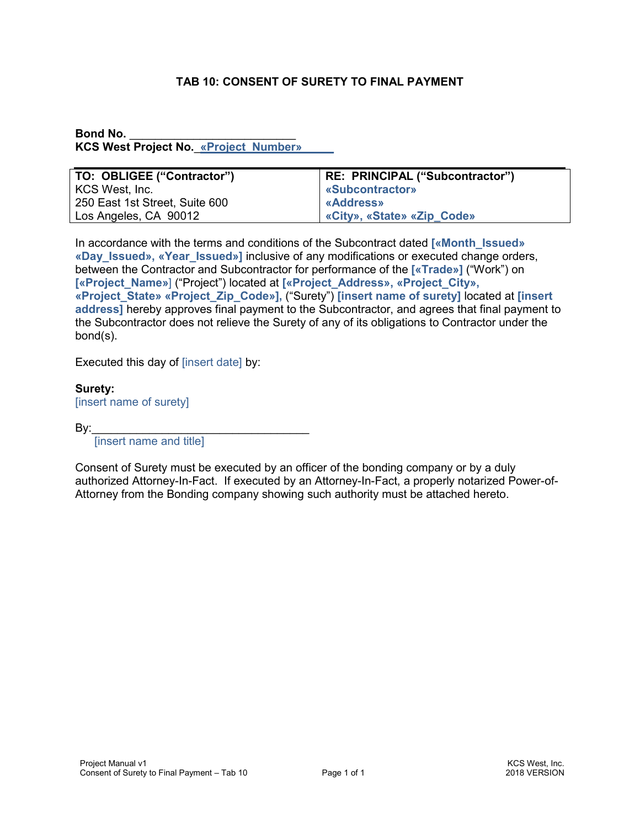# **TAB 10: CONSENT OF SURETY TO FINAL PAYMENT**

#### **Bond No. KCS West Project No. «Project Number»**

| TO: OBLIGEE ("Contractor")     | RE: PRINCIPAL ("Subcontractor") |
|--------------------------------|---------------------------------|
| KCS West, Inc.                 | <b>«Subcontractor»</b>          |
| 250 East 1st Street, Suite 600 | <b>«Address»</b>                |
| Los Angeles, CA 90012          | «City», «State» «Zip_Code»      |

In accordance with the terms and conditions of the Subcontract dated **[«Month\_Issued» «Day\_Issued», «Year\_Issued»]** inclusive of any modifications or executed change orders, between the Contractor and Subcontractor for performance of the **[«Trade»]** ("Work") on **[«Project\_Name»**] ("Project") located at **[«Project\_Address», «Project\_City», «Project\_State» «Project\_Zip\_Code»],** ("Surety") **[insert name of surety]** located at **[insert address]** hereby approves final payment to the Subcontractor, and agrees that final payment to the Subcontractor does not relieve the Surety of any of its obligations to Contractor under the bond(s).

Executed this day of [insert date] by:

**Surety:**  [insert name of surety]

By:\_\_\_\_\_\_\_\_\_\_\_\_\_\_\_\_\_\_\_\_\_\_\_\_\_\_\_\_\_\_\_\_\_\_

[insert name and title]

Consent of Surety must be executed by an officer of the bonding company or by a duly authorized Attorney-In-Fact. If executed by an Attorney-In-Fact, a properly notarized Power-of-Attorney from the Bonding company showing such authority must be attached hereto.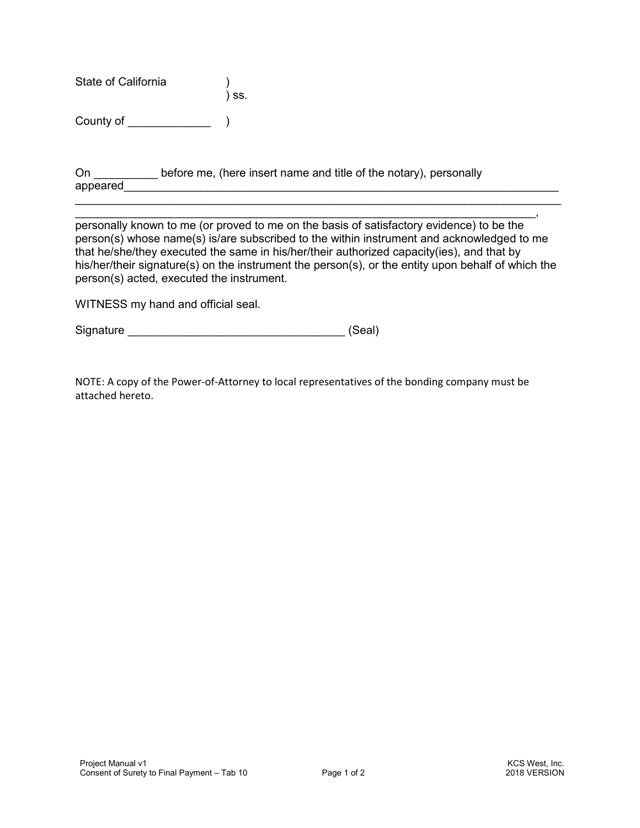State of California

County of \_\_\_\_\_\_\_\_\_\_\_\_\_ )

On before me, (here insert name and title of the notary), personally appeared and the set of the set of the set of the set of the set of the set of the set of the set of the set of the set of the set of the set of the set of the set of the set of the set of the set of the set of the set of

 $\blacksquare$ personally known to me (or proved to me on the basis of satisfactory evidence) to be the person(s) whose name(s) is/are subscribed to the within instrument and acknowledged to me that he/she/they executed the same in his/her/their authorized capacity(ies), and that by his/her/their signature(s) on the instrument the person(s), or the entity upon behalf of which the person(s) acted, executed the instrument.

 $\mathcal{L}_\text{max}$  and  $\mathcal{L}_\text{max}$  and  $\mathcal{L}_\text{max}$  and  $\mathcal{L}_\text{max}$  and  $\mathcal{L}_\text{max}$  and  $\mathcal{L}_\text{max}$ 

WITNESS my hand and official seal.

Signature \_\_\_\_\_\_\_\_\_\_\_\_\_\_\_\_\_\_\_\_\_\_\_\_\_\_\_\_\_\_\_\_\_\_ (Seal)

) ss.

NOTE: A copy of the Power-of-Attorney to local representatives of the bonding company must be attached hereto.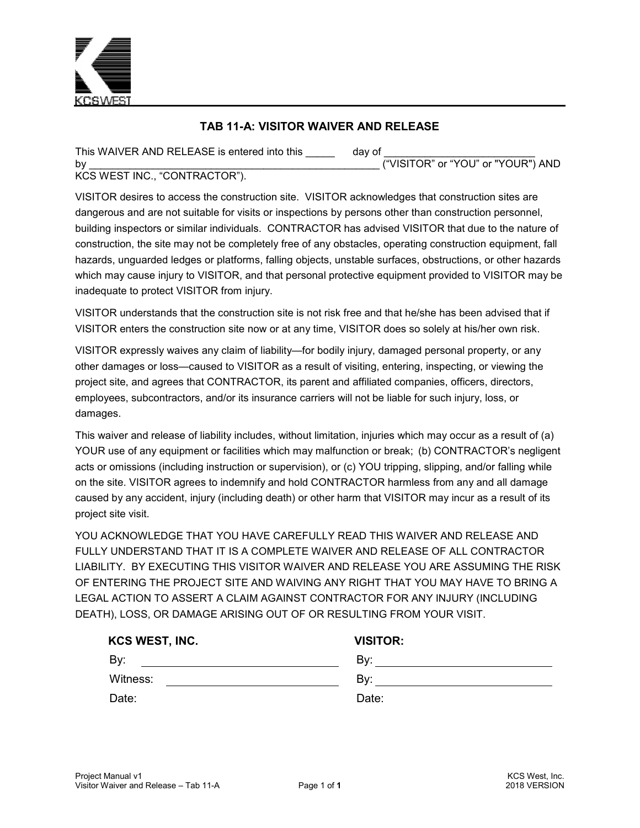

# **TAB 11-A: VISITOR WAIVER AND RELEASE**

This WAIVER AND RELEASE is entered into this \_\_\_\_\_\_\_\_\_ day of by \_\_\_\_\_\_\_\_\_\_\_\_\_\_\_\_\_\_\_\_\_\_\_\_\_\_\_\_\_\_\_\_\_\_\_\_\_\_\_\_\_\_\_\_\_\_\_\_\_\_ ("VISITOR" or "YOU" or "YOUR") AND

KCS WEST INC., "CONTRACTOR").

VISITOR desires to access the construction site. VISITOR acknowledges that construction sites are dangerous and are not suitable for visits or inspections by persons other than construction personnel, building inspectors or similar individuals. CONTRACTOR has advised VISITOR that due to the nature of construction, the site may not be completely free of any obstacles, operating construction equipment, fall hazards, unguarded ledges or platforms, falling objects, unstable surfaces, obstructions, or other hazards which may cause injury to VISITOR, and that personal protective equipment provided to VISITOR may be inadequate to protect VISITOR from injury.

VISITOR understands that the construction site is not risk free and that he/she has been advised that if VISITOR enters the construction site now or at any time, VISITOR does so solely at his/her own risk.

VISITOR expressly waives any claim of liability—for bodily injury, damaged personal property, or any other damages or loss—caused to VISITOR as a result of visiting, entering, inspecting, or viewing the project site, and agrees that CONTRACTOR, its parent and affiliated companies, officers, directors, employees, subcontractors, and/or its insurance carriers will not be liable for such injury, loss, or damages.

This waiver and release of liability includes, without limitation, injuries which may occur as a result of (a) YOUR use of any equipment or facilities which may malfunction or break;  (b) CONTRACTOR's negligent acts or omissions (including instruction or supervision), or (c) YOU tripping, slipping, and/or falling while on the site. VISITOR agrees to indemnify and hold CONTRACTOR harmless from any and all damage caused by any accident, injury (including death) or other harm that VISITOR may incur as a result of its project site visit.

YOU ACKNOWLEDGE THAT YOU HAVE CAREFULLY READ THIS WAIVER AND RELEASE AND FULLY UNDERSTAND THAT IT IS A COMPLETE WAIVER AND RELEASE OF ALL CONTRACTOR LIABILITY. BY EXECUTING THIS VISITOR WAIVER AND RELEASE YOU ARE ASSUMING THE RISK OF ENTERING THE PROJECT SITE AND WAIVING ANY RIGHT THAT YOU MAY HAVE TO BRING A LEGAL ACTION TO ASSERT A CLAIM AGAINST CONTRACTOR FOR ANY INJURY (INCLUDING DEATH), LOSS, OR DAMAGE ARISING OUT OF OR RESULTING FROM YOUR VISIT.

| KCS WEST, INC. | <b>VISITOR:</b> |
|----------------|-----------------|
| By:            | Bv:             |
| Witness:       | Bv:             |
| Date:          | Date:           |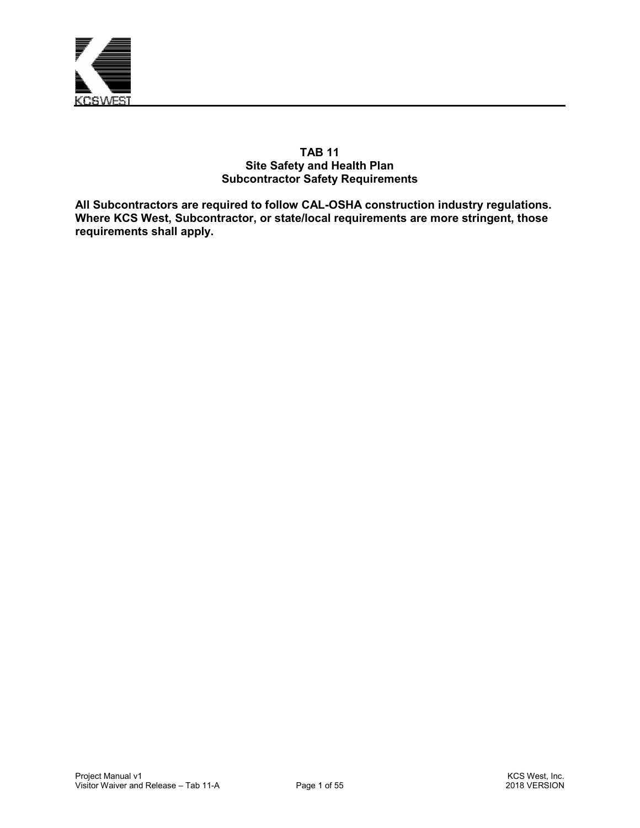

#### **TAB 11 Site Safety and Health Plan Subcontractor Safety Requirements**

**All Subcontractors are required to follow CAL-OSHA construction industry regulations. Where KCS West, Subcontractor, or state/local requirements are more stringent, those requirements shall apply.**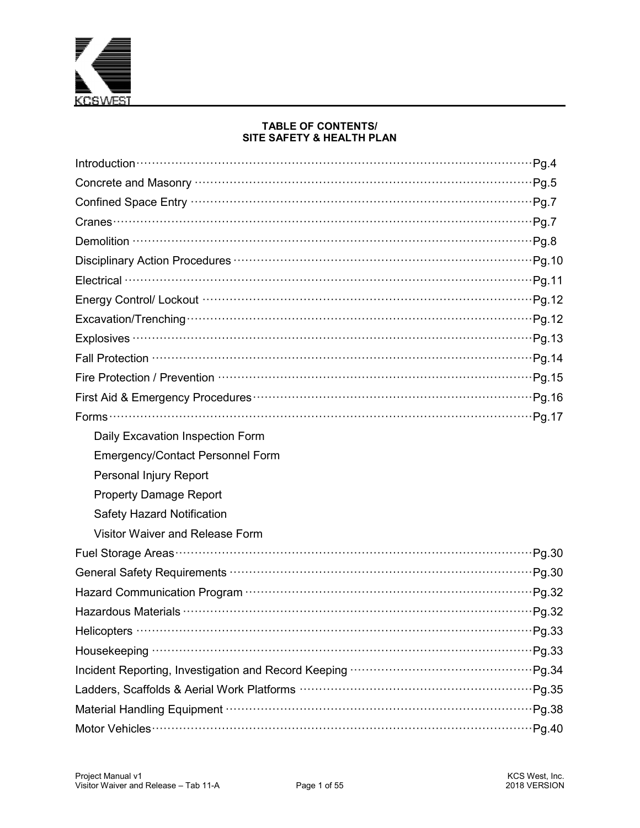

#### **TABLE OF CONTENTS/** SITE SAFETY & HEALTH PLAN

| Introduction $\cdots$ $\cdots$ $\cdots$ $\cdots$ $\cdots$ $\cdots$ $\cdots$ $\cdots$ $\cdots$ $\cdots$ $\cdots$ $\cdots$ $\cdots$ $\cdots$ $\cdots$ $\cdots$ $\cdots$ $\cdots$ $\cdots$ $\cdots$ $\cdots$ $\cdots$ $\cdots$ $\cdots$ |
|--------------------------------------------------------------------------------------------------------------------------------------------------------------------------------------------------------------------------------------|
|                                                                                                                                                                                                                                      |
|                                                                                                                                                                                                                                      |
|                                                                                                                                                                                                                                      |
|                                                                                                                                                                                                                                      |
|                                                                                                                                                                                                                                      |
|                                                                                                                                                                                                                                      |
|                                                                                                                                                                                                                                      |
|                                                                                                                                                                                                                                      |
|                                                                                                                                                                                                                                      |
|                                                                                                                                                                                                                                      |
|                                                                                                                                                                                                                                      |
|                                                                                                                                                                                                                                      |
|                                                                                                                                                                                                                                      |
| Daily Excavation Inspection Form                                                                                                                                                                                                     |
| <b>Emergency/Contact Personnel Form</b>                                                                                                                                                                                              |
| Personal Injury Report                                                                                                                                                                                                               |
| <b>Property Damage Report</b>                                                                                                                                                                                                        |
| <b>Safety Hazard Notification</b>                                                                                                                                                                                                    |
| Visitor Waiver and Release Form                                                                                                                                                                                                      |
|                                                                                                                                                                                                                                      |
|                                                                                                                                                                                                                                      |
|                                                                                                                                                                                                                                      |
| Hazardous Materials <b>William Community Community</b> Pg.32                                                                                                                                                                         |
|                                                                                                                                                                                                                                      |
|                                                                                                                                                                                                                                      |
|                                                                                                                                                                                                                                      |
|                                                                                                                                                                                                                                      |
|                                                                                                                                                                                                                                      |
|                                                                                                                                                                                                                                      |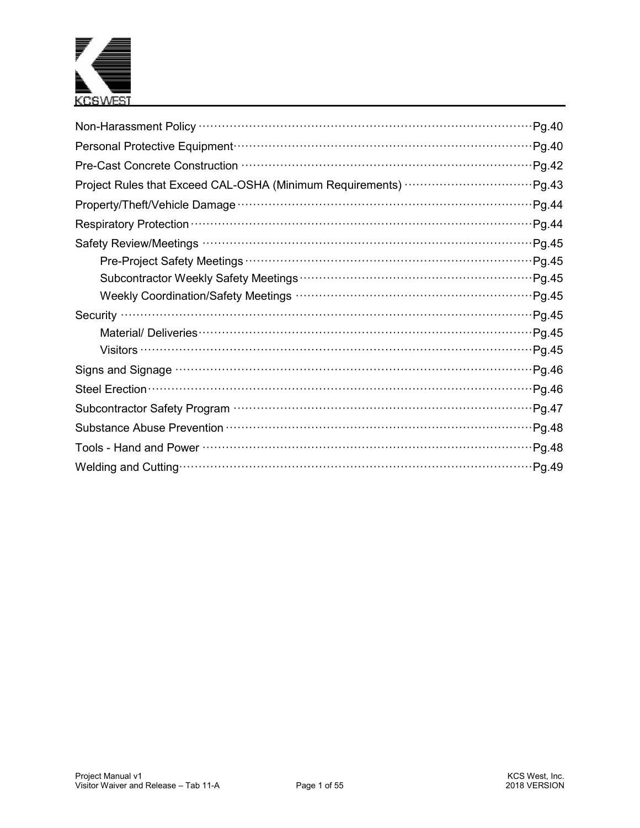

| Pg.40                                                                                                                   |
|-------------------------------------------------------------------------------------------------------------------------|
| Pg.40                                                                                                                   |
| Pg.42                                                                                                                   |
| Project Rules that Exceed CAL-OSHA (Minimum Requirements)<br>Pg.43                                                      |
| Pg.44                                                                                                                   |
| Respiratory Protection (100) March 1997 (100) March 1997 (100) March 1997 (100) March 1997 (100) March 1997 (1<br>Pg.44 |
| Pg.45                                                                                                                   |
|                                                                                                                         |
|                                                                                                                         |
| Pg.45                                                                                                                   |
| Pg.45<br>Security                                                                                                       |
| Pg.45                                                                                                                   |
| Pg.45                                                                                                                   |
| Pg.46                                                                                                                   |
| Pg.46                                                                                                                   |
| Pg.47                                                                                                                   |
| Pg.48                                                                                                                   |
| Pg.48                                                                                                                   |
| Pg.49                                                                                                                   |
|                                                                                                                         |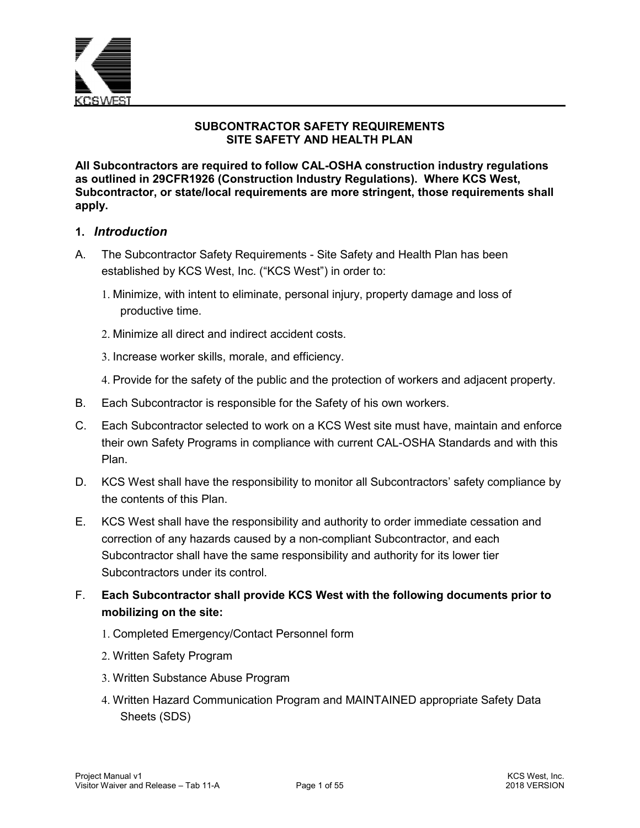

## **SUBCONTRACTOR SAFETY REQUIREMENTS SITE SAFETY AND HEALTH PLAN**

**All Subcontractors are required to follow CAL-OSHA construction industry regulations as outlined in 29CFR1926 (Construction Industry Regulations). Where KCS West, Subcontractor, or state/local requirements are more stringent, those requirements shall apply.** 

### **1.** *Introduction*

- A. The Subcontractor Safety Requirements Site Safety and Health Plan has been established by KCS West, Inc. ("KCS West") in order to:
	- 1. Minimize, with intent to eliminate, personal injury, property damage and loss of productive time.
	- 2. Minimize all direct and indirect accident costs.
	- 3. Increase worker skills, morale, and efficiency.
	- 4. Provide for the safety of the public and the protection of workers and adjacent property.
- B. Each Subcontractor is responsible for the Safety of his own workers.
- C. Each Subcontractor selected to work on a KCS West site must have, maintain and enforce their own Safety Programs in compliance with current CAL-OSHA Standards and with this Plan.
- D. KCS West shall have the responsibility to monitor all Subcontractors' safety compliance by the contents of this Plan.
- E. KCS West shall have the responsibility and authority to order immediate cessation and correction of any hazards caused by a non-compliant Subcontractor, and each Subcontractor shall have the same responsibility and authority for its lower tier Subcontractors under its control.
- F. **Each Subcontractor shall provide KCS West with the following documents prior to mobilizing on the site:** 
	- 1. Completed Emergency/Contact Personnel form
	- 2. Written Safety Program
	- 3. Written Substance Abuse Program
	- 4. Written Hazard Communication Program and MAINTAINED appropriate Safety Data Sheets (SDS)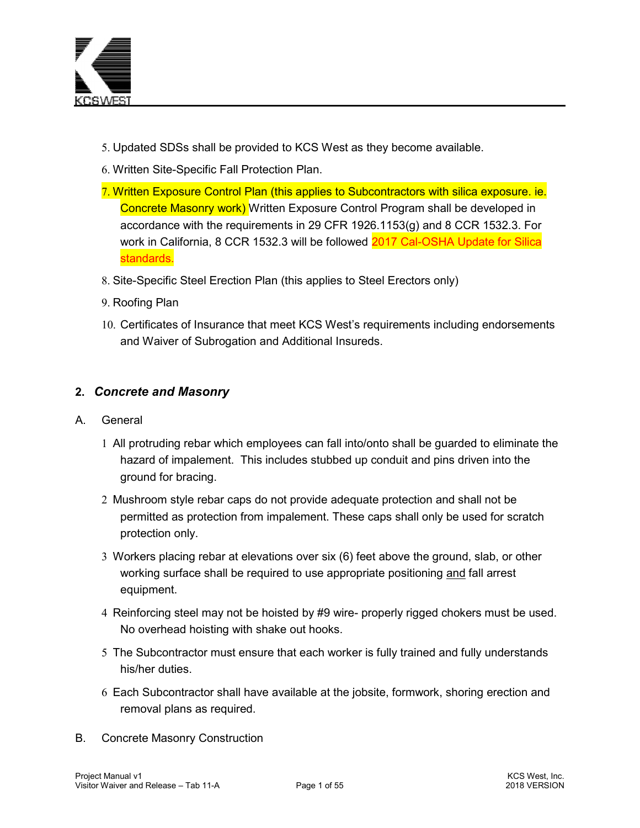

- 5. Updated SDSs shall be provided to KCS West as they become available.
- 6. Written Site-Specific Fall Protection Plan.
- 7. Written Exposure Control Plan (this applies to Subcontractors with silica exposure. ie. Concrete Masonry work) Written Exposure Control Program shall be developed in accordance with the requirements in 29 CFR 1926.1153(g) and 8 CCR 1532.3. For work in California, 8 CCR 1532.3 will be followed 2017 Cal-OSHA Update for Silica standards.
- 8. Site-Specific Steel Erection Plan (this applies to Steel Erectors only)
- 9. Roofing Plan
- 10. Certificates of Insurance that meet KCS West's requirements including endorsements and Waiver of Subrogation and Additional Insureds.

## **2.** *Concrete and Masonry*

- A. General
	- 1 All protruding rebar which employees can fall into/onto shall be guarded to eliminate the hazard of impalement. This includes stubbed up conduit and pins driven into the ground for bracing.
	- 2 Mushroom style rebar caps do not provide adequate protection and shall not be permitted as protection from impalement. These caps shall only be used for scratch protection only.
	- 3 Workers placing rebar at elevations over six (6) feet above the ground, slab, or other working surface shall be required to use appropriate positioning and fall arrest equipment.
	- 4 Reinforcing steel may not be hoisted by #9 wire- properly rigged chokers must be used. No overhead hoisting with shake out hooks.
	- 5 The Subcontractor must ensure that each worker is fully trained and fully understands his/her duties.
	- 6 Each Subcontractor shall have available at the jobsite, formwork, shoring erection and removal plans as required.
- B. Concrete Masonry Construction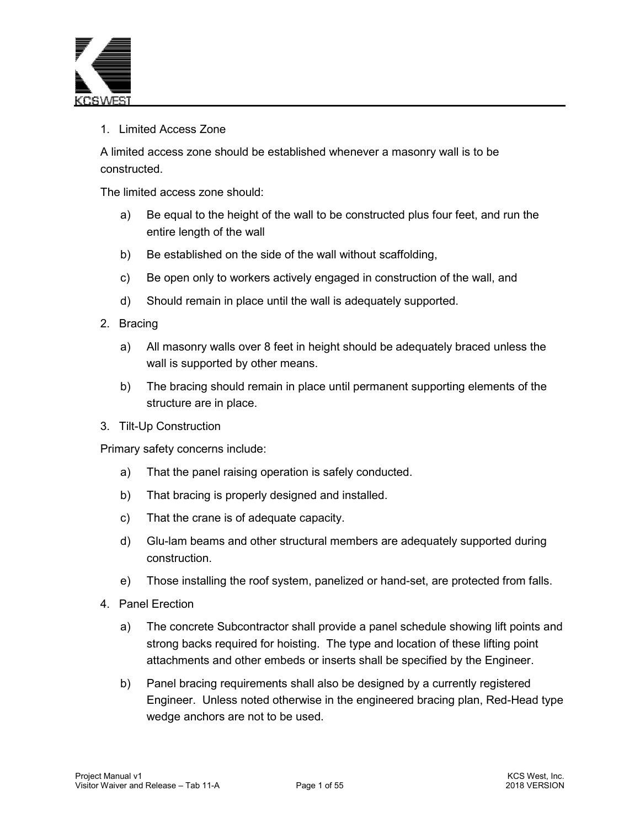

## 1. Limited Access Zone

A limited access zone should be established whenever a masonry wall is to be constructed.

The limited access zone should:

- a) Be equal to the height of the wall to be constructed plus four feet, and run the entire length of the wall
- b) Be established on the side of the wall without scaffolding,
- c) Be open only to workers actively engaged in construction of the wall, and
- d) Should remain in place until the wall is adequately supported.
- 2. Bracing
	- a) All masonry walls over 8 feet in height should be adequately braced unless the wall is supported by other means.
	- b) The bracing should remain in place until permanent supporting elements of the structure are in place.
- 3. Tilt-Up Construction

Primary safety concerns include:

- a) That the panel raising operation is safely conducted.
- b) That bracing is properly designed and installed.
- c) That the crane is of adequate capacity.
- d) Glu-lam beams and other structural members are adequately supported during construction.
- e) Those installing the roof system, panelized or hand-set, are protected from falls.
- 4. Panel Erection
	- a) The concrete Subcontractor shall provide a panel schedule showing lift points and strong backs required for hoisting. The type and location of these lifting point attachments and other embeds or inserts shall be specified by the Engineer.
	- b) Panel bracing requirements shall also be designed by a currently registered Engineer. Unless noted otherwise in the engineered bracing plan, Red-Head type wedge anchors are not to be used.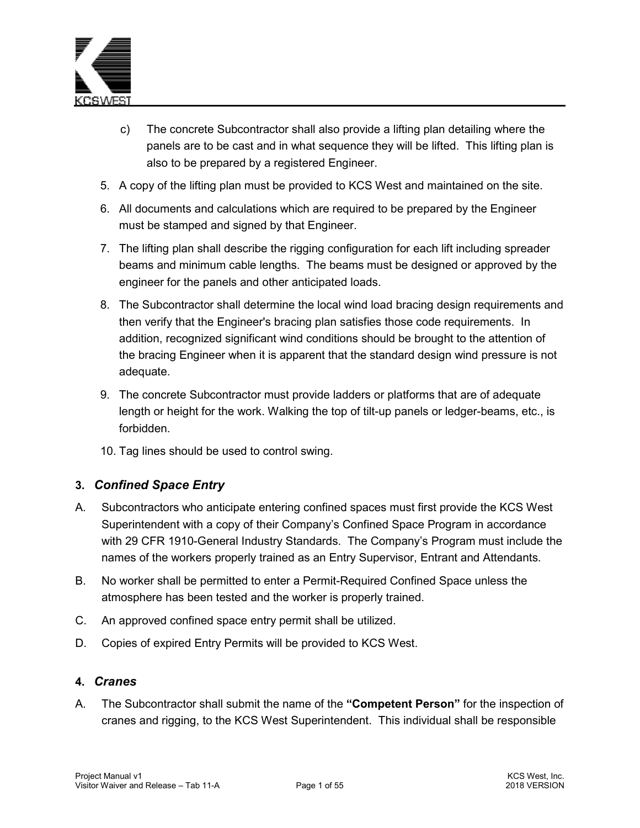

- c) The concrete Subcontractor shall also provide a lifting plan detailing where the panels are to be cast and in what sequence they will be lifted. This lifting plan is also to be prepared by a registered Engineer.
- 5. A copy of the lifting plan must be provided to KCS West and maintained on the site.
- 6. All documents and calculations which are required to be prepared by the Engineer must be stamped and signed by that Engineer.
- 7. The lifting plan shall describe the rigging configuration for each lift including spreader beams and minimum cable lengths. The beams must be designed or approved by the engineer for the panels and other anticipated loads.
- 8. The Subcontractor shall determine the local wind load bracing design requirements and then verify that the Engineer's bracing plan satisfies those code requirements. In addition, recognized significant wind conditions should be brought to the attention of the bracing Engineer when it is apparent that the standard design wind pressure is not adequate.
- 9. The concrete Subcontractor must provide ladders or platforms that are of adequate length or height for the work. Walking the top of tilt-up panels or ledger-beams, etc., is forbidden.
- 10. Tag lines should be used to control swing.

## **3.** *Confined Space Entry*

- A. Subcontractors who anticipate entering confined spaces must first provide the KCS West Superintendent with a copy of their Company's Confined Space Program in accordance with 29 CFR 1910-General Industry Standards. The Company's Program must include the names of the workers properly trained as an Entry Supervisor, Entrant and Attendants.
- B. No worker shall be permitted to enter a Permit-Required Confined Space unless the atmosphere has been tested and the worker is properly trained.
- C. An approved confined space entry permit shall be utilized.
- D. Copies of expired Entry Permits will be provided to KCS West.

#### **4.** *Cranes*

A. The Subcontractor shall submit the name of the **"Competent Person"** for the inspection of cranes and rigging, to the KCS West Superintendent. This individual shall be responsible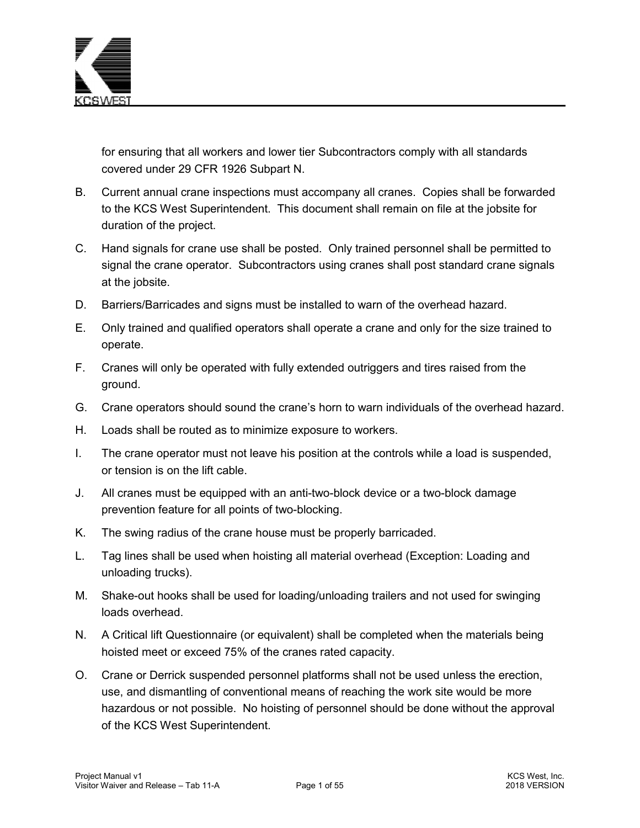

for ensuring that all workers and lower tier Subcontractors comply with all standards covered under 29 CFR 1926 Subpart N.

- B. Current annual crane inspections must accompany all cranes. Copies shall be forwarded to the KCS West Superintendent. This document shall remain on file at the jobsite for duration of the project.
- C. Hand signals for crane use shall be posted. Only trained personnel shall be permitted to signal the crane operator. Subcontractors using cranes shall post standard crane signals at the jobsite.
- D. Barriers/Barricades and signs must be installed to warn of the overhead hazard.
- E. Only trained and qualified operators shall operate a crane and only for the size trained to operate.
- F. Cranes will only be operated with fully extended outriggers and tires raised from the ground.
- G. Crane operators should sound the crane's horn to warn individuals of the overhead hazard.
- H. Loads shall be routed as to minimize exposure to workers.
- I. The crane operator must not leave his position at the controls while a load is suspended, or tension is on the lift cable.
- J. All cranes must be equipped with an anti-two-block device or a two-block damage prevention feature for all points of two-blocking.
- K. The swing radius of the crane house must be properly barricaded.
- L. Tag lines shall be used when hoisting all material overhead (Exception: Loading and unloading trucks).
- M. Shake-out hooks shall be used for loading/unloading trailers and not used for swinging loads overhead.
- N. A Critical lift Questionnaire (or equivalent) shall be completed when the materials being hoisted meet or exceed 75% of the cranes rated capacity.
- O. Crane or Derrick suspended personnel platforms shall not be used unless the erection, use, and dismantling of conventional means of reaching the work site would be more hazardous or not possible. No hoisting of personnel should be done without the approval of the KCS West Superintendent.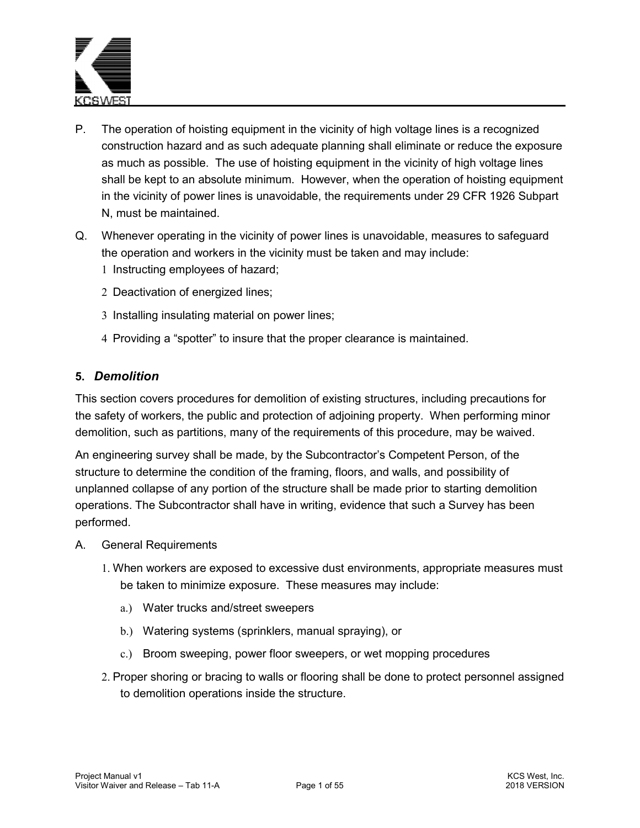

- P. The operation of hoisting equipment in the vicinity of high voltage lines is a recognized construction hazard and as such adequate planning shall eliminate or reduce the exposure as much as possible. The use of hoisting equipment in the vicinity of high voltage lines shall be kept to an absolute minimum. However, when the operation of hoisting equipment in the vicinity of power lines is unavoidable, the requirements under 29 CFR 1926 Subpart N, must be maintained.
- Q. Whenever operating in the vicinity of power lines is unavoidable, measures to safeguard the operation and workers in the vicinity must be taken and may include: 1 Instructing employees of hazard;
	- 2 Deactivation of energized lines;
	- 3 Installing insulating material on power lines;
	- 4 Providing a "spotter" to insure that the proper clearance is maintained.

### **5.** *Demolition*

This section covers procedures for demolition of existing structures, including precautions for the safety of workers, the public and protection of adjoining property. When performing minor demolition, such as partitions, many of the requirements of this procedure, may be waived.

An engineering survey shall be made, by the Subcontractor's Competent Person, of the structure to determine the condition of the framing, floors, and walls, and possibility of unplanned collapse of any portion of the structure shall be made prior to starting demolition operations. The Subcontractor shall have in writing, evidence that such a Survey has been performed.

- A. General Requirements
	- 1. When workers are exposed to excessive dust environments, appropriate measures must be taken to minimize exposure. These measures may include:
		- a.) Water trucks and/street sweepers
		- b.) Watering systems (sprinklers, manual spraying), or
		- c.) Broom sweeping, power floor sweepers, or wet mopping procedures
	- 2. Proper shoring or bracing to walls or flooring shall be done to protect personnel assigned to demolition operations inside the structure.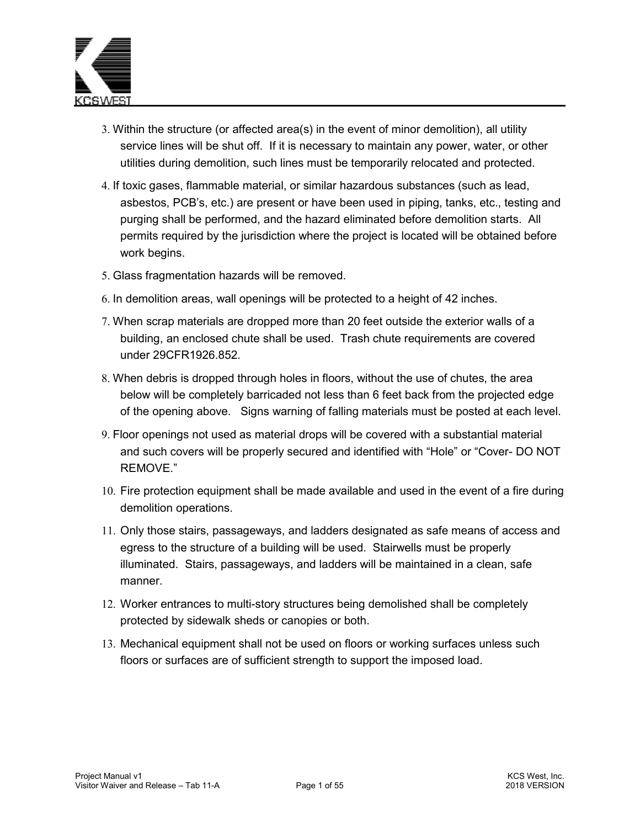

- 3. Within the structure (or affected area(s) in the event of minor demolition), all utility service lines will be shut off. If it is necessary to maintain any power, water, or other utilities during demolition, such lines must be temporarily relocated and protected.
- 4. If toxic gases, flammable material, or similar hazardous substances (such as lead, asbestos, PCB's, etc.) are present or have been used in piping, tanks, etc., testing and purging shall be performed, and the hazard eliminated before demolition starts. All permits required by the jurisdiction where the project is located will be obtained before work begins.
- 5. Glass fragmentation hazards will be removed.
- 6. In demolition areas, wall openings will be protected to a height of 42 inches.
- 7. When scrap materials are dropped more than 20 feet outside the exterior walls of a building, an enclosed chute shall be used. Trash chute requirements are covered under 29CFR1926.852.
- 8. When debris is dropped through holes in floors, without the use of chutes, the area below will be completely barricaded not less than 6 feet back from the projected edge of the opening above. Signs warning of falling materials must be posted at each level.
- 9. Floor openings not used as material drops will be covered with a substantial material and such covers will be properly secured and identified with "Hole" or "Cover- DO NOT REMOVE."
- 10. Fire protection equipment shall be made available and used in the event of a fire during demolition operations.
- 11. Only those stairs, passageways, and ladders designated as safe means of access and egress to the structure of a building will be used. Stairwells must be properly illuminated. Stairs, passageways, and ladders will be maintained in a clean, safe manner.
- 12. Worker entrances to multi-story structures being demolished shall be completely protected by sidewalk sheds or canopies or both.
- 13. Mechanical equipment shall not be used on floors or working surfaces unless such floors or surfaces are of sufficient strength to support the imposed load.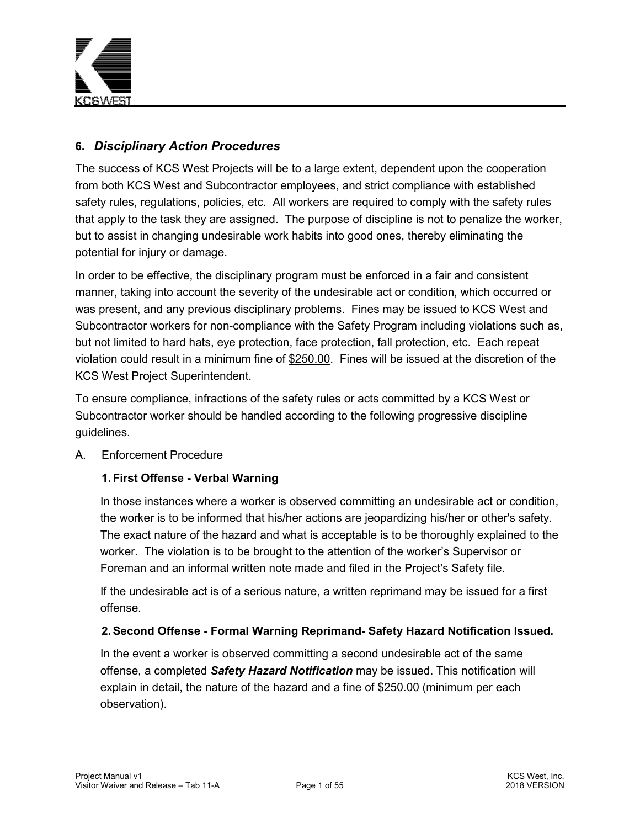

# **6.** *Disciplinary Action Procedures*

The success of KCS West Projects will be to a large extent, dependent upon the cooperation from both KCS West and Subcontractor employees, and strict compliance with established safety rules, regulations, policies, etc. All workers are required to comply with the safety rules that apply to the task they are assigned. The purpose of discipline is not to penalize the worker, but to assist in changing undesirable work habits into good ones, thereby eliminating the potential for injury or damage.

In order to be effective, the disciplinary program must be enforced in a fair and consistent manner, taking into account the severity of the undesirable act or condition, which occurred or was present, and any previous disciplinary problems. Fines may be issued to KCS West and Subcontractor workers for non-compliance with the Safety Program including violations such as, but not limited to hard hats, eye protection, face protection, fall protection, etc. Each repeat violation could result in a minimum fine of \$250.00. Fines will be issued at the discretion of the KCS West Project Superintendent.

To ensure compliance, infractions of the safety rules or acts committed by a KCS West or Subcontractor worker should be handled according to the following progressive discipline guidelines.

## A. Enforcement Procedure

## **1. First Offense - Verbal Warning**

In those instances where a worker is observed committing an undesirable act or condition, the worker is to be informed that his/her actions are jeopardizing his/her or other's safety. The exact nature of the hazard and what is acceptable is to be thoroughly explained to the worker. The violation is to be brought to the attention of the worker's Supervisor or Foreman and an informal written note made and filed in the Project's Safety file.

If the undesirable act is of a serious nature, a written reprimand may be issued for a first offense.

## **2. Second Offense - Formal Warning Reprimand- Safety Hazard Notification Issued.**

In the event a worker is observed committing a second undesirable act of the same offense, a completed *Safety Hazard Notification* may be issued. This notification will explain in detail, the nature of the hazard and a fine of \$250.00 (minimum per each observation).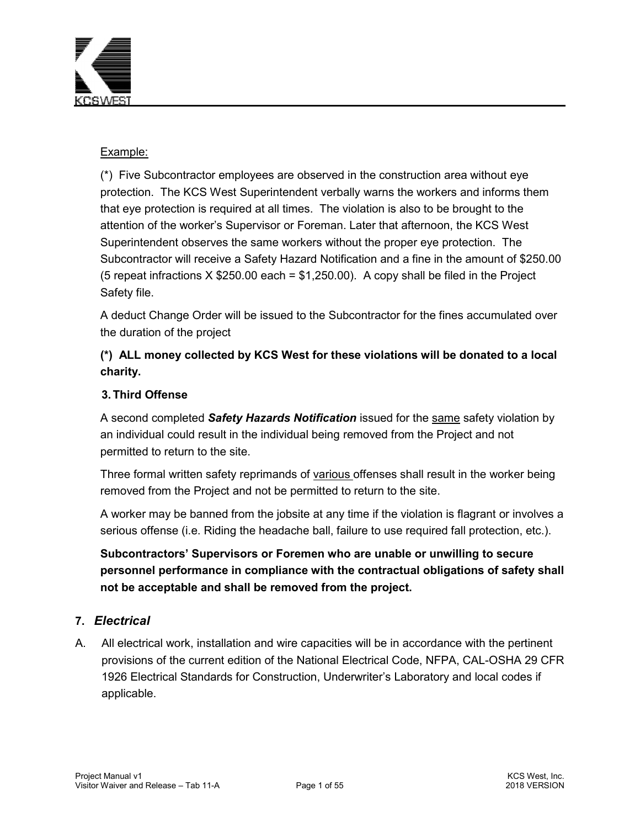

### Example:

(\*) Five Subcontractor employees are observed in the construction area without eye protection. The KCS West Superintendent verbally warns the workers and informs them that eye protection is required at all times. The violation is also to be brought to the attention of the worker's Supervisor or Foreman. Later that afternoon, the KCS West Superintendent observes the same workers without the proper eye protection. The Subcontractor will receive a Safety Hazard Notification and a fine in the amount of \$250.00 (5 repeat infractions  $X $250.00$  each = \$1,250.00). A copy shall be filed in the Project Safety file.

A deduct Change Order will be issued to the Subcontractor for the fines accumulated over the duration of the project

# **(\*) ALL money collected by KCS West for these violations will be donated to a local charity.**

## **3. Third Offense**

A second completed *Safety Hazards Notification* issued for the same safety violation by an individual could result in the individual being removed from the Project and not permitted to return to the site.

Three formal written safety reprimands of various offenses shall result in the worker being removed from the Project and not be permitted to return to the site.

A worker may be banned from the jobsite at any time if the violation is flagrant or involves a serious offense (i.e. Riding the headache ball, failure to use required fall protection, etc.).

**Subcontractors' Supervisors or Foremen who are unable or unwilling to secure personnel performance in compliance with the contractual obligations of safety shall not be acceptable and shall be removed from the project.** 

## **7.** *Electrical*

A. All electrical work, installation and wire capacities will be in accordance with the pertinent provisions of the current edition of the National Electrical Code, NFPA, CAL-OSHA 29 CFR 1926 Electrical Standards for Construction, Underwriter's Laboratory and local codes if applicable.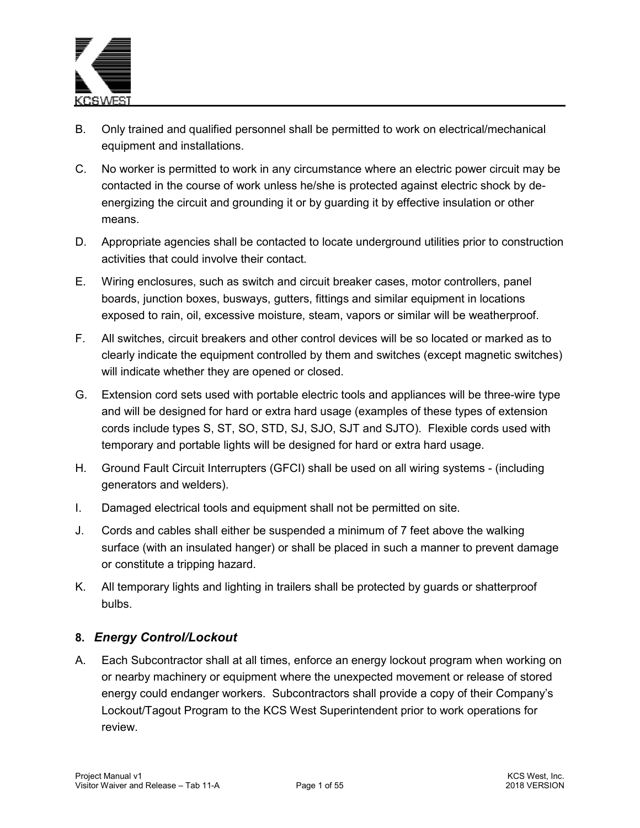

- B. Only trained and qualified personnel shall be permitted to work on electrical/mechanical equipment and installations.
- C. No worker is permitted to work in any circumstance where an electric power circuit may be contacted in the course of work unless he/she is protected against electric shock by deenergizing the circuit and grounding it or by guarding it by effective insulation or other means.
- D. Appropriate agencies shall be contacted to locate underground utilities prior to construction activities that could involve their contact.
- E. Wiring enclosures, such as switch and circuit breaker cases, motor controllers, panel boards, junction boxes, busways, gutters, fittings and similar equipment in locations exposed to rain, oil, excessive moisture, steam, vapors or similar will be weatherproof.
- F. All switches, circuit breakers and other control devices will be so located or marked as to clearly indicate the equipment controlled by them and switches (except magnetic switches) will indicate whether they are opened or closed.
- G. Extension cord sets used with portable electric tools and appliances will be three-wire type and will be designed for hard or extra hard usage (examples of these types of extension cords include types S, ST, SO, STD, SJ, SJO, SJT and SJTO). Flexible cords used with temporary and portable lights will be designed for hard or extra hard usage.
- H. Ground Fault Circuit Interrupters (GFCI) shall be used on all wiring systems (including generators and welders).
- I. Damaged electrical tools and equipment shall not be permitted on site.
- J. Cords and cables shall either be suspended a minimum of 7 feet above the walking surface (with an insulated hanger) or shall be placed in such a manner to prevent damage or constitute a tripping hazard.
- K. All temporary lights and lighting in trailers shall be protected by guards or shatterproof bulbs.

## **8.** *Energy Control/Lockout*

A. Each Subcontractor shall at all times, enforce an energy lockout program when working on or nearby machinery or equipment where the unexpected movement or release of stored energy could endanger workers. Subcontractors shall provide a copy of their Company's Lockout/Tagout Program to the KCS West Superintendent prior to work operations for review.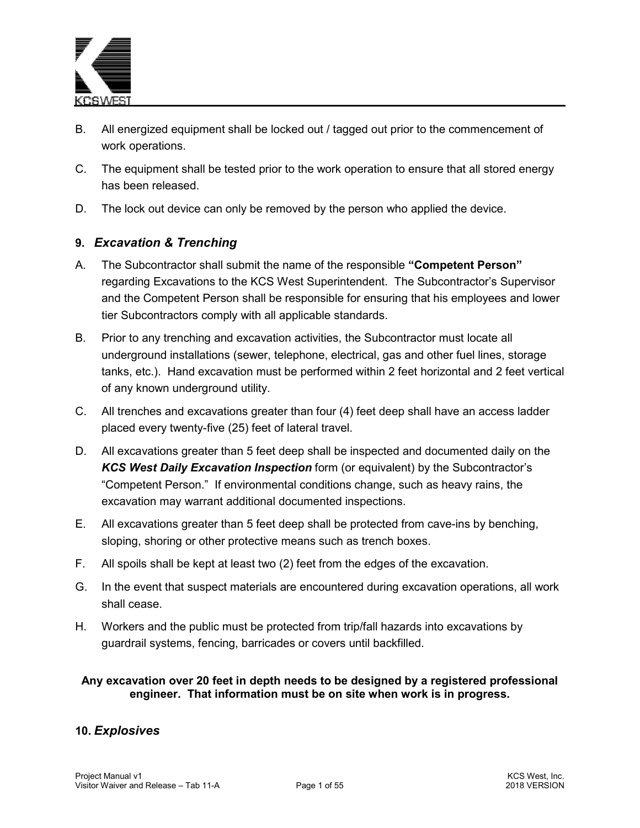

- B. All energized equipment shall be locked out / tagged out prior to the commencement of work operations.
- C. The equipment shall be tested prior to the work operation to ensure that all stored energy has been released.
- D. The lock out device can only be removed by the person who applied the device.

## **9.** *Excavation & Trenching*

- A. The Subcontractor shall submit the name of the responsible **"Competent Person"** regarding Excavations to the KCS West Superintendent. The Subcontractor's Supervisor and the Competent Person shall be responsible for ensuring that his employees and lower tier Subcontractors comply with all applicable standards.
- B. Prior to any trenching and excavation activities, the Subcontractor must locate all underground installations (sewer, telephone, electrical, gas and other fuel lines, storage tanks, etc.). Hand excavation must be performed within 2 feet horizontal and 2 feet vertical of any known underground utility.
- C. All trenches and excavations greater than four (4) feet deep shall have an access ladder placed every twenty-five (25) feet of lateral travel.
- D. All excavations greater than 5 feet deep shall be inspected and documented daily on the *KCS West Daily Excavation Inspection* form (or equivalent) by the Subcontractor's "Competent Person." If environmental conditions change, such as heavy rains, the excavation may warrant additional documented inspections.
- E. All excavations greater than 5 feet deep shall be protected from cave-ins by benching, sloping, shoring or other protective means such as trench boxes.
- F. All spoils shall be kept at least two (2) feet from the edges of the excavation.
- G. In the event that suspect materials are encountered during excavation operations, all work shall cease.
- H. Workers and the public must be protected from trip/fall hazards into excavations by guardrail systems, fencing, barricades or covers until backfilled.

### **Any excavation over 20 feet in depth needs to be designed by a registered professional engineer. That information must be on site when work is in progress.**

## **10.** *Explosives*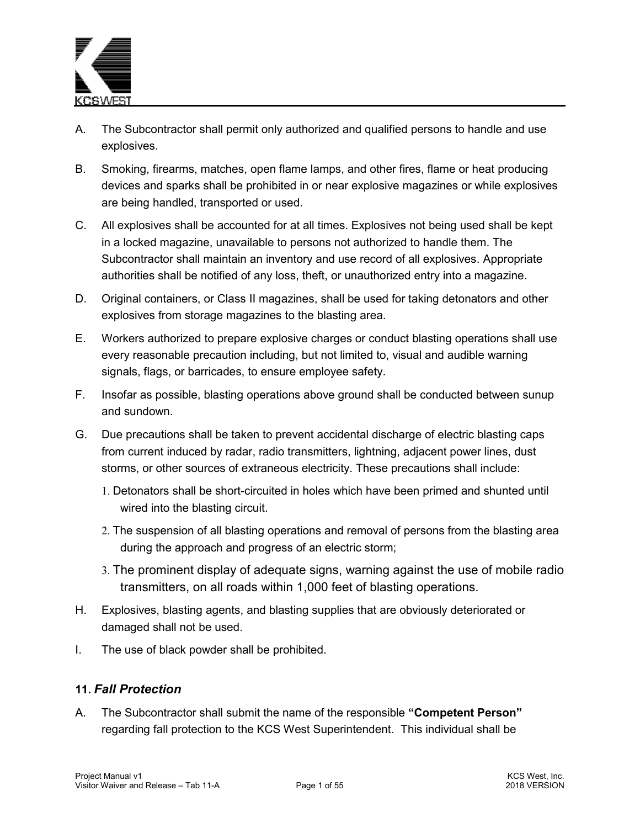

- A. The Subcontractor shall permit only authorized and qualified persons to handle and use explosives.
- B. Smoking, firearms, matches, open flame lamps, and other fires, flame or heat producing devices and sparks shall be prohibited in or near explosive magazines or while explosives are being handled, transported or used.
- C. All explosives shall be accounted for at all times. Explosives not being used shall be kept in a locked magazine, unavailable to persons not authorized to handle them. The Subcontractor shall maintain an inventory and use record of all explosives. Appropriate authorities shall be notified of any loss, theft, or unauthorized entry into a magazine.
- D. Original containers, or Class II magazines, shall be used for taking detonators and other explosives from storage magazines to the blasting area.
- E. Workers authorized to prepare explosive charges or conduct blasting operations shall use every reasonable precaution including, but not limited to, visual and audible warning signals, flags, or barricades, to ensure employee safety.
- F. Insofar as possible, blasting operations above ground shall be conducted between sunup and sundown.
- G. Due precautions shall be taken to prevent accidental discharge of electric blasting caps from current induced by radar, radio transmitters, lightning, adjacent power lines, dust storms, or other sources of extraneous electricity. These precautions shall include:
	- 1. Detonators shall be short-circuited in holes which have been primed and shunted until wired into the blasting circuit.
	- 2. The suspension of all blasting operations and removal of persons from the blasting area during the approach and progress of an electric storm;
	- 3. The prominent display of adequate signs, warning against the use of mobile radio transmitters, on all roads within 1,000 feet of blasting operations.
- H. Explosives, blasting agents, and blasting supplies that are obviously deteriorated or damaged shall not be used.
- I. The use of black powder shall be prohibited.

## **11.** *Fall Protection*

A. The Subcontractor shall submit the name of the responsible **"Competent Person"** regarding fall protection to the KCS West Superintendent. This individual shall be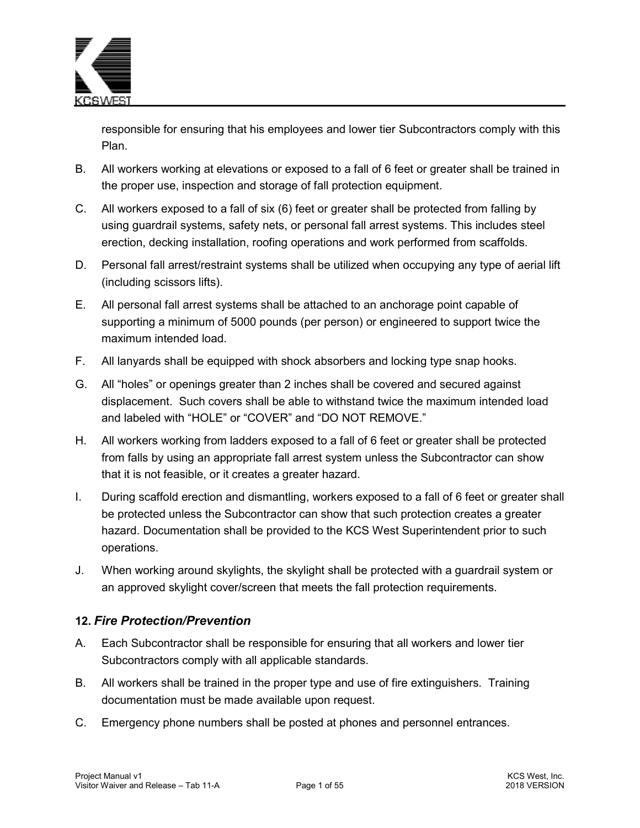

responsible for ensuring that his employees and lower tier Subcontractors comply with this Plan.

- B. All workers working at elevations or exposed to a fall of 6 feet or greater shall be trained in the proper use, inspection and storage of fall protection equipment.
- C. All workers exposed to a fall of six (6) feet or greater shall be protected from falling by using guardrail systems, safety nets, or personal fall arrest systems. This includes steel erection, decking installation, roofing operations and work performed from scaffolds.
- D. Personal fall arrest/restraint systems shall be utilized when occupying any type of aerial lift (including scissors lifts).
- E. All personal fall arrest systems shall be attached to an anchorage point capable of supporting a minimum of 5000 pounds (per person) or engineered to support twice the maximum intended load.
- F. All lanyards shall be equipped with shock absorbers and locking type snap hooks.
- G. All "holes" or openings greater than 2 inches shall be covered and secured against displacement. Such covers shall be able to withstand twice the maximum intended load and labeled with "HOLE" or "COVER" and "DO NOT REMOVE."
- H. All workers working from ladders exposed to a fall of 6 feet or greater shall be protected from falls by using an appropriate fall arrest system unless the Subcontractor can show that it is not feasible, or it creates a greater hazard.
- I. During scaffold erection and dismantling, workers exposed to a fall of 6 feet or greater shall be protected unless the Subcontractor can show that such protection creates a greater hazard. Documentation shall be provided to the KCS West Superintendent prior to such operations.
- J. When working around skylights, the skylight shall be protected with a guardrail system or an approved skylight cover/screen that meets the fall protection requirements.

## **12.** *Fire Protection/Prevention*

- A. Each Subcontractor shall be responsible for ensuring that all workers and lower tier Subcontractors comply with all applicable standards.
- B. All workers shall be trained in the proper type and use of fire extinguishers. Training documentation must be made available upon request.
- C. Emergency phone numbers shall be posted at phones and personnel entrances.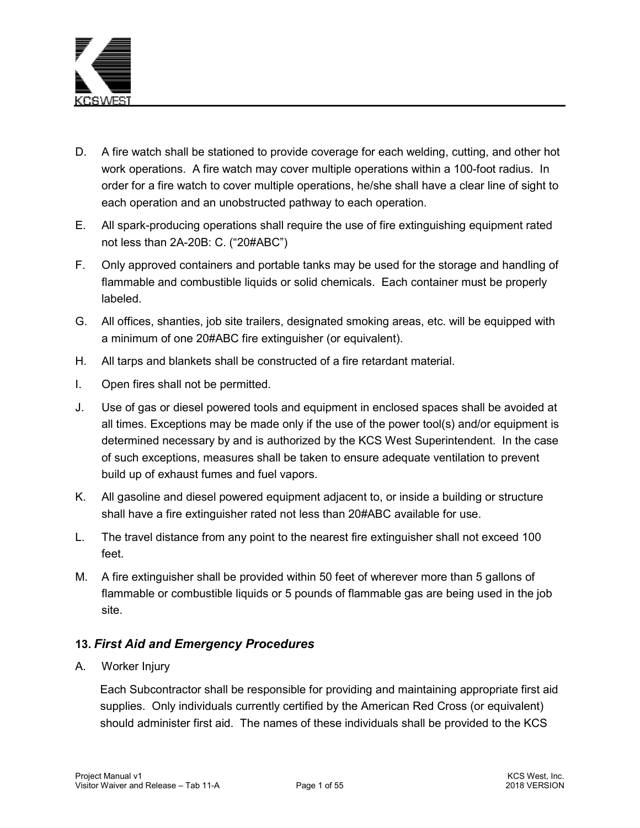

- D. A fire watch shall be stationed to provide coverage for each welding, cutting, and other hot work operations. A fire watch may cover multiple operations within a 100-foot radius. In order for a fire watch to cover multiple operations, he/she shall have a clear line of sight to each operation and an unobstructed pathway to each operation.
- E. All spark-producing operations shall require the use of fire extinguishing equipment rated not less than 2A-20B: C. ("20#ABC")
- F. Only approved containers and portable tanks may be used for the storage and handling of flammable and combustible liquids or solid chemicals. Each container must be properly labeled.
- G. All offices, shanties, job site trailers, designated smoking areas, etc. will be equipped with a minimum of one 20#ABC fire extinguisher (or equivalent).
- H. All tarps and blankets shall be constructed of a fire retardant material.
- I. Open fires shall not be permitted.
- J. Use of gas or diesel powered tools and equipment in enclosed spaces shall be avoided at all times. Exceptions may be made only if the use of the power tool(s) and/or equipment is determined necessary by and is authorized by the KCS West Superintendent. In the case of such exceptions, measures shall be taken to ensure adequate ventilation to prevent build up of exhaust fumes and fuel vapors.
- K. All gasoline and diesel powered equipment adjacent to, or inside a building or structure shall have a fire extinguisher rated not less than 20#ABC available for use.
- L. The travel distance from any point to the nearest fire extinguisher shall not exceed 100 feet.
- M. A fire extinguisher shall be provided within 50 feet of wherever more than 5 gallons of flammable or combustible liquids or 5 pounds of flammable gas are being used in the job site.

## **13.** *First Aid and Emergency Procedures*

A. Worker Injury

Each Subcontractor shall be responsible for providing and maintaining appropriate first aid supplies. Only individuals currently certified by the American Red Cross (or equivalent) should administer first aid. The names of these individuals shall be provided to the KCS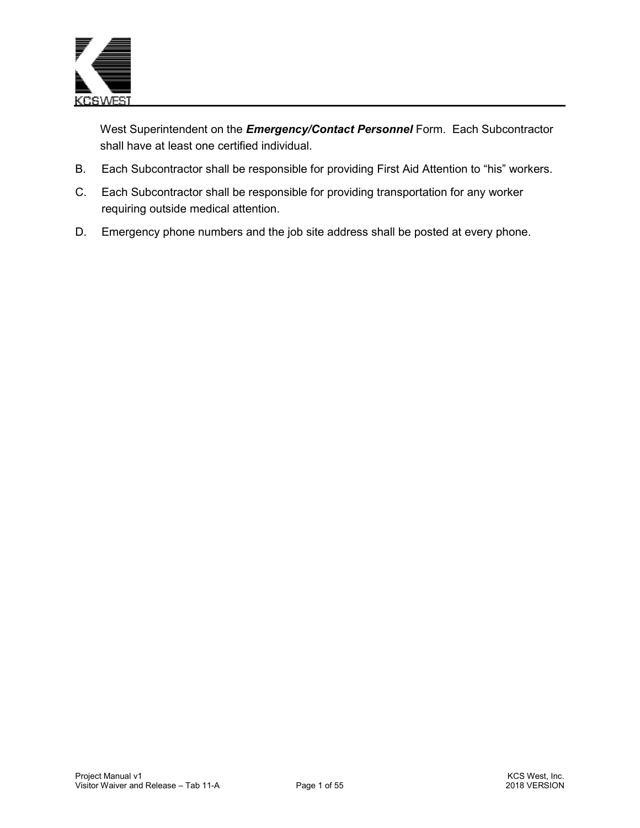

West Superintendent on the *Emergency/Contact Personnel* Form. Each Subcontractor shall have at least one certified individual.

- B. Each Subcontractor shall be responsible for providing First Aid Attention to "his" workers.
- C. Each Subcontractor shall be responsible for providing transportation for any worker requiring outside medical attention.
- D. Emergency phone numbers and the job site address shall be posted at every phone.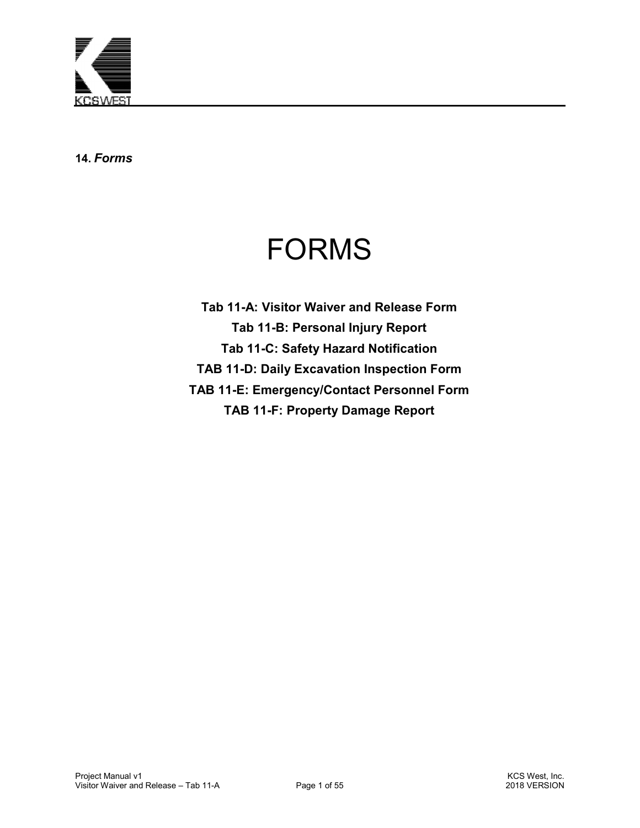

**14.** *Forms*

# FORMS

**Tab 11-A: Visitor Waiver and Release Form Tab 11-B: Personal Injury Report Tab 11-C: Safety Hazard Notification TAB 11-D: Daily Excavation Inspection Form TAB 11-E: Emergency/Contact Personnel Form TAB 11-F: Property Damage Report**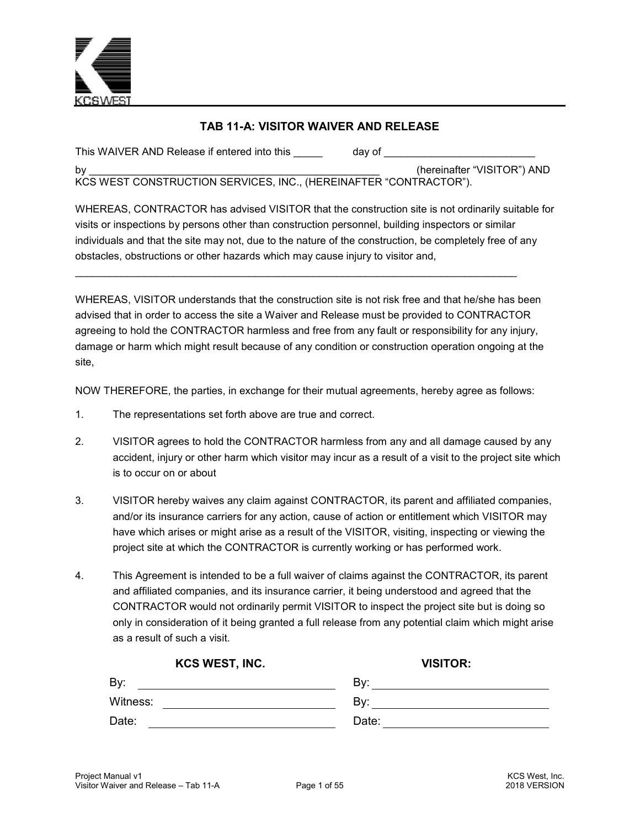

## **TAB 11-A: VISITOR WAIVER AND RELEASE**

(hereinafter "VISITOR") AND

This WAIVER AND Release if entered into this \_\_\_\_\_\_\_\_\_\_\_\_\_\_\_\_\_\_\_\_\_\_\_\_\_\_\_\_\_\_\_\_\_\_\_

KCS WEST CONSTRUCTION SERVICES, INC., (HEREINAFTER "CONTRACTOR").

WHEREAS, CONTRACTOR has advised VISITOR that the construction site is not ordinarily suitable for visits or inspections by persons other than construction personnel, building inspectors or similar individuals and that the site may not, due to the nature of the construction, be completely free of any obstacles, obstructions or other hazards which may cause injury to visitor and,

WHEREAS, VISITOR understands that the construction site is not risk free and that he/she has been advised that in order to access the site a Waiver and Release must be provided to CONTRACTOR agreeing to hold the CONTRACTOR harmless and free from any fault or responsibility for any injury, damage or harm which might result because of any condition or construction operation ongoing at the site,

\_\_\_\_\_\_\_\_\_\_\_\_\_\_\_\_\_\_\_\_\_\_\_\_\_\_\_\_\_\_\_\_\_\_\_\_\_\_\_\_\_\_\_\_\_\_\_\_\_\_\_\_\_\_\_\_\_\_\_\_\_\_\_\_\_\_\_\_\_\_\_\_\_\_\_\_

NOW THEREFORE, the parties, in exchange for their mutual agreements, hereby agree as follows:

- 1. The representations set forth above are true and correct.
- 2. VISITOR agrees to hold the CONTRACTOR harmless from any and all damage caused by any accident, injury or other harm which visitor may incur as a result of a visit to the project site which is to occur on or about
- 3. VISITOR hereby waives any claim against CONTRACTOR, its parent and affiliated companies, and/or its insurance carriers for any action, cause of action or entitlement which VISITOR may have which arises or might arise as a result of the VISITOR, visiting, inspecting or viewing the project site at which the CONTRACTOR is currently working or has performed work.
- 4. This Agreement is intended to be a full waiver of claims against the CONTRACTOR, its parent and affiliated companies, and its insurance carrier, it being understood and agreed that the CONTRACTOR would not ordinarily permit VISITOR to inspect the project site but is doing so only in consideration of it being granted a full release from any potential claim which might arise as a result of such a visit.

| KCS WEST, INC. | <b>VISITOR:</b> |
|----------------|-----------------|
| By:            | Bv:             |
| Witness:       | Bv:             |
| Date:          | Date:           |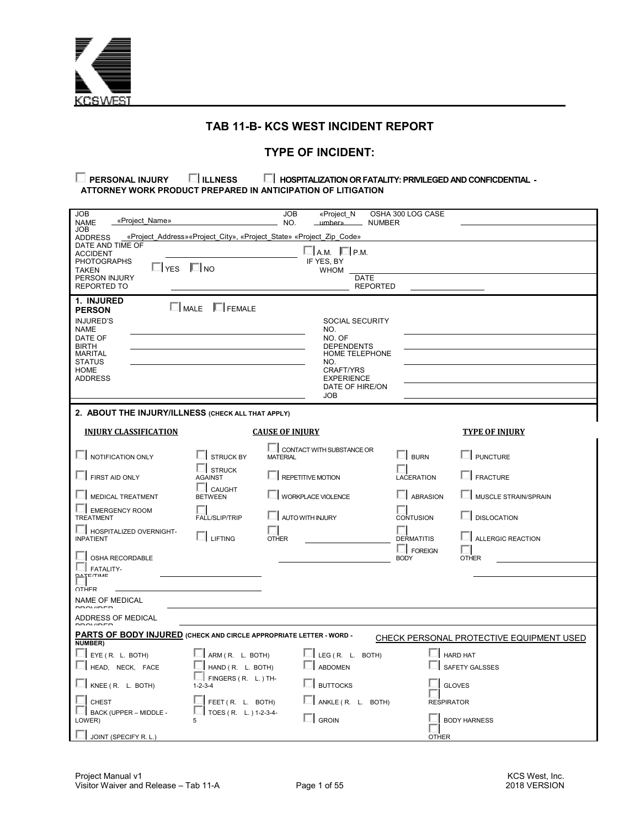

## **TAB 11-B- KCS WEST INCIDENT REPORT**

#### **TYPE OF INCIDENT:**

**PERSONAL INJURY ILLNESS FOR FATALITY: PRIVILEGED AND CONFICDENTIAL - ATTORNEY WORK PRODUCT PREPARED IN ANTICIPATION OF LITIGATION** 

| <b>JOB</b><br>«Project Name»<br><b>NAME</b>                                           |                                                                      | <b>JOB</b><br>NO.      | «Project N<br>umber»                 | <b>NUMBER</b>   | OSHA 300 LOG CASE |                                          |
|---------------------------------------------------------------------------------------|----------------------------------------------------------------------|------------------------|--------------------------------------|-----------------|-------------------|------------------------------------------|
| <b>JOB</b>                                                                            |                                                                      |                        |                                      |                 |                   |                                          |
| <b>ADDRESS</b><br>DATE AND TIME OF                                                    | «Project Address» «Project City», «Project State» «Project Zip Code» |                        |                                      |                 |                   |                                          |
| <b>ACCIDENT</b>                                                                       |                                                                      |                        | ∐а.м. ПР.м.                          |                 |                   |                                          |
| <b>PHOTOGRAPHS</b><br>$\Box$ YES $\Box$ NO                                            |                                                                      |                        | IF YES, BY                           |                 |                   |                                          |
| <b>TAKEN</b><br>PERSON INJURY                                                         |                                                                      |                        | <b>WHOM</b><br><b>DATE</b>           |                 |                   |                                          |
| <b>REPORTED TO</b>                                                                    |                                                                      |                        |                                      | <b>REPORTED</b> |                   |                                          |
| 1. INJURED                                                                            |                                                                      |                        |                                      |                 |                   |                                          |
| <b>PERSON</b>                                                                         | $\Box$ MALE $\Box$ FEMALE                                            |                        |                                      |                 |                   |                                          |
| <b>INJURED'S</b>                                                                      |                                                                      |                        | <b>SOCIAL SECURITY</b>               |                 |                   |                                          |
| NAME<br>DATE OF                                                                       |                                                                      |                        | NO.<br>NO. OF                        |                 |                   |                                          |
| <b>BIRTH</b>                                                                          |                                                                      |                        | <b>DEPENDENTS</b>                    |                 |                   |                                          |
| <b>MARITAL</b><br><b>STATUS</b>                                                       |                                                                      |                        | <b>HOME TELEPHONE</b><br>NO.         |                 |                   |                                          |
| <b>HOME</b>                                                                           |                                                                      |                        | <b>CRAFT/YRS</b>                     |                 |                   |                                          |
| <b>ADDRESS</b>                                                                        |                                                                      |                        | <b>EXPERIENCE</b><br>DATE OF HIRE/ON |                 |                   |                                          |
|                                                                                       |                                                                      |                        | <b>JOB</b>                           |                 |                   |                                          |
| 2. ABOUT THE INJURY/ILLNESS (CHECK ALL THAT APPLY)                                    |                                                                      |                        |                                      |                 |                   |                                          |
|                                                                                       |                                                                      |                        |                                      |                 |                   |                                          |
| <b>INJURY CLASSIFICATION</b>                                                          |                                                                      | <b>CAUSE OF INJURY</b> |                                      |                 |                   | <b>TYPE OF INJURY</b>                    |
|                                                                                       |                                                                      |                        | CONTACT WITH SUBSTANCE OR            |                 |                   |                                          |
| $\Box$ NOTIFICATION ONLY                                                              | <b>STRUCK BY</b>                                                     | <b>MATERIAL</b>        |                                      |                 | $\Box$ BURN       | <b>ILI PUNCTURE</b>                      |
| $\Box$ FIRST AID ONLY                                                                 | <b>STRUCK</b><br><b>AGAINST</b>                                      |                        | <b>IL REPETITIVE MOTION</b>          |                 | LACERATION        | $\Box$ FRACTURE                          |
| MEDICAL TREATMENT                                                                     | CAUGHT<br><b>BETWEEN</b>                                             |                        | WORKPLACE VIOLENCE                   |                 | <b>LABRASION</b>  | MUSCLE STRAIN/SPRAIN                     |
| <b>EMERGENCY ROOM</b><br><b>TREATMENT</b>                                             | FALL/SLIP/TRIP                                                       |                        | AUTO WITH INJURY                     |                 | <b>CONTUSION</b>  | <b>DISLOCATION</b>                       |
| II HOSPITALIZED OVERNIGHT-                                                            |                                                                      |                        |                                      |                 |                   |                                          |
| <b>INPATIENT</b>                                                                      | $\Box$ Lifting                                                       | <b>OTHER</b>           |                                      |                 | <b>DERMATITIS</b> | <b>LALLERGIC REACTION</b>                |
|                                                                                       |                                                                      |                        |                                      |                 | $\Box$ FOREIGN    |                                          |
| OSHA RECORDABLE                                                                       |                                                                      |                        |                                      |                 | <b>BODY</b>       | <b>OTHER</b>                             |
| FATALITY-<br>T/TIME<br>요지                                                             |                                                                      |                        |                                      |                 |                   |                                          |
| OTHER                                                                                 |                                                                      |                        |                                      |                 |                   |                                          |
| <b>NAME OF MEDICAL</b>                                                                |                                                                      |                        |                                      |                 |                   |                                          |
| DDOVIDED<br>ADDRESS OF MEDICAL                                                        |                                                                      |                        |                                      |                 |                   |                                          |
|                                                                                       |                                                                      |                        |                                      |                 |                   |                                          |
| PARTS OF BODY INJURED (CHECK AND CIRCLE APPROPRIATE LETTER - WORD -<br><b>NUMBER)</b> |                                                                      |                        |                                      |                 |                   | CHECK PERSONAL PROTECTIVE EQUIPMENT USED |
| $\Box$ EYE (R. L. BOTH)                                                               | ARM (R. L. BOTH)                                                     |                        | LEG (R. L. BOTH)                     |                 | $\Box$ HARD HAT   |                                          |
|                                                                                       |                                                                      |                        | <b>ABDOMEN</b>                       |                 |                   | SAFETY GALSSES                           |
| HEAD, NECK, FACE                                                                      | HAND (R. L. BOTH)<br>FINGERS (R. L.) TH-                             |                        |                                      |                 |                   |                                          |
| KNEE (R. L. BOTH)                                                                     | $1 - 2 - 3 - 4$                                                      |                        | <b>BUTTOCKS</b>                      |                 |                   | <b>GLOVES</b>                            |
| <b>CHEST</b>                                                                          | FEET (R. L. BOTH)                                                    |                        | ANKLE (R. L. BOTH)                   |                 | <b>RESPIRATOR</b> |                                          |
| BACK (UPPER - MIDDLE -<br>LOWER)                                                      | TOES (R. L.) 1-2-3-4-<br>5                                           |                        | <b>GROIN</b>                         |                 |                   | <b>BODY HARNESS</b>                      |
| $\Box$ JOINT (SPECIFY R.L.)                                                           |                                                                      |                        |                                      |                 | <b>OTHER</b>      |                                          |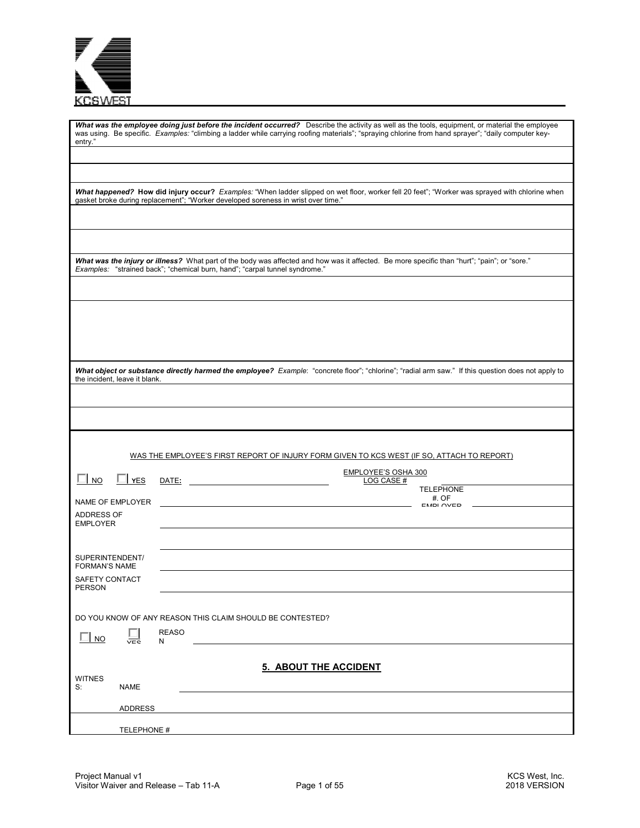| ΞV |
|----|

| entry."                                     | What was the employee doing just before the incident occurred? Describe the activity as well as the tools, equipment, or material the employee<br>was using. Be specific. Examples: "climbing a ladder while carrying roofing materials"; "spraying chlorine from hand sprayer"; "daily computer key- |
|---------------------------------------------|-------------------------------------------------------------------------------------------------------------------------------------------------------------------------------------------------------------------------------------------------------------------------------------------------------|
|                                             | What happened? How did injury occur? Examples: "When ladder slipped on wet floor, worker fell 20 feet"; "Worker was sprayed with chlorine when<br>gasket broke during replacement"; "Worker developed soreness in wrist over time."                                                                   |
|                                             | What was the injury or illness? What part of the body was affected and how was it affected. Be more specific than "hurt"; "pain"; or "sore."                                                                                                                                                          |
|                                             | Examples: "strained back"; "chemical burn, hand"; "carpal tunnel syndrome."                                                                                                                                                                                                                           |
|                                             |                                                                                                                                                                                                                                                                                                       |
| the incident, leave it blank.               | What object or substance directly harmed the employee? Example: "concrete floor"; "chlorine"; "radial arm saw." If this question does not apply to                                                                                                                                                    |
|                                             |                                                                                                                                                                                                                                                                                                       |
|                                             | WAS THE EMPLOYEE'S FIRST REPORT OF INJURY FORM GIVEN TO KCS WEST (IF SO, ATTACH TO REPORT)                                                                                                                                                                                                            |
| $\Box$ No<br>$\Box$ YES<br>NAME OF EMPLOYER | <b>EMPLOYEE'S OSHA 300</b><br>LOG CASE #<br><b>TELEPHONE</b><br>#. OF                                                                                                                                                                                                                                 |
| ADDRESS OF<br><b>EMPLOYER</b>               | <b>EMDI OVED</b>                                                                                                                                                                                                                                                                                      |
| SUPERINTENDENT/<br><b>FORMAN'S NAME</b>     |                                                                                                                                                                                                                                                                                                       |
| SAFETY CONTACT<br>PERSON                    |                                                                                                                                                                                                                                                                                                       |
| <b>NO</b><br>$\overline{\mathsf{vec}}$      | DO YOU KNOW OF ANY REASON THIS CLAIM SHOULD BE CONTESTED?<br><b>REASO</b><br>N                                                                                                                                                                                                                        |
| <b>WITNES</b><br>S:<br>NAME                 | 5. ABOUT THE ACCIDENT                                                                                                                                                                                                                                                                                 |
| <b>ADDRESS</b>                              |                                                                                                                                                                                                                                                                                                       |
| TELEPHONE #                                 |                                                                                                                                                                                                                                                                                                       |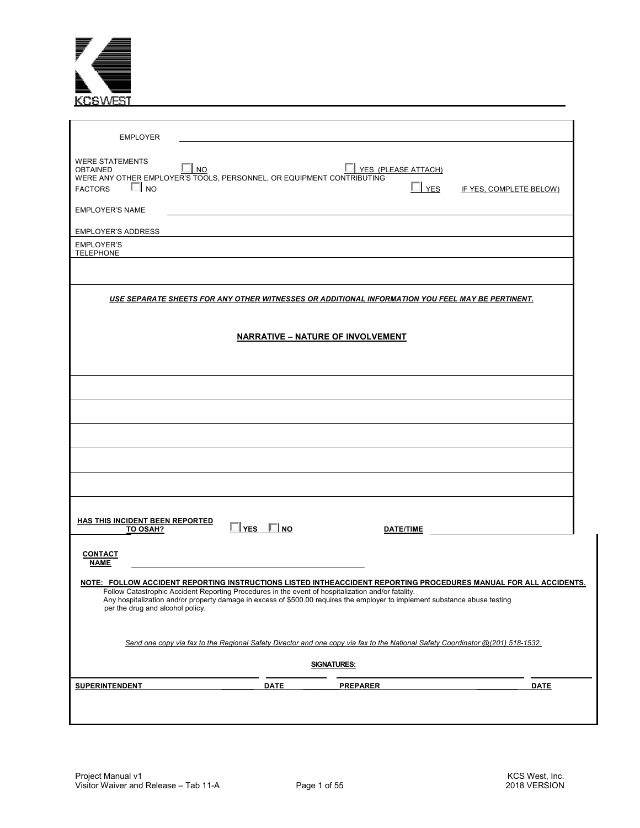

| <b>EMPLOYER</b>                                                                                                                                                                                                                                                                                                                                                                                 |               |                                          |            |                         |             |
|-------------------------------------------------------------------------------------------------------------------------------------------------------------------------------------------------------------------------------------------------------------------------------------------------------------------------------------------------------------------------------------------------|---------------|------------------------------------------|------------|-------------------------|-------------|
| <b>WERE STATEMENTS</b><br>∥ no<br><b>OBTAINED</b><br>WERE ANY OTHER EMPLOYER'S TOOLS, PERSONNEL, OR EQUIPMENT CONTRIBUTING<br>$\Box$ No<br><b>FACTORS</b>                                                                                                                                                                                                                                       |               | YES (PLEASE ATTACH)                      | <b>YES</b> | IF YES, COMPLETE BELOW) |             |
| <b>EMPLOYER'S NAME</b>                                                                                                                                                                                                                                                                                                                                                                          |               |                                          |            |                         |             |
| <b>EMPLOYER'S ADDRESS</b>                                                                                                                                                                                                                                                                                                                                                                       |               |                                          |            |                         |             |
| <b>EMPLOYER'S</b><br><b>TELEPHONE</b>                                                                                                                                                                                                                                                                                                                                                           |               |                                          |            |                         |             |
|                                                                                                                                                                                                                                                                                                                                                                                                 |               |                                          |            |                         |             |
| <u>USE SEPARATE SHEETS FOR ANY OTHER WITNESSES OR ADDITIONAL INFORMATION YOU FEEL MAY BE PERTINENT.</u>                                                                                                                                                                                                                                                                                         |               |                                          |            |                         |             |
|                                                                                                                                                                                                                                                                                                                                                                                                 |               |                                          |            |                         |             |
|                                                                                                                                                                                                                                                                                                                                                                                                 |               | <b>NARRATIVE - NATURE OF INVOLVEMENT</b> |            |                         |             |
|                                                                                                                                                                                                                                                                                                                                                                                                 |               |                                          |            |                         |             |
|                                                                                                                                                                                                                                                                                                                                                                                                 |               |                                          |            |                         |             |
|                                                                                                                                                                                                                                                                                                                                                                                                 |               |                                          |            |                         |             |
|                                                                                                                                                                                                                                                                                                                                                                                                 |               |                                          |            |                         |             |
|                                                                                                                                                                                                                                                                                                                                                                                                 |               |                                          |            |                         |             |
|                                                                                                                                                                                                                                                                                                                                                                                                 |               |                                          |            |                         |             |
|                                                                                                                                                                                                                                                                                                                                                                                                 |               |                                          |            |                         |             |
| HAS THIS INCIDENT BEEN REPORTED<br>TO OSAH?                                                                                                                                                                                                                                                                                                                                                     | YES $\Box$ NO | <b>DATE/TIME</b>                         |            |                         |             |
| <b>CONTACT</b><br><b>NAME</b>                                                                                                                                                                                                                                                                                                                                                                   |               |                                          |            |                         |             |
| <u>NOTE: FOLLOW ACCIDENT REPORTING INSTRUCTIONS LISTED INTHEACCIDENT REPORTING PROCEDURES MANUAL FOR ALL ACCIDENTS</u><br>Follow Catastrophic Accident Reporting Procedures in the event of hospitalization and/or fatality.<br>Any hospitalization and/or property damage in excess of \$500.00 requires the employer to implement substance abuse testing<br>per the drug and alcohol policy. |               |                                          |            |                         |             |
| Send one copy via fax to the Regional Safety Director and one copy via fax to the National Safety Coordinator @(201) 518-1532.                                                                                                                                                                                                                                                                  |               |                                          |            |                         |             |
|                                                                                                                                                                                                                                                                                                                                                                                                 |               | <b>SIGNATURES:</b>                       |            |                         |             |
| <b>SUPERINTENDENT</b>                                                                                                                                                                                                                                                                                                                                                                           | <b>DATE</b>   | <b>PREPARER</b>                          |            |                         | <b>DATE</b> |
|                                                                                                                                                                                                                                                                                                                                                                                                 |               |                                          |            |                         |             |
|                                                                                                                                                                                                                                                                                                                                                                                                 |               |                                          |            |                         |             |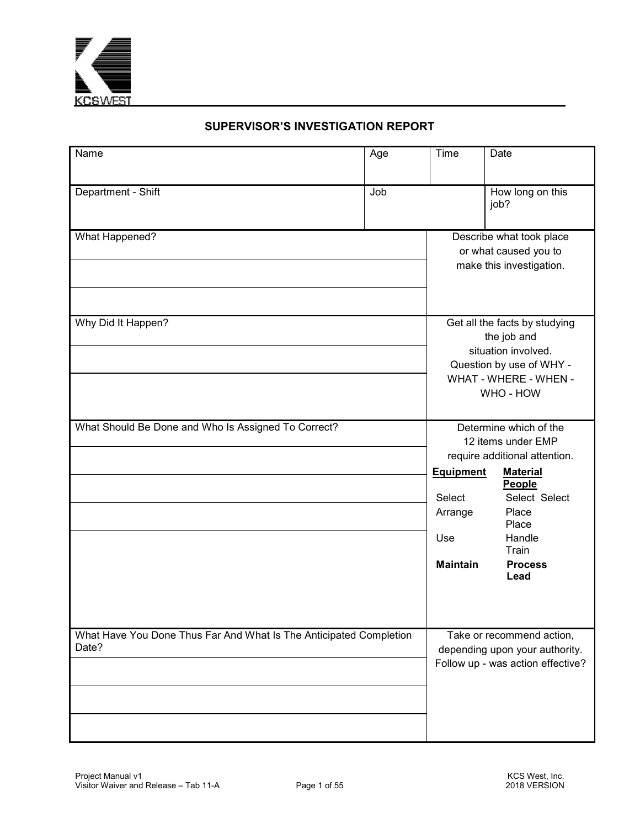

## **SUPERVISOR'S INVESTIGATION REPORT**

| Name                                                                        | Age | Time                                                                                               | Date                                                                                                                                                                                       |  |
|-----------------------------------------------------------------------------|-----|----------------------------------------------------------------------------------------------------|--------------------------------------------------------------------------------------------------------------------------------------------------------------------------------------------|--|
| Department - Shift                                                          | Job |                                                                                                    | How long on this<br>job?                                                                                                                                                                   |  |
| What Happened?<br>Why Did It Happen?                                        |     |                                                                                                    | Describe what took place<br>or what caused you to<br>make this investigation.<br>Get all the facts by studying                                                                             |  |
|                                                                             |     | the job and<br>situation involved.<br>Question by use of WHY -<br>WHAT - WHERE - WHEN -<br>WHO-HOW |                                                                                                                                                                                            |  |
| What Should Be Done and Who Is Assigned To Correct?                         |     | <b>Equipment</b><br>Select<br>Arrange<br>Use<br><b>Maintain</b>                                    | Determine which of the<br>12 items under EMP<br>require additional attention.<br><b>Material</b><br>People<br>Select Select<br>Place<br>Place<br>Handle<br>Train<br><b>Process</b><br>Lead |  |
| What Have You Done Thus Far And What Is The Anticipated Completion<br>Date? |     |                                                                                                    | Take or recommend action,<br>depending upon your authority.<br>Follow up - was action effective?                                                                                           |  |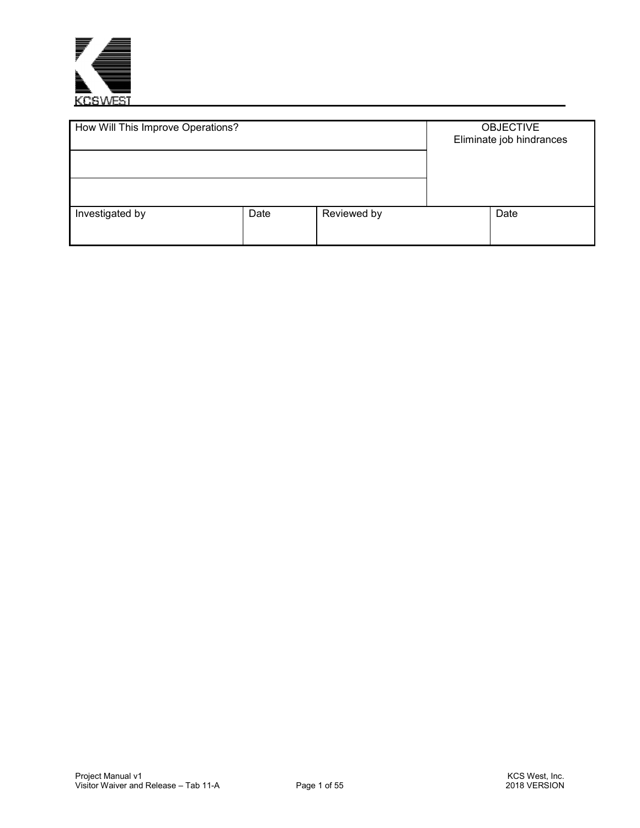

| How Will This Improve Operations? |      |             | <b>OBJECTIVE</b><br>Eliminate job hindrances |
|-----------------------------------|------|-------------|----------------------------------------------|
| Investigated by                   | Date | Reviewed by | Date                                         |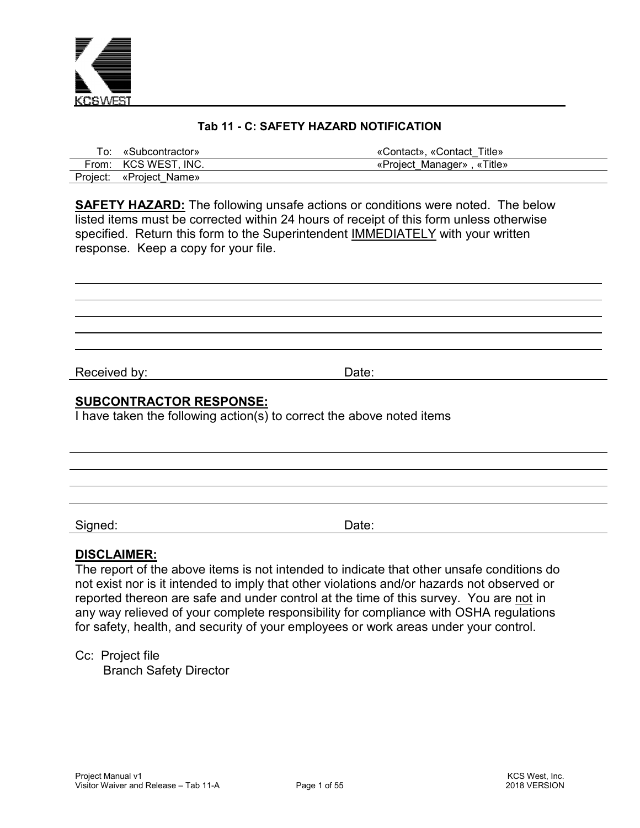

## **Tab 11 - C: SAFETY HAZARD NOTIFICATION**

| To: «Subcontractor»     | «Contact». «Contact_Title» » |
|-------------------------|------------------------------|
| From: KCS WEST, INC.    | «Project Manager», «Title»   |
| Project: «Project_Name» |                              |

**SAFETY HAZARD:** The following unsafe actions or conditions were noted. The below listed items must be corrected within 24 hours of receipt of this form unless otherwise specified. Return this form to the Superintendent IMMEDIATELY with your written response. Keep a copy for your file.

Received by: **Date: Date: Date: Date:** 

 $\overline{a}$ 

### **SUBCONTRACTOR RESPONSE:**

I have taken the following action(s) to correct the above noted items

Signed: Date:

## **DISCLAIMER:**

The report of the above items is not intended to indicate that other unsafe conditions do not exist nor is it intended to imply that other violations and/or hazards not observed or reported thereon are safe and under control at the time of this survey. You are not in any way relieved of your complete responsibility for compliance with OSHA regulations for safety, health, and security of your employees or work areas under your control.

Cc: Project file

Branch Safety Director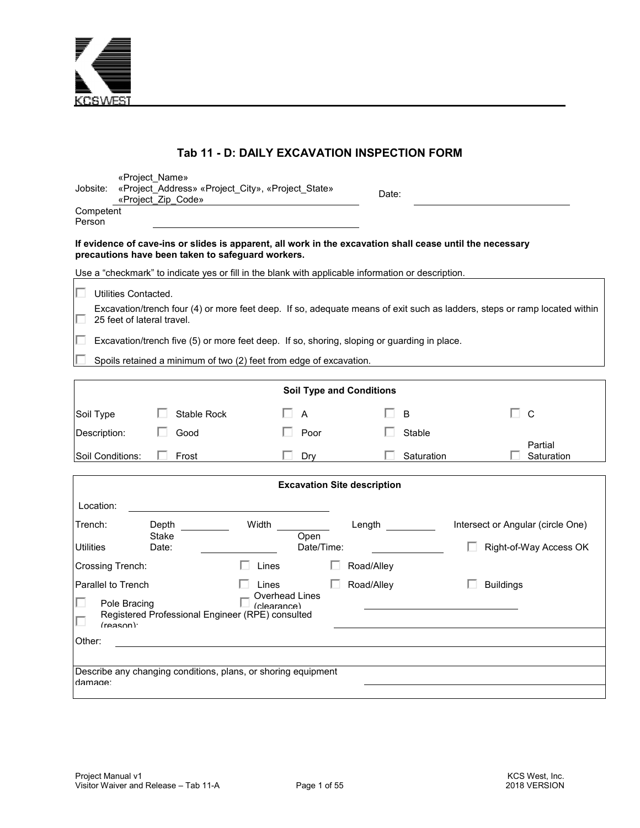

## **Tab 11 - D: DAILY EXCAVATION INSPECTION FORM**

| Jobsite:                       | «Project Name»<br>«Project Address» «Project City», «Project State»<br>«Project Zip Code»                                                                      |                         |                    | Date:                              |            |                  |                                                                                                                           |
|--------------------------------|----------------------------------------------------------------------------------------------------------------------------------------------------------------|-------------------------|--------------------|------------------------------------|------------|------------------|---------------------------------------------------------------------------------------------------------------------------|
| Competent<br>Person            |                                                                                                                                                                |                         |                    |                                    |            |                  |                                                                                                                           |
|                                | If evidence of cave-ins or slides is apparent, all work in the excavation shall cease until the necessary<br>precautions have been taken to safeguard workers. |                         |                    |                                    |            |                  |                                                                                                                           |
|                                | Use a "checkmark" to indicate yes or fill in the blank with applicable information or description.                                                             |                         |                    |                                    |            |                  |                                                                                                                           |
| п<br>Utilities Contacted.      |                                                                                                                                                                |                         |                    |                                    |            |                  |                                                                                                                           |
| 25 feet of lateral travel.     |                                                                                                                                                                |                         |                    |                                    |            |                  | Excavation/trench four (4) or more feet deep. If so, adequate means of exit such as ladders, steps or ramp located within |
|                                | Excavation/trench five (5) or more feet deep. If so, shoring, sloping or guarding in place.                                                                    |                         |                    |                                    |            |                  |                                                                                                                           |
|                                | Spoils retained a minimum of two (2) feet from edge of excavation.                                                                                             |                         |                    |                                    |            |                  |                                                                                                                           |
|                                |                                                                                                                                                                |                         |                    | <b>Soil Type and Conditions</b>    |            |                  |                                                                                                                           |
|                                |                                                                                                                                                                |                         |                    |                                    |            |                  |                                                                                                                           |
| Soil Type                      | Stable Rock                                                                                                                                                    |                         | A                  |                                    | B          |                  | C                                                                                                                         |
| Description:                   | Good                                                                                                                                                           |                         | Poor               |                                    | Stable     |                  |                                                                                                                           |
| Soil Conditions:               | Frost                                                                                                                                                          |                         | Dry                |                                    | Saturation |                  | Partial<br>Saturation                                                                                                     |
|                                |                                                                                                                                                                |                         |                    | <b>Excavation Site description</b> |            |                  |                                                                                                                           |
| Location:                      |                                                                                                                                                                |                         |                    |                                    |            |                  |                                                                                                                           |
| Trench:                        | Depth                                                                                                                                                          | Width                   |                    | Length $\qquad \qquad$             |            |                  | Intersect or Angular (circle One)                                                                                         |
| <b>Utilities</b>               | Stake<br>Date:                                                                                                                                                 |                         | Open<br>Date/Time: |                                    |            |                  | Right-of-Way Access OK                                                                                                    |
| Crossing Trench:               |                                                                                                                                                                | Lines                   |                    | Road/Alley                         |            |                  |                                                                                                                           |
|                                |                                                                                                                                                                |                         |                    |                                    |            |                  |                                                                                                                           |
| Parallel to Trench             |                                                                                                                                                                | Lines<br>Overhead Lines |                    | Road/Alley                         |            | <b>Buildings</b> |                                                                                                                           |
| Pole Bracing<br>$(r$ eason $)$ | Registered Professional Engineer (RPE) consulted                                                                                                               | (clearance)             |                    |                                    |            |                  |                                                                                                                           |
| Other:                         |                                                                                                                                                                |                         |                    |                                    |            |                  |                                                                                                                           |
|                                |                                                                                                                                                                |                         |                    |                                    |            |                  |                                                                                                                           |
| damage:                        | Describe any changing conditions, plans, or shoring equipment                                                                                                  |                         |                    |                                    |            |                  |                                                                                                                           |
|                                |                                                                                                                                                                |                         |                    |                                    |            |                  |                                                                                                                           |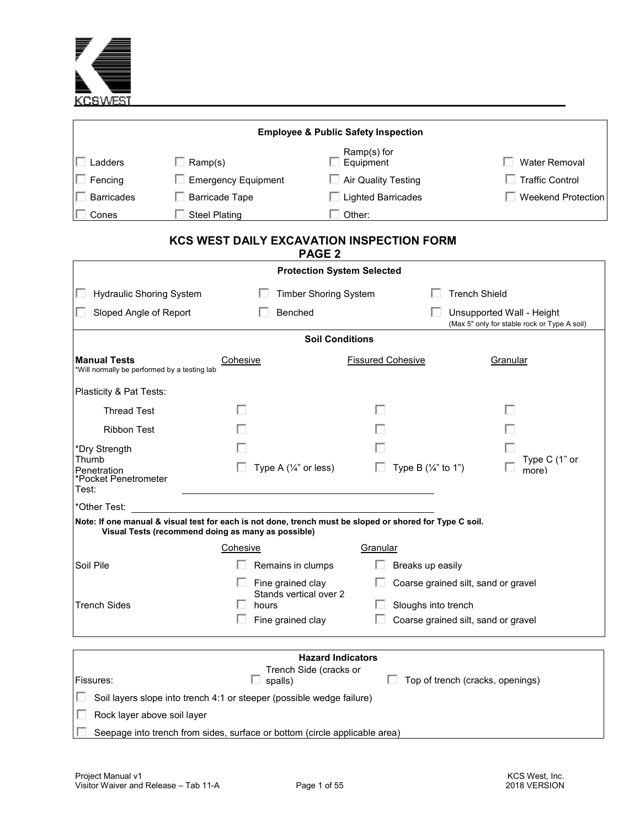

|                                                                     |                                                                                                                                                                | <b>Employee &amp; Public Safety Inspection</b> |                                       |                                                                           |  |
|---------------------------------------------------------------------|----------------------------------------------------------------------------------------------------------------------------------------------------------------|------------------------------------------------|---------------------------------------|---------------------------------------------------------------------------|--|
| $\Box$ Ladders                                                      | $\Box$ Ramp(s)                                                                                                                                                 | Ramp(s) for<br>$\Box$ Equipment                |                                       | <b>Water Removal</b>                                                      |  |
| Fencing                                                             | <b>Emergency Equipment</b>                                                                                                                                     | □ Air Quality Testing                          |                                       | <b>Traffic Control</b>                                                    |  |
| <b>Barricades</b>                                                   | <b>Barricade Tape</b>                                                                                                                                          | $\Box$ Lighted Barricades                      |                                       | <b>Weekend Protection</b>                                                 |  |
| Cones                                                               | <b>Steel Plating</b>                                                                                                                                           | Other:                                         |                                       |                                                                           |  |
|                                                                     | <b>KCS WEST DAILY EXCAVATION INSPECTION FORM</b>                                                                                                               | <b>PAGE 2</b>                                  |                                       |                                                                           |  |
|                                                                     |                                                                                                                                                                | <b>Protection System Selected</b>              |                                       |                                                                           |  |
| <b>Hydraulic Shoring System</b>                                     |                                                                                                                                                                | <b>Timber Shoring System</b>                   | <b>Trench Shield</b>                  |                                                                           |  |
| Sloped Angle of Report                                              |                                                                                                                                                                | Benched                                        |                                       | Unsupported Wall - Height<br>(Max 5" only for stable rock or Type A soil) |  |
|                                                                     |                                                                                                                                                                | <b>Soil Conditions</b>                         |                                       |                                                                           |  |
| <b>Manual Tests</b><br>*Will normally be performed by a testing lab | Cohesive                                                                                                                                                       | <b>Fissured Cohesive</b>                       |                                       | Granular                                                                  |  |
| Plasticity & Pat Tests:                                             |                                                                                                                                                                |                                                |                                       |                                                                           |  |
| <b>Thread Test</b>                                                  |                                                                                                                                                                |                                                |                                       |                                                                           |  |
| <b>Ribbon Test</b>                                                  |                                                                                                                                                                |                                                |                                       |                                                                           |  |
| *Dry Strength                                                       |                                                                                                                                                                |                                                |                                       |                                                                           |  |
| Thumb<br>Penetration<br>*Pocket Penetrometer<br>Test:               |                                                                                                                                                                | Type A $(\frac{1}{4}$ " or less)<br>П          | Type B $(\frac{1}{4}$ " to 1")        | Type C (1" or<br>more)                                                    |  |
| *Other Test:                                                        |                                                                                                                                                                |                                                |                                       |                                                                           |  |
|                                                                     | Note: If one manual & visual test for each is not done, trench must be sloped or shored for Type C soil.<br>Visual Tests (recommend doing as many as possible) |                                                |                                       |                                                                           |  |
|                                                                     | Cohesive                                                                                                                                                       | Granular                                       |                                       |                                                                           |  |
| Soil Pile                                                           |                                                                                                                                                                | Remains in clumps<br>L.                        | Breaks up easily                      |                                                                           |  |
|                                                                     |                                                                                                                                                                | Fine grained clay                              | □ Coarse grained silt, sand or gravel |                                                                           |  |
| <b>Trench Sides</b>                                                 | hours                                                                                                                                                          | Stands vertical over 2                         | Sloughs into trench                   |                                                                           |  |
|                                                                     | Fine grained clay                                                                                                                                              |                                                | Coarse grained silt, sand or gravel   |                                                                           |  |
|                                                                     |                                                                                                                                                                |                                                |                                       |                                                                           |  |
| <b>Hazard Indicators</b>                                            |                                                                                                                                                                |                                                |                                       |                                                                           |  |
| Fissures:                                                           | spalls)                                                                                                                                                        | Trench Side (cracks or                         | Top of trench (cracks, openings)      |                                                                           |  |
|                                                                     | Soil layers slope into trench 4:1 or steeper (possible wedge failure)                                                                                          |                                                |                                       |                                                                           |  |
| Rock layer above soil layer                                         |                                                                                                                                                                |                                                |                                       |                                                                           |  |
|                                                                     | Seepage into trench from sides, surface or bottom (circle applicable area)                                                                                     |                                                |                                       |                                                                           |  |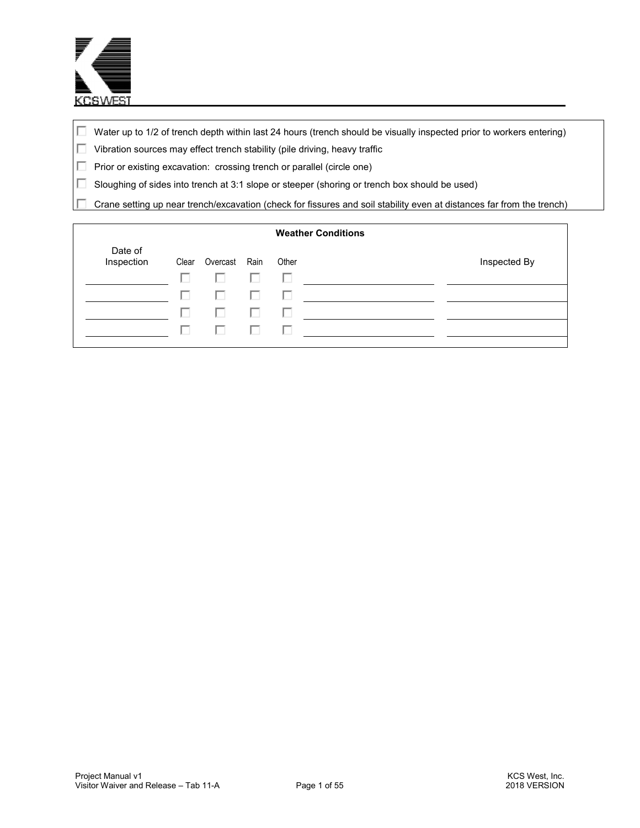

- $\Box$  Water up to 1/2 of trench depth within last 24 hours (trench should be visually inspected prior to workers entering)
- Vibration sources may effect trench stability (pile driving, heavy traffic
- **Prior or existing excavation: crossing trench or parallel (circle one)**
- $\Box$  Sloughing of sides into trench at 3:1 slope or steeper (shoring or trench box should be used)
- Crane setting up near trench/excavation (check for fissures and soil stability even at distances far from the trench) п

|                       |       |          |      |       | <b>Weather Conditions</b> |              |
|-----------------------|-------|----------|------|-------|---------------------------|--------------|
| Date of<br>Inspection | Clear | Overcast | Rain | Other |                           | Inspected By |
|                       | H     | U        | ш    |       |                           |              |
|                       | U     | U        | H    |       |                           |              |
|                       | U     | U        | ш    |       |                           |              |
|                       | . .   | U        | U    |       |                           |              |
|                       |       |          |      |       |                           |              |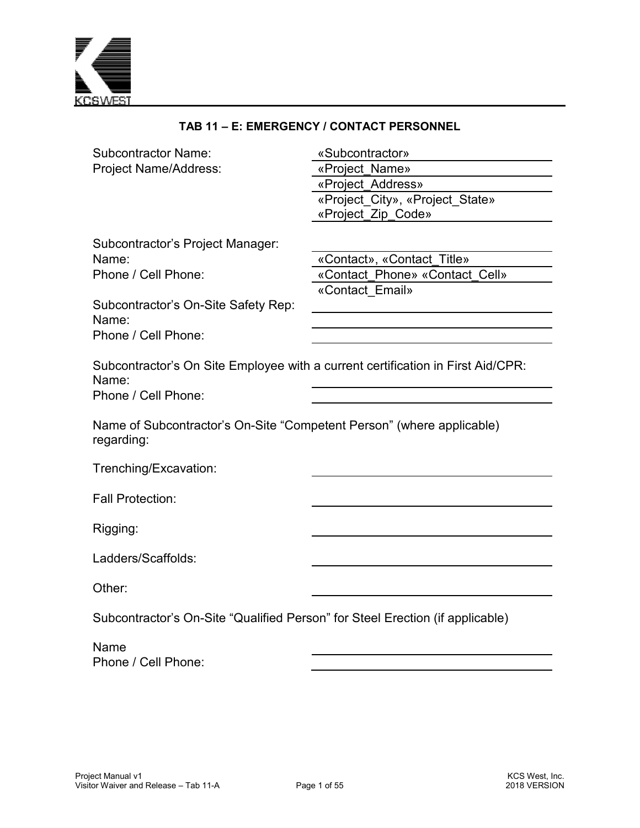

| TAB 11 - E: EMERGENCY / CONTACT PERSONNEL                                                                                               |                                                                                                                 |  |  |  |  |
|-----------------------------------------------------------------------------------------------------------------------------------------|-----------------------------------------------------------------------------------------------------------------|--|--|--|--|
| <b>Subcontractor Name:</b><br>Project Name/Address:                                                                                     | «Subcontractor»<br>«Project Name»<br>«Project Address»<br>«Project_City», «Project_State»<br>«Project_Zip_Code» |  |  |  |  |
| Subcontractor's Project Manager:<br>Name:<br>Phone / Cell Phone:<br>Subcontractor's On-Site Safety Rep:<br>Name:<br>Phone / Cell Phone: | «Contact», «Contact_Title»<br>«Contact Phone» «Contact Cell»<br>«Contact Email»                                 |  |  |  |  |
| Subcontractor's On Site Employee with a current certification in First Aid/CPR:<br>Name:<br>Phone / Cell Phone:                         |                                                                                                                 |  |  |  |  |
| Name of Subcontractor's On-Site "Competent Person" (where applicable)<br>regarding:                                                     |                                                                                                                 |  |  |  |  |
| Trenching/Excavation:                                                                                                                   |                                                                                                                 |  |  |  |  |
| <b>Fall Protection:</b>                                                                                                                 |                                                                                                                 |  |  |  |  |
| Rigging:                                                                                                                                |                                                                                                                 |  |  |  |  |
| Ladders/Scaffolds:                                                                                                                      |                                                                                                                 |  |  |  |  |
| Other:                                                                                                                                  |                                                                                                                 |  |  |  |  |
| Subcontractor's On-Site "Qualified Person" for Steel Erection (if applicable)                                                           |                                                                                                                 |  |  |  |  |
| Name<br>Phone / Cell Phone:                                                                                                             |                                                                                                                 |  |  |  |  |
|                                                                                                                                         |                                                                                                                 |  |  |  |  |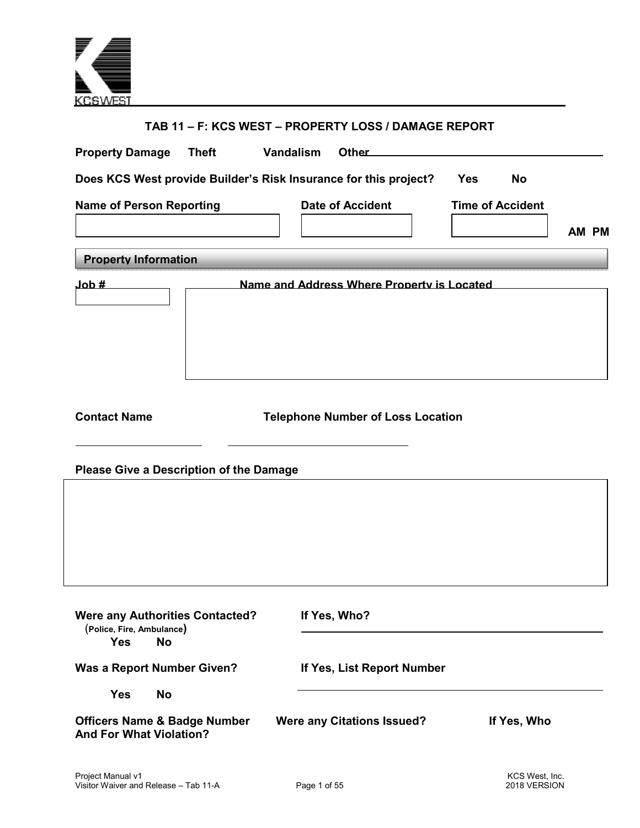

| TAB 11 - F: KCS WEST - PROPERTY LOSS / DAMAGE REPORT                                           |                                            |                                  |  |  |  |  |  |  |  |  |
|------------------------------------------------------------------------------------------------|--------------------------------------------|----------------------------------|--|--|--|--|--|--|--|--|
| <b>Property Damage</b><br><b>Theft</b>                                                         | Vandalism<br><b>Other</b>                  |                                  |  |  |  |  |  |  |  |  |
| Does KCS West provide Builder's Risk Insurance for this project?<br><b>Yes</b><br><b>No</b>    |                                            |                                  |  |  |  |  |  |  |  |  |
| <b>Name of Person Reporting</b>                                                                | <b>Date of Accident</b>                    | <b>Time of Accident</b><br>AM PM |  |  |  |  |  |  |  |  |
| <b>Property Information</b>                                                                    |                                            |                                  |  |  |  |  |  |  |  |  |
| H dol.                                                                                         | Name and Address Where Property is Located |                                  |  |  |  |  |  |  |  |  |
| <b>Contact Name</b><br><b>Please Give a Description of the Damage</b>                          | <b>Telephone Number of Loss Location</b>   |                                  |  |  |  |  |  |  |  |  |
|                                                                                                |                                            |                                  |  |  |  |  |  |  |  |  |
| <b>Were any Authorities Contacted?</b><br>(Police, Fire, Ambulance)<br><b>No</b><br><b>Yes</b> | If Yes, Who?                               |                                  |  |  |  |  |  |  |  |  |
| <b>Was a Report Number Given?</b>                                                              | If Yes, List Report Number                 |                                  |  |  |  |  |  |  |  |  |
| <b>Yes</b><br><b>No</b>                                                                        |                                            |                                  |  |  |  |  |  |  |  |  |
| <b>Officers Name &amp; Badge Number</b><br><b>And For What Violation?</b>                      | <b>Were any Citations Issued?</b>          | If Yes, Who                      |  |  |  |  |  |  |  |  |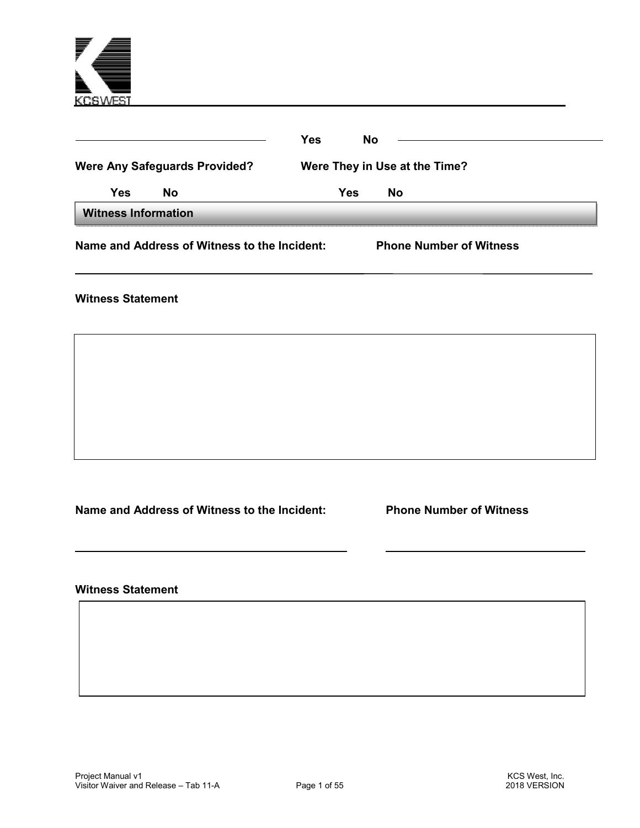

|                                      | Name and Address of Witness to the Incident: | <b>Phone Number of Witness</b> |  |  |  |  |  |
|--------------------------------------|----------------------------------------------|--------------------------------|--|--|--|--|--|
| <b>Witness Information</b>           |                                              |                                |  |  |  |  |  |
| Yes                                  | <b>No</b>                                    | Yes<br><b>No</b>               |  |  |  |  |  |
| <b>Were Any Safeguards Provided?</b> |                                              | Were They in Use at the Time?  |  |  |  |  |  |
|                                      |                                              | Yes<br>No                      |  |  |  |  |  |
|                                      |                                              |                                |  |  |  |  |  |

**Witness Statement** 

**Name and Address of Witness to the Incident: Phone Number of Witness** 

**Witness Statement**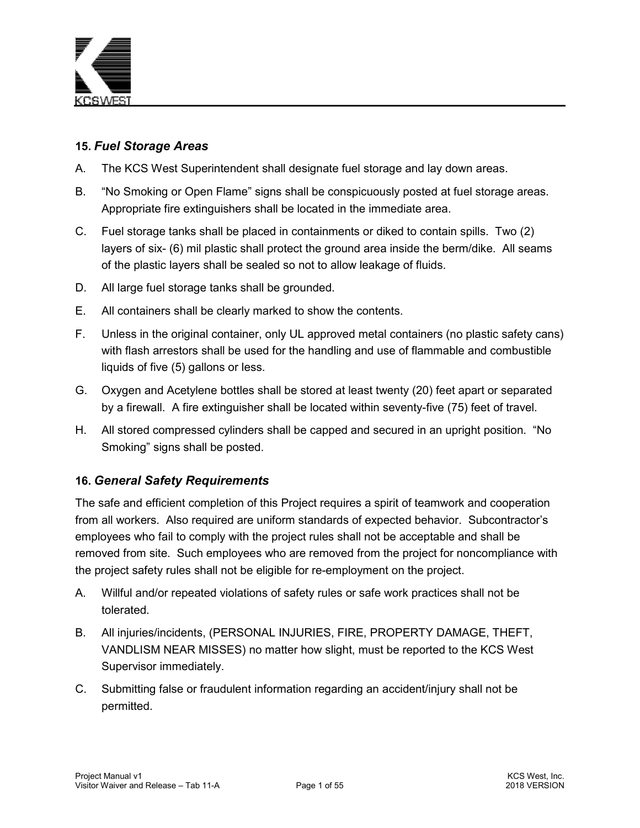

## **15.** *Fuel Storage Areas*

- A. The KCS West Superintendent shall designate fuel storage and lay down areas.
- B. "No Smoking or Open Flame" signs shall be conspicuously posted at fuel storage areas. Appropriate fire extinguishers shall be located in the immediate area.
- C. Fuel storage tanks shall be placed in containments or diked to contain spills. Two (2) layers of six- (6) mil plastic shall protect the ground area inside the berm/dike. All seams of the plastic layers shall be sealed so not to allow leakage of fluids.
- D. All large fuel storage tanks shall be grounded.
- E. All containers shall be clearly marked to show the contents.
- F. Unless in the original container, only UL approved metal containers (no plastic safety cans) with flash arrestors shall be used for the handling and use of flammable and combustible liquids of five (5) gallons or less.
- G. Oxygen and Acetylene bottles shall be stored at least twenty (20) feet apart or separated by a firewall. A fire extinguisher shall be located within seventy-five (75) feet of travel.
- H. All stored compressed cylinders shall be capped and secured in an upright position. "No Smoking" signs shall be posted.

## **16.** *General Safety Requirements*

The safe and efficient completion of this Project requires a spirit of teamwork and cooperation from all workers. Also required are uniform standards of expected behavior. Subcontractor's employees who fail to comply with the project rules shall not be acceptable and shall be removed from site. Such employees who are removed from the project for noncompliance with the project safety rules shall not be eligible for re-employment on the project.

- A. Willful and/or repeated violations of safety rules or safe work practices shall not be tolerated.
- B. All injuries/incidents, (PERSONAL INJURIES, FIRE, PROPERTY DAMAGE, THEFT, VANDLISM NEAR MISSES) no matter how slight, must be reported to the KCS West Supervisor immediately.
- C. Submitting false or fraudulent information regarding an accident/injury shall not be permitted.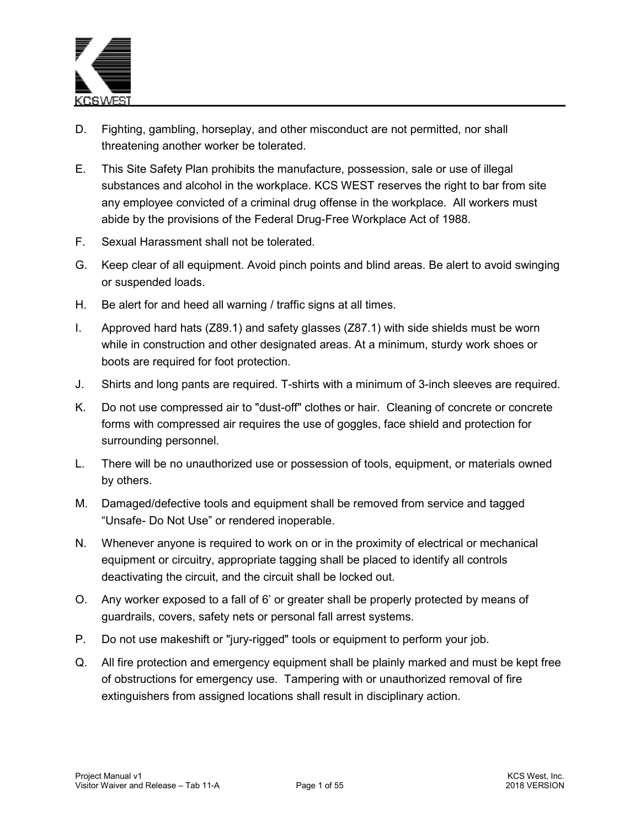

- D. Fighting, gambling, horseplay, and other misconduct are not permitted, nor shall threatening another worker be tolerated.
- E. This Site Safety Plan prohibits the manufacture, possession, sale or use of illegal substances and alcohol in the workplace. KCS WEST reserves the right to bar from site any employee convicted of a criminal drug offense in the workplace. All workers must abide by the provisions of the Federal Drug-Free Workplace Act of 1988.
- F. Sexual Harassment shall not be tolerated.
- G. Keep clear of all equipment. Avoid pinch points and blind areas. Be alert to avoid swinging or suspended loads.
- H. Be alert for and heed all warning / traffic signs at all times.
- I. Approved hard hats (Z89.1) and safety glasses (Z87.1) with side shields must be worn while in construction and other designated areas. At a minimum, sturdy work shoes or boots are required for foot protection.
- J. Shirts and long pants are required. T-shirts with a minimum of 3-inch sleeves are required.
- K. Do not use compressed air to "dust-off" clothes or hair. Cleaning of concrete or concrete forms with compressed air requires the use of goggles, face shield and protection for surrounding personnel.
- L. There will be no unauthorized use or possession of tools, equipment, or materials owned by others.
- M. Damaged/defective tools and equipment shall be removed from service and tagged "Unsafe- Do Not Use" or rendered inoperable.
- N. Whenever anyone is required to work on or in the proximity of electrical or mechanical equipment or circuitry, appropriate tagging shall be placed to identify all controls deactivating the circuit, and the circuit shall be locked out.
- O. Any worker exposed to a fall of 6' or greater shall be properly protected by means of guardrails, covers, safety nets or personal fall arrest systems.
- P. Do not use makeshift or "jury-rigged" tools or equipment to perform your job.
- Q. All fire protection and emergency equipment shall be plainly marked and must be kept free of obstructions for emergency use. Tampering with or unauthorized removal of fire extinguishers from assigned locations shall result in disciplinary action.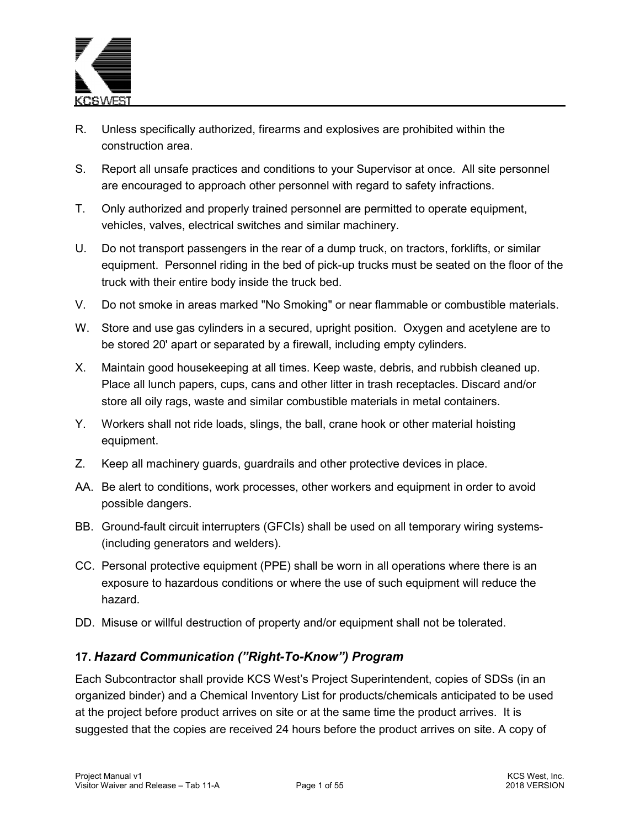

- R. Unless specifically authorized, firearms and explosives are prohibited within the construction area.
- S. Report all unsafe practices and conditions to your Supervisor at once. All site personnel are encouraged to approach other personnel with regard to safety infractions.
- T. Only authorized and properly trained personnel are permitted to operate equipment, vehicles, valves, electrical switches and similar machinery.
- U. Do not transport passengers in the rear of a dump truck, on tractors, forklifts, or similar equipment. Personnel riding in the bed of pick-up trucks must be seated on the floor of the truck with their entire body inside the truck bed.
- V. Do not smoke in areas marked "No Smoking" or near flammable or combustible materials.
- W. Store and use gas cylinders in a secured, upright position. Oxygen and acetylene are to be stored 20' apart or separated by a firewall, including empty cylinders.
- X. Maintain good housekeeping at all times. Keep waste, debris, and rubbish cleaned up. Place all lunch papers, cups, cans and other litter in trash receptacles. Discard and/or store all oily rags, waste and similar combustible materials in metal containers.
- Y. Workers shall not ride loads, slings, the ball, crane hook or other material hoisting equipment.
- Z. Keep all machinery guards, guardrails and other protective devices in place.
- AA. Be alert to conditions, work processes, other workers and equipment in order to avoid possible dangers.
- BB. Ground-fault circuit interrupters (GFCIs) shall be used on all temporary wiring systems- (including generators and welders).
- CC. Personal protective equipment (PPE) shall be worn in all operations where there is an exposure to hazardous conditions or where the use of such equipment will reduce the hazard.
- DD. Misuse or willful destruction of property and/or equipment shall not be tolerated.

## **17.** *Hazard Communication ("Right-To-Know") Program*

Each Subcontractor shall provide KCS West's Project Superintendent, copies of SDSs (in an organized binder) and a Chemical Inventory List for products/chemicals anticipated to be used at the project before product arrives on site or at the same time the product arrives. It is suggested that the copies are received 24 hours before the product arrives on site. A copy of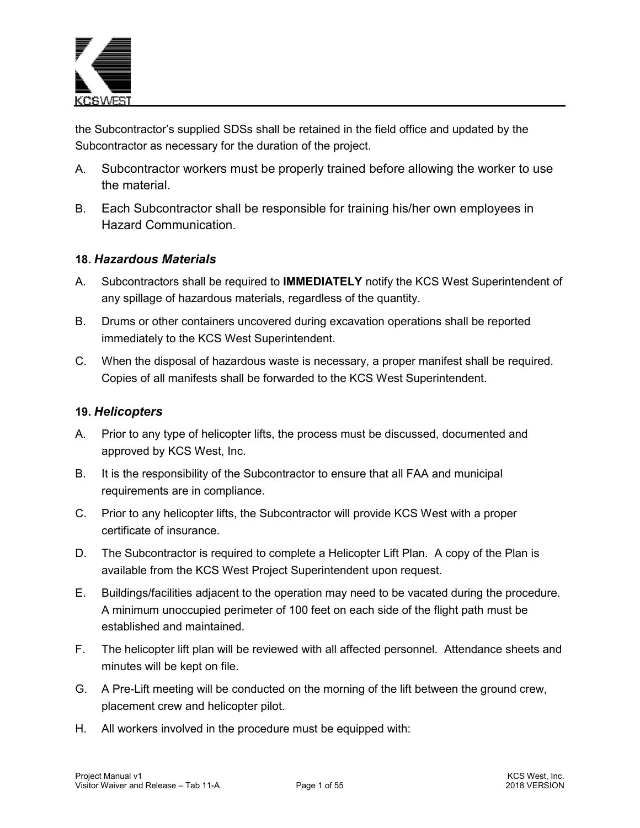

the Subcontractor's supplied SDSs shall be retained in the field office and updated by the Subcontractor as necessary for the duration of the project.

- A. Subcontractor workers must be properly trained before allowing the worker to use the material.
- B. Each Subcontractor shall be responsible for training his/her own employees in Hazard Communication.

### **18.** *Hazardous Materials*

- A. Subcontractors shall be required to **IMMEDIATELY** notify the KCS West Superintendent of any spillage of hazardous materials, regardless of the quantity.
- B. Drums or other containers uncovered during excavation operations shall be reported immediately to the KCS West Superintendent.
- C. When the disposal of hazardous waste is necessary, a proper manifest shall be required. Copies of all manifests shall be forwarded to the KCS West Superintendent.

## **19.** *Helicopters*

- A. Prior to any type of helicopter lifts, the process must be discussed, documented and approved by KCS West, Inc.
- B. It is the responsibility of the Subcontractor to ensure that all FAA and municipal requirements are in compliance.
- C. Prior to any helicopter lifts, the Subcontractor will provide KCS West with a proper certificate of insurance.
- D. The Subcontractor is required to complete a Helicopter Lift Plan. A copy of the Plan is available from the KCS West Project Superintendent upon request.
- E. Buildings/facilities adjacent to the operation may need to be vacated during the procedure. A minimum unoccupied perimeter of 100 feet on each side of the flight path must be established and maintained.
- F. The helicopter lift plan will be reviewed with all affected personnel. Attendance sheets and minutes will be kept on file.
- G. A Pre-Lift meeting will be conducted on the morning of the lift between the ground crew, placement crew and helicopter pilot.
- H. All workers involved in the procedure must be equipped with: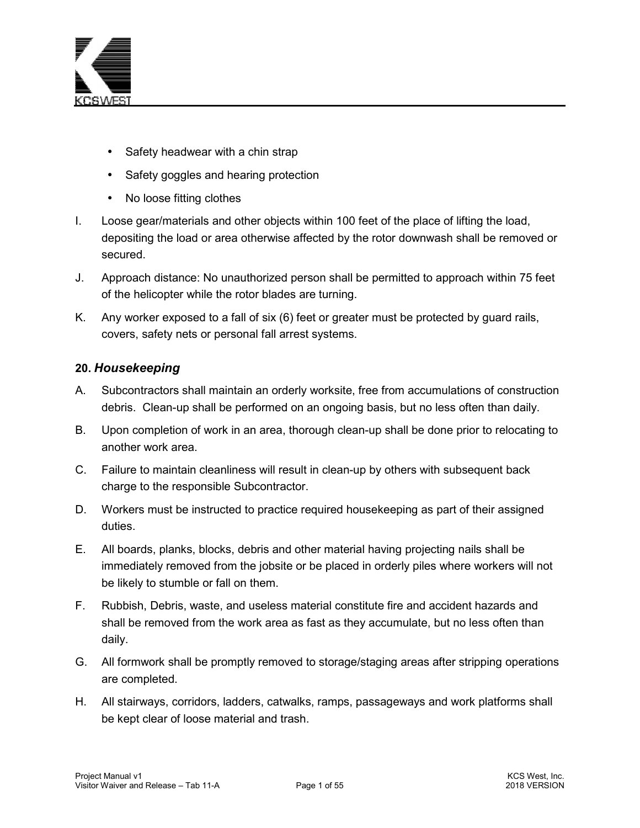

- Safety headwear with a chin strap
- Safety goggles and hearing protection
- No loose fitting clothes
- I. Loose gear/materials and other objects within 100 feet of the place of lifting the load, depositing the load or area otherwise affected by the rotor downwash shall be removed or secured.
- J. Approach distance: No unauthorized person shall be permitted to approach within 75 feet of the helicopter while the rotor blades are turning.
- K. Any worker exposed to a fall of six (6) feet or greater must be protected by guard rails, covers, safety nets or personal fall arrest systems.

## **20.** *Housekeeping*

- A. Subcontractors shall maintain an orderly worksite, free from accumulations of construction debris. Clean-up shall be performed on an ongoing basis, but no less often than daily.
- B. Upon completion of work in an area, thorough clean-up shall be done prior to relocating to another work area.
- C. Failure to maintain cleanliness will result in clean-up by others with subsequent back charge to the responsible Subcontractor.
- D. Workers must be instructed to practice required housekeeping as part of their assigned duties.
- E. All boards, planks, blocks, debris and other material having projecting nails shall be immediately removed from the jobsite or be placed in orderly piles where workers will not be likely to stumble or fall on them.
- F. Rubbish, Debris, waste, and useless material constitute fire and accident hazards and shall be removed from the work area as fast as they accumulate, but no less often than daily.
- G. All formwork shall be promptly removed to storage/staging areas after stripping operations are completed.
- H. All stairways, corridors, ladders, catwalks, ramps, passageways and work platforms shall be kept clear of loose material and trash.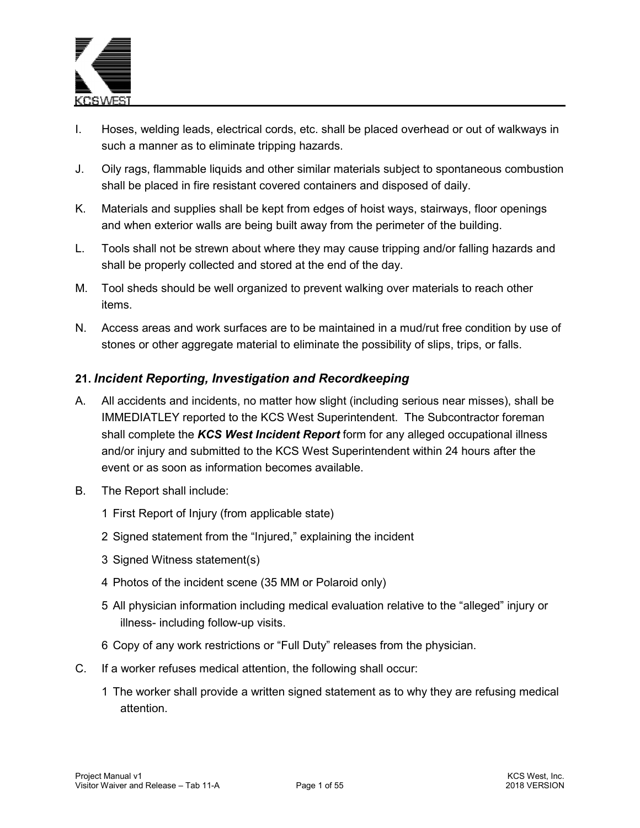

- I. Hoses, welding leads, electrical cords, etc. shall be placed overhead or out of walkways in such a manner as to eliminate tripping hazards.
- J. Oily rags, flammable liquids and other similar materials subject to spontaneous combustion shall be placed in fire resistant covered containers and disposed of daily.
- K. Materials and supplies shall be kept from edges of hoist ways, stairways, floor openings and when exterior walls are being built away from the perimeter of the building.
- L. Tools shall not be strewn about where they may cause tripping and/or falling hazards and shall be properly collected and stored at the end of the day.
- M. Tool sheds should be well organized to prevent walking over materials to reach other items.
- N. Access areas and work surfaces are to be maintained in a mud/rut free condition by use of stones or other aggregate material to eliminate the possibility of slips, trips, or falls.

# **21.** *Incident Reporting, Investigation and Recordkeeping*

- A. All accidents and incidents, no matter how slight (including serious near misses), shall be IMMEDIATLEY reported to the KCS West Superintendent. The Subcontractor foreman shall complete the *KCS West Incident Report* form for any alleged occupational illness and/or injury and submitted to the KCS West Superintendent within 24 hours after the event or as soon as information becomes available.
- B. The Report shall include:
	- 1 First Report of Injury (from applicable state)
	- 2 Signed statement from the "Injured," explaining the incident
	- 3 Signed Witness statement(s)
	- 4 Photos of the incident scene (35 MM or Polaroid only)
	- 5 All physician information including medical evaluation relative to the "alleged" injury or illness- including follow-up visits.
	- 6 Copy of any work restrictions or "Full Duty" releases from the physician.
- C. If a worker refuses medical attention, the following shall occur:
	- 1 The worker shall provide a written signed statement as to why they are refusing medical attention.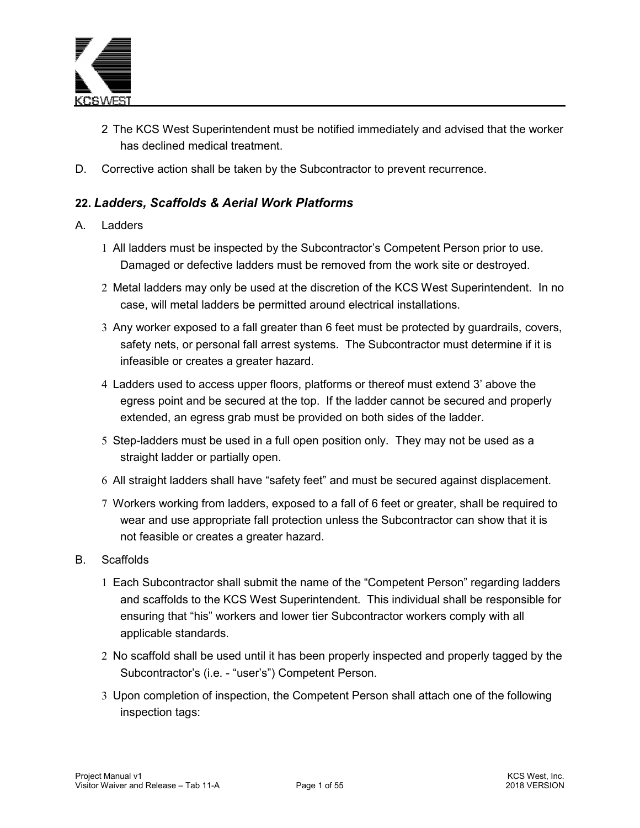

- 2 The KCS West Superintendent must be notified immediately and advised that the worker has declined medical treatment.
- D. Corrective action shall be taken by the Subcontractor to prevent recurrence.

# **22.** *Ladders, Scaffolds & Aerial Work Platforms*

#### A Ladders

- 1 All ladders must be inspected by the Subcontractor's Competent Person prior to use. Damaged or defective ladders must be removed from the work site or destroyed.
- 2 Metal ladders may only be used at the discretion of the KCS West Superintendent. In no case, will metal ladders be permitted around electrical installations.
- 3 Any worker exposed to a fall greater than 6 feet must be protected by guardrails, covers, safety nets, or personal fall arrest systems. The Subcontractor must determine if it is infeasible or creates a greater hazard.
- 4 Ladders used to access upper floors, platforms or thereof must extend 3' above the egress point and be secured at the top. If the ladder cannot be secured and properly extended, an egress grab must be provided on both sides of the ladder.
- 5 Step-ladders must be used in a full open position only. They may not be used as a straight ladder or partially open.
- 6 All straight ladders shall have "safety feet" and must be secured against displacement.
- 7 Workers working from ladders, exposed to a fall of 6 feet or greater, shall be required to wear and use appropriate fall protection unless the Subcontractor can show that it is not feasible or creates a greater hazard.
- B. Scaffolds
	- 1 Each Subcontractor shall submit the name of the "Competent Person" regarding ladders and scaffolds to the KCS West Superintendent. This individual shall be responsible for ensuring that "his" workers and lower tier Subcontractor workers comply with all applicable standards.
	- 2 No scaffold shall be used until it has been properly inspected and properly tagged by the Subcontractor's (i.e. - "user's") Competent Person.
	- 3 Upon completion of inspection, the Competent Person shall attach one of the following inspection tags: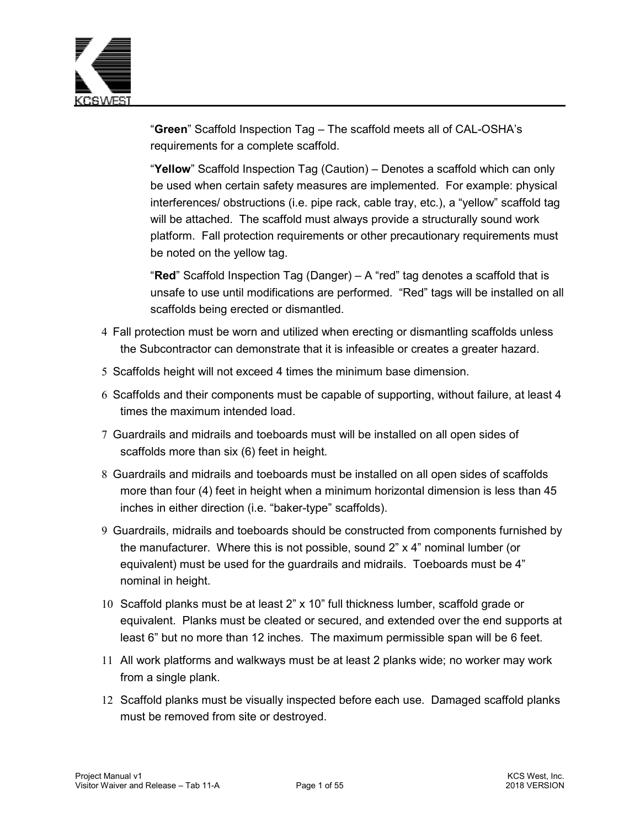

"**Green**" Scaffold Inspection Tag – The scaffold meets all of CAL-OSHA's requirements for a complete scaffold.

"**Yellow**" Scaffold Inspection Tag (Caution) – Denotes a scaffold which can only be used when certain safety measures are implemented. For example: physical interferences/ obstructions (i.e. pipe rack, cable tray, etc.), a "yellow" scaffold tag will be attached. The scaffold must always provide a structurally sound work platform. Fall protection requirements or other precautionary requirements must be noted on the yellow tag.

"**Red**" Scaffold Inspection Tag (Danger) – A "red" tag denotes a scaffold that is unsafe to use until modifications are performed. "Red" tags will be installed on all scaffolds being erected or dismantled.

- 4 Fall protection must be worn and utilized when erecting or dismantling scaffolds unless the Subcontractor can demonstrate that it is infeasible or creates a greater hazard.
- 5 Scaffolds height will not exceed 4 times the minimum base dimension.
- 6 Scaffolds and their components must be capable of supporting, without failure, at least 4 times the maximum intended load.
- 7 Guardrails and midrails and toeboards must will be installed on all open sides of scaffolds more than six (6) feet in height.
- 8 Guardrails and midrails and toeboards must be installed on all open sides of scaffolds more than four (4) feet in height when a minimum horizontal dimension is less than 45 inches in either direction (i.e. "baker-type" scaffolds).
- 9 Guardrails, midrails and toeboards should be constructed from components furnished by the manufacturer. Where this is not possible, sound 2" x 4" nominal lumber (or equivalent) must be used for the guardrails and midrails. Toeboards must be 4" nominal in height.
- 10 Scaffold planks must be at least 2" x 10" full thickness lumber, scaffold grade or equivalent. Planks must be cleated or secured, and extended over the end supports at least 6" but no more than 12 inches. The maximum permissible span will be 6 feet.
- 11 All work platforms and walkways must be at least 2 planks wide; no worker may work from a single plank.
- 12 Scaffold planks must be visually inspected before each use. Damaged scaffold planks must be removed from site or destroyed.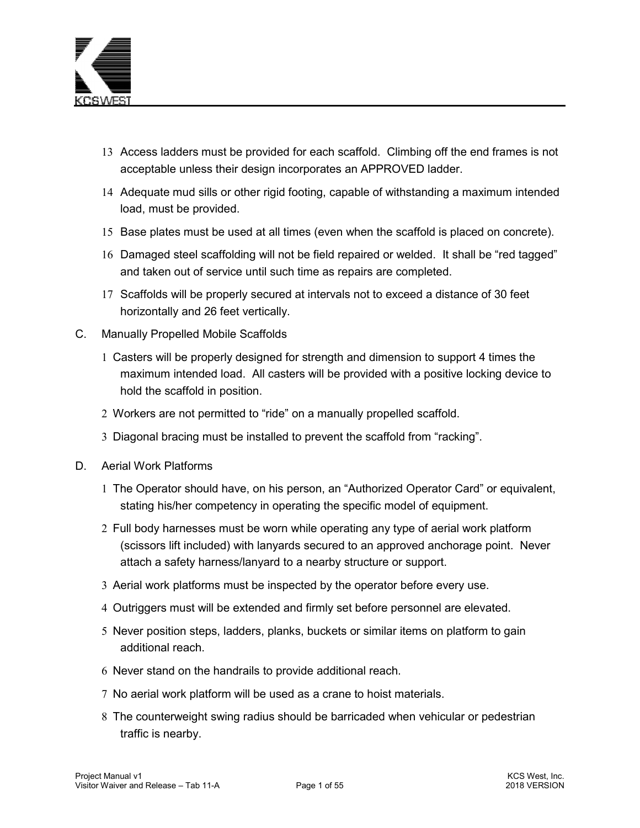

- 13 Access ladders must be provided for each scaffold. Climbing off the end frames is not acceptable unless their design incorporates an APPROVED ladder.
- 14 Adequate mud sills or other rigid footing, capable of withstanding a maximum intended load, must be provided.
- 15 Base plates must be used at all times (even when the scaffold is placed on concrete).
- 16 Damaged steel scaffolding will not be field repaired or welded. It shall be "red tagged" and taken out of service until such time as repairs are completed.
- 17 Scaffolds will be properly secured at intervals not to exceed a distance of 30 feet horizontally and 26 feet vertically.
- C. Manually Propelled Mobile Scaffolds
	- 1 Casters will be properly designed for strength and dimension to support 4 times the maximum intended load. All casters will be provided with a positive locking device to hold the scaffold in position.
	- 2 Workers are not permitted to "ride" on a manually propelled scaffold.
	- 3 Diagonal bracing must be installed to prevent the scaffold from "racking".
- D. Aerial Work Platforms
	- 1 The Operator should have, on his person, an "Authorized Operator Card" or equivalent, stating his/her competency in operating the specific model of equipment.
	- 2 Full body harnesses must be worn while operating any type of aerial work platform (scissors lift included) with lanyards secured to an approved anchorage point. Never attach a safety harness/lanyard to a nearby structure or support.
	- 3 Aerial work platforms must be inspected by the operator before every use.
	- 4 Outriggers must will be extended and firmly set before personnel are elevated.
	- 5 Never position steps, ladders, planks, buckets or similar items on platform to gain additional reach.
	- 6 Never stand on the handrails to provide additional reach.
	- 7 No aerial work platform will be used as a crane to hoist materials.
	- 8 The counterweight swing radius should be barricaded when vehicular or pedestrian traffic is nearby.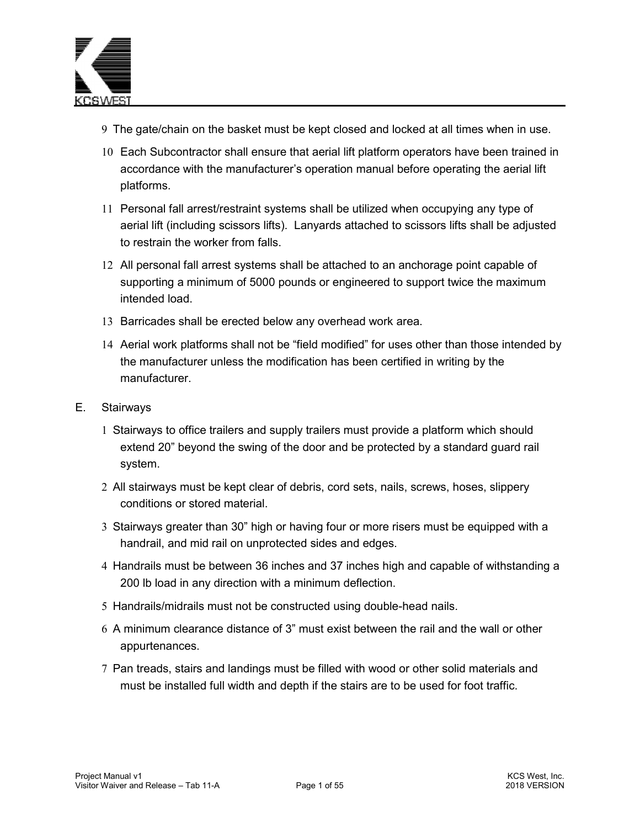

- 9 The gate/chain on the basket must be kept closed and locked at all times when in use.
- 10 Each Subcontractor shall ensure that aerial lift platform operators have been trained in accordance with the manufacturer's operation manual before operating the aerial lift platforms.
- 11 Personal fall arrest/restraint systems shall be utilized when occupying any type of aerial lift (including scissors lifts). Lanyards attached to scissors lifts shall be adjusted to restrain the worker from falls.
- 12 All personal fall arrest systems shall be attached to an anchorage point capable of supporting a minimum of 5000 pounds or engineered to support twice the maximum intended load.
- 13 Barricades shall be erected below any overhead work area.
- 14 Aerial work platforms shall not be "field modified" for uses other than those intended by the manufacturer unless the modification has been certified in writing by the manufacturer.
- E. Stairways
	- 1 Stairways to office trailers and supply trailers must provide a platform which should extend 20" beyond the swing of the door and be protected by a standard guard rail system.
	- 2 All stairways must be kept clear of debris, cord sets, nails, screws, hoses, slippery conditions or stored material.
	- 3 Stairways greater than 30" high or having four or more risers must be equipped with a handrail, and mid rail on unprotected sides and edges.
	- 4 Handrails must be between 36 inches and 37 inches high and capable of withstanding a 200 lb load in any direction with a minimum deflection.
	- 5 Handrails/midrails must not be constructed using double-head nails.
	- 6 A minimum clearance distance of 3" must exist between the rail and the wall or other appurtenances.
	- 7 Pan treads, stairs and landings must be filled with wood or other solid materials and must be installed full width and depth if the stairs are to be used for foot traffic.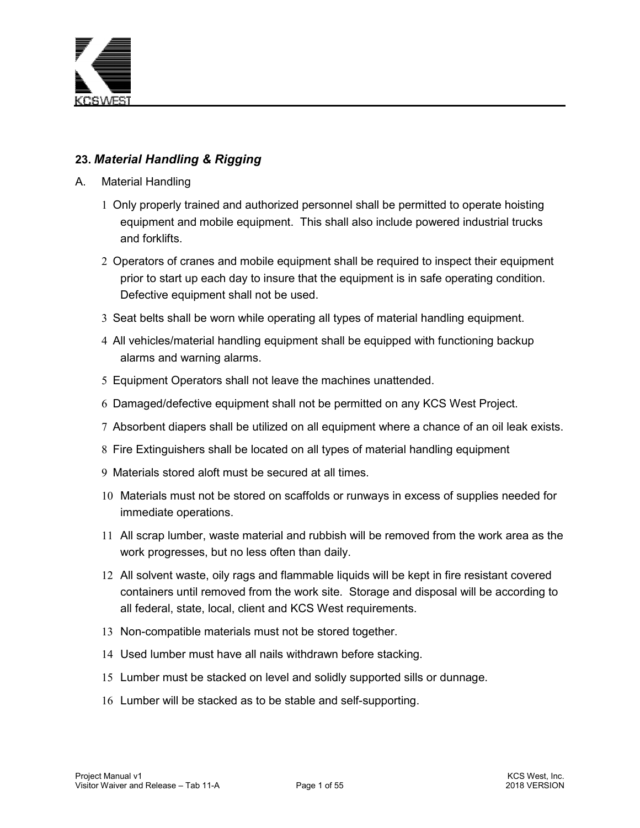

# **23.** *Material Handling & Rigging*

- A. Material Handling
	- 1 Only properly trained and authorized personnel shall be permitted to operate hoisting equipment and mobile equipment. This shall also include powered industrial trucks and forklifts.
	- 2 Operators of cranes and mobile equipment shall be required to inspect their equipment prior to start up each day to insure that the equipment is in safe operating condition. Defective equipment shall not be used.
	- 3 Seat belts shall be worn while operating all types of material handling equipment.
	- 4 All vehicles/material handling equipment shall be equipped with functioning backup alarms and warning alarms.
	- 5 Equipment Operators shall not leave the machines unattended.
	- 6 Damaged/defective equipment shall not be permitted on any KCS West Project.
	- 7 Absorbent diapers shall be utilized on all equipment where a chance of an oil leak exists.
	- 8 Fire Extinguishers shall be located on all types of material handling equipment
	- 9 Materials stored aloft must be secured at all times.
	- 10 Materials must not be stored on scaffolds or runways in excess of supplies needed for immediate operations.
	- 11 All scrap lumber, waste material and rubbish will be removed from the work area as the work progresses, but no less often than daily.
	- 12 All solvent waste, oily rags and flammable liquids will be kept in fire resistant covered containers until removed from the work site. Storage and disposal will be according to all federal, state, local, client and KCS West requirements.
	- 13 Non-compatible materials must not be stored together.
	- 14 Used lumber must have all nails withdrawn before stacking.
	- 15 Lumber must be stacked on level and solidly supported sills or dunnage.
	- 16 Lumber will be stacked as to be stable and self-supporting.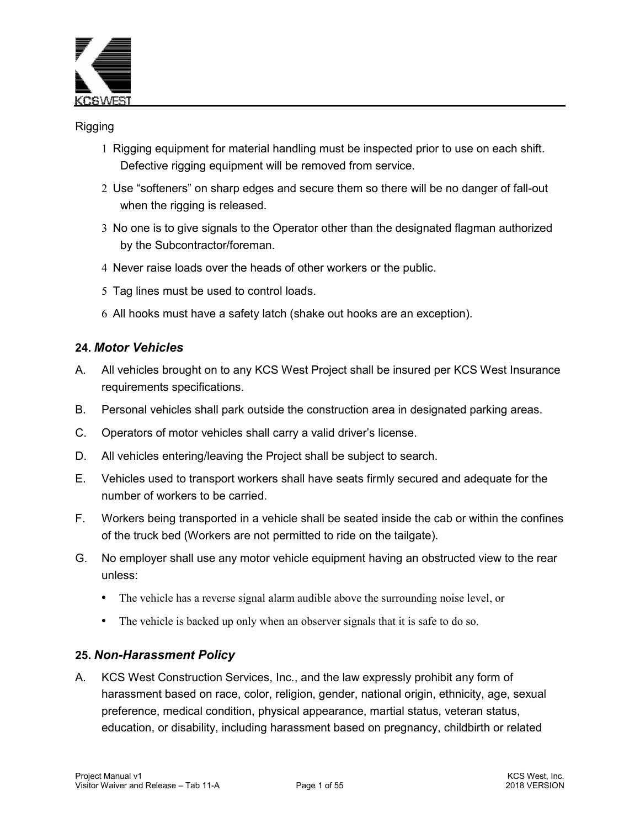

#### Rigging

- 1 Rigging equipment for material handling must be inspected prior to use on each shift. Defective rigging equipment will be removed from service.
- 2 Use "softeners" on sharp edges and secure them so there will be no danger of fall-out when the rigging is released.
- 3 No one is to give signals to the Operator other than the designated flagman authorized by the Subcontractor/foreman.
- 4 Never raise loads over the heads of other workers or the public.
- 5 Tag lines must be used to control loads.
- 6 All hooks must have a safety latch (shake out hooks are an exception).

#### **24.** *Motor Vehicles*

- A. All vehicles brought on to any KCS West Project shall be insured per KCS West Insurance requirements specifications.
- B. Personal vehicles shall park outside the construction area in designated parking areas.
- C. Operators of motor vehicles shall carry a valid driver's license.
- D. All vehicles entering/leaving the Project shall be subject to search.
- E. Vehicles used to transport workers shall have seats firmly secured and adequate for the number of workers to be carried.
- F. Workers being transported in a vehicle shall be seated inside the cab or within the confines of the truck bed (Workers are not permitted to ride on the tailgate).
- G. No employer shall use any motor vehicle equipment having an obstructed view to the rear unless:
	- The vehicle has a reverse signal alarm audible above the surrounding noise level, or
	- The vehicle is backed up only when an observer signals that it is safe to do so.

#### **25.** *Non-Harassment Policy*

A. KCS West Construction Services, Inc., and the law expressly prohibit any form of harassment based on race, color, religion, gender, national origin, ethnicity, age, sexual preference, medical condition, physical appearance, martial status, veteran status, education, or disability, including harassment based on pregnancy, childbirth or related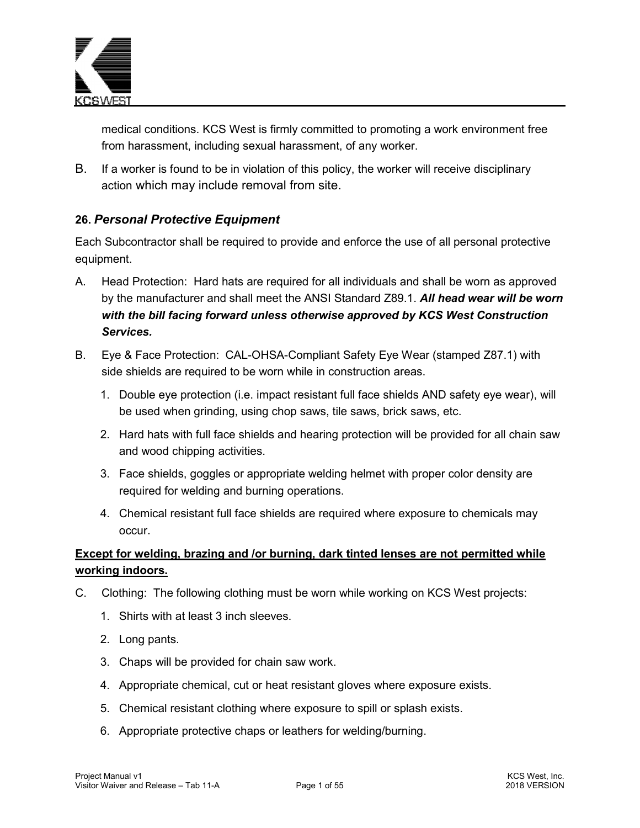

medical conditions. KCS West is firmly committed to promoting a work environment free from harassment, including sexual harassment, of any worker.

B. If a worker is found to be in violation of this policy, the worker will receive disciplinary action which may include removal from site.

# **26.** *Personal Protective Equipment*

Each Subcontractor shall be required to provide and enforce the use of all personal protective equipment.

- A. Head Protection: Hard hats are required for all individuals and shall be worn as approved by the manufacturer and shall meet the ANSI Standard Z89.1. *All head wear will be worn with the bill facing forward unless otherwise approved by KCS West Construction Services.*
- B. Eye & Face Protection: CAL-OHSA-Compliant Safety Eye Wear (stamped Z87.1) with side shields are required to be worn while in construction areas.
	- 1. Double eye protection (i.e. impact resistant full face shields AND safety eye wear), will be used when grinding, using chop saws, tile saws, brick saws, etc.
	- 2. Hard hats with full face shields and hearing protection will be provided for all chain saw and wood chipping activities.
	- 3. Face shields, goggles or appropriate welding helmet with proper color density are required for welding and burning operations.
	- 4. Chemical resistant full face shields are required where exposure to chemicals may occur.

# **Except for welding, brazing and /or burning, dark tinted lenses are not permitted while working indoors.**

- C. Clothing: The following clothing must be worn while working on KCS West projects:
	- 1. Shirts with at least 3 inch sleeves.
	- 2. Long pants.
	- 3. Chaps will be provided for chain saw work.
	- 4. Appropriate chemical, cut or heat resistant gloves where exposure exists.
	- 5. Chemical resistant clothing where exposure to spill or splash exists.
	- 6. Appropriate protective chaps or leathers for welding/burning.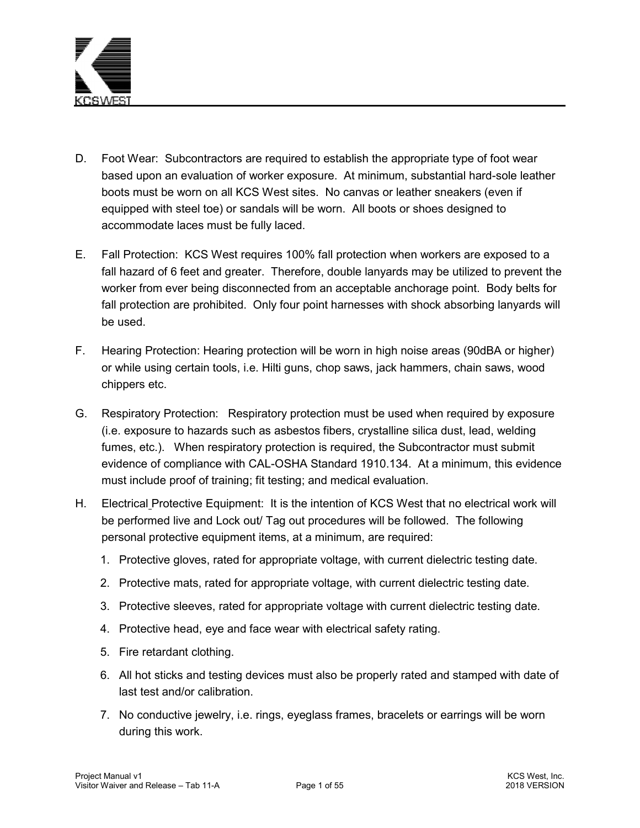

- D. Foot Wear: Subcontractors are required to establish the appropriate type of foot wear based upon an evaluation of worker exposure. At minimum, substantial hard-sole leather boots must be worn on all KCS West sites. No canvas or leather sneakers (even if equipped with steel toe) or sandals will be worn. All boots or shoes designed to accommodate laces must be fully laced.
- E. Fall Protection:KCS West requires 100% fall protection when workers are exposed to a fall hazard of 6 feet and greater. Therefore, double lanyards may be utilized to prevent the worker from ever being disconnected from an acceptable anchorage point. Body belts for fall protection are prohibited. Only four point harnesses with shock absorbing lanyards will be used.
- F. Hearing Protection: Hearing protection will be worn in high noise areas (90dBA or higher) or while using certain tools, i.e. Hilti guns, chop saws, jack hammers, chain saws, wood chippers etc.
- G. Respiratory Protection:Respiratory protection must be used when required by exposure (i.e. exposure to hazards such as asbestos fibers, crystalline silica dust, lead, welding fumes, etc.). When respiratory protection is required, the Subcontractor must submit evidence of compliance with CAL-OSHA Standard 1910.134. At a minimum, this evidence must include proof of training; fit testing; and medical evaluation.
- H. Electrical Protective Equipment: It is the intention of KCS West that no electrical work will be performed live and Lock out/ Tag out procedures will be followed. The following personal protective equipment items, at a minimum, are required:
	- 1. Protective gloves, rated for appropriate voltage, with current dielectric testing date.
	- 2. Protective mats, rated for appropriate voltage, with current dielectric testing date.
	- 3. Protective sleeves, rated for appropriate voltage with current dielectric testing date.
	- 4. Protective head, eye and face wear with electrical safety rating.
	- 5. Fire retardant clothing.
	- 6. All hot sticks and testing devices must also be properly rated and stamped with date of last test and/or calibration.
	- 7. No conductive jewelry, i.e. rings, eyeglass frames, bracelets or earrings will be worn during this work.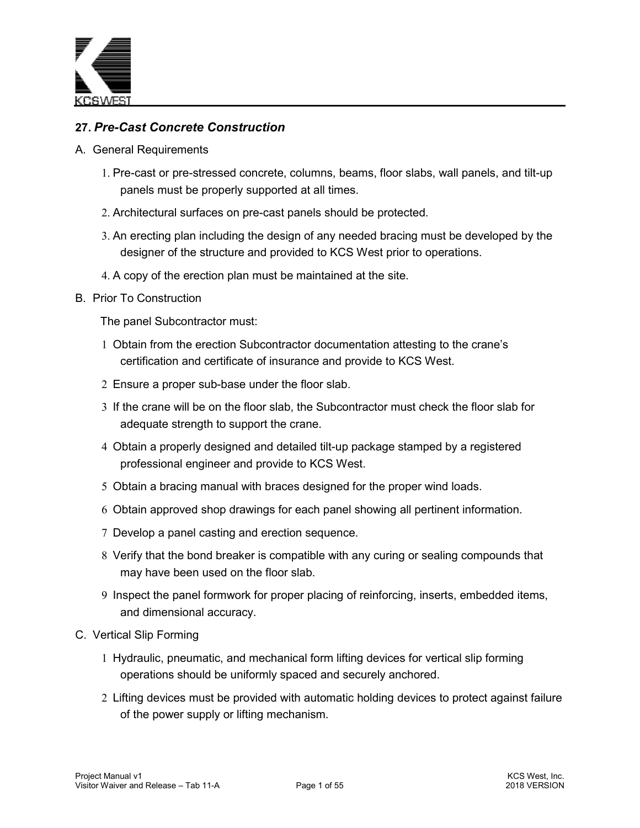

# **27.** *Pre-Cast Concrete Construction*

- A. General Requirements
	- 1. Pre-cast or pre-stressed concrete, columns, beams, floor slabs, wall panels, and tilt-up panels must be properly supported at all times.
	- 2. Architectural surfaces on pre-cast panels should be protected.
	- 3. An erecting plan including the design of any needed bracing must be developed by the designer of the structure and provided to KCS West prior to operations.
	- 4. A copy of the erection plan must be maintained at the site.
- B. Prior To Construction

The panel Subcontractor must:

- 1 Obtain from the erection Subcontractor documentation attesting to the crane's certification and certificate of insurance and provide to KCS West.
- 2 Ensure a proper sub-base under the floor slab.
- 3 If the crane will be on the floor slab, the Subcontractor must check the floor slab for adequate strength to support the crane.
- 4 Obtain a properly designed and detailed tilt-up package stamped by a registered professional engineer and provide to KCS West.
- 5 Obtain a bracing manual with braces designed for the proper wind loads.
- 6 Obtain approved shop drawings for each panel showing all pertinent information.
- 7 Develop a panel casting and erection sequence.
- 8 Verify that the bond breaker is compatible with any curing or sealing compounds that may have been used on the floor slab.
- 9 Inspect the panel formwork for proper placing of reinforcing, inserts, embedded items, and dimensional accuracy.
- C. Vertical Slip Forming
	- 1 Hydraulic, pneumatic, and mechanical form lifting devices for vertical slip forming operations should be uniformly spaced and securely anchored.
	- 2 Lifting devices must be provided with automatic holding devices to protect against failure of the power supply or lifting mechanism.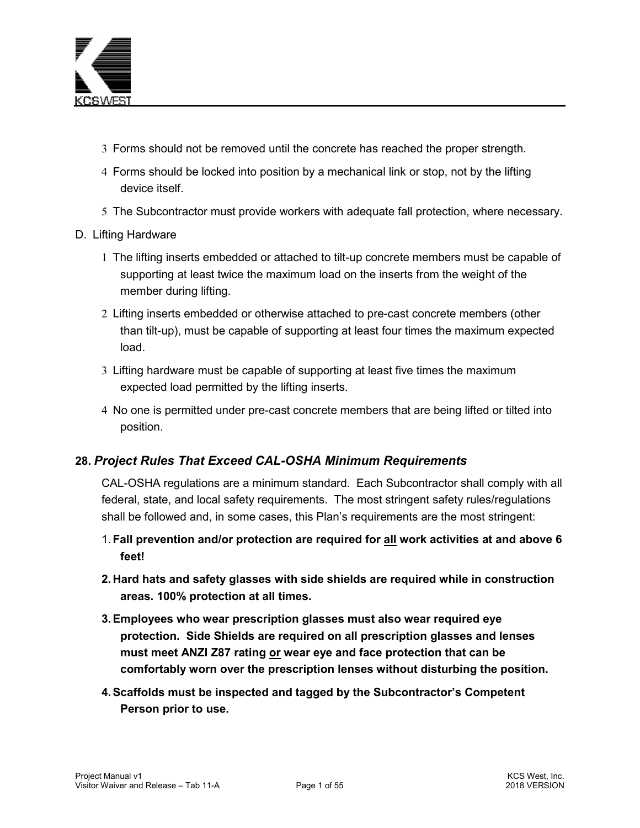

- 3 Forms should not be removed until the concrete has reached the proper strength.
- 4 Forms should be locked into position by a mechanical link or stop, not by the lifting device itself.
- 5 The Subcontractor must provide workers with adequate fall protection, where necessary.

#### D. Lifting Hardware

- 1 The lifting inserts embedded or attached to tilt-up concrete members must be capable of supporting at least twice the maximum load on the inserts from the weight of the member during lifting.
- 2 Lifting inserts embedded or otherwise attached to pre-cast concrete members (other than tilt-up), must be capable of supporting at least four times the maximum expected load.
- 3 Lifting hardware must be capable of supporting at least five times the maximum expected load permitted by the lifting inserts.
- 4 No one is permitted under pre-cast concrete members that are being lifted or tilted into position.

#### **28.** *Project Rules That Exceed CAL-OSHA Minimum Requirements*

CAL-OSHA regulations are a minimum standard. Each Subcontractor shall comply with all federal, state, and local safety requirements. The most stringent safety rules/regulations shall be followed and, in some cases, this Plan's requirements are the most stringent:

- 1. **Fall prevention and/or protection are required for all work activities at and above 6 feet!**
- **2. Hard hats and safety glasses with side shields are required while in construction areas. 100% protection at all times.**
- **3. Employees who wear prescription glasses must also wear required eye protection. Side Shields are required on all prescription glasses and lenses must meet ANZI Z87 rating or wear eye and face protection that can be comfortably worn over the prescription lenses without disturbing the position.**
- **4. Scaffolds must be inspected and tagged by the Subcontractor's Competent Person prior to use.**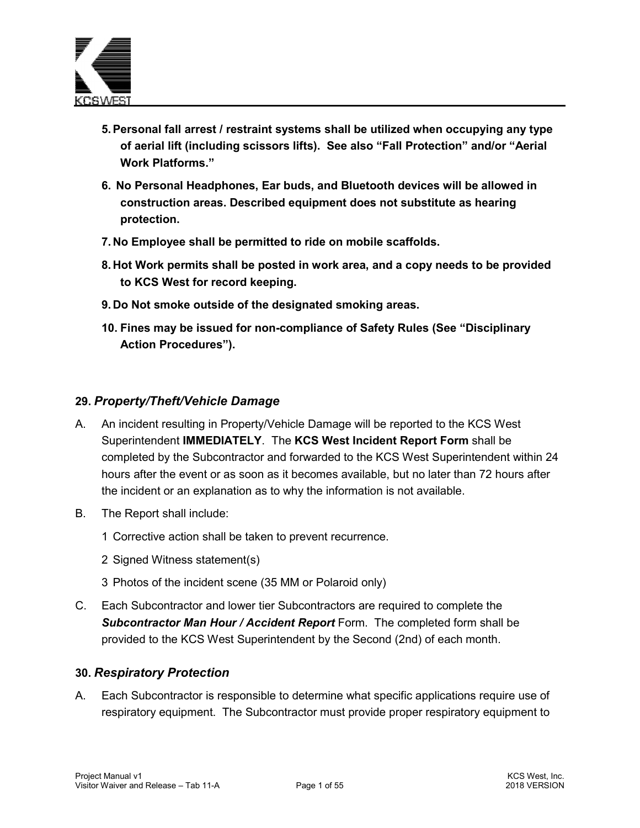

- **5. Personal fall arrest / restraint systems shall be utilized when occupying any type of aerial lift (including scissors lifts). See also "Fall Protection" and/or "Aerial Work Platforms."**
- **6. No Personal Headphones, Ear buds, and Bluetooth devices will be allowed in construction areas. Described equipment does not substitute as hearing protection.**
- **7. No Employee shall be permitted to ride on mobile scaffolds.**
- **8. Hot Work permits shall be posted in work area, and a copy needs to be provided to KCS West for record keeping.**
- **9. Do Not smoke outside of the designated smoking areas.**
- **10. Fines may be issued for non-compliance of Safety Rules (See "Disciplinary Action Procedures").**

# **29.** *Property/Theft/Vehicle Damage*

- A. An incident resulting in Property/Vehicle Damage will be reported to the KCS West Superintendent **IMMEDIATELY**. The **KCS West Incident Report Form** shall be completed by the Subcontractor and forwarded to the KCS West Superintendent within 24 hours after the event or as soon as it becomes available, but no later than 72 hours after the incident or an explanation as to why the information is not available.
- B. The Report shall include:
	- 1 Corrective action shall be taken to prevent recurrence.
	- 2 Signed Witness statement(s)
	- 3 Photos of the incident scene (35 MM or Polaroid only)
- C. Each Subcontractor and lower tier Subcontractors are required to complete the *Subcontractor Man Hour / Accident Report* Form. The completed form shall be provided to the KCS West Superintendent by the Second (2nd) of each month.

#### **30.** *Respiratory Protection*

A. Each Subcontractor is responsible to determine what specific applications require use of respiratory equipment. The Subcontractor must provide proper respiratory equipment to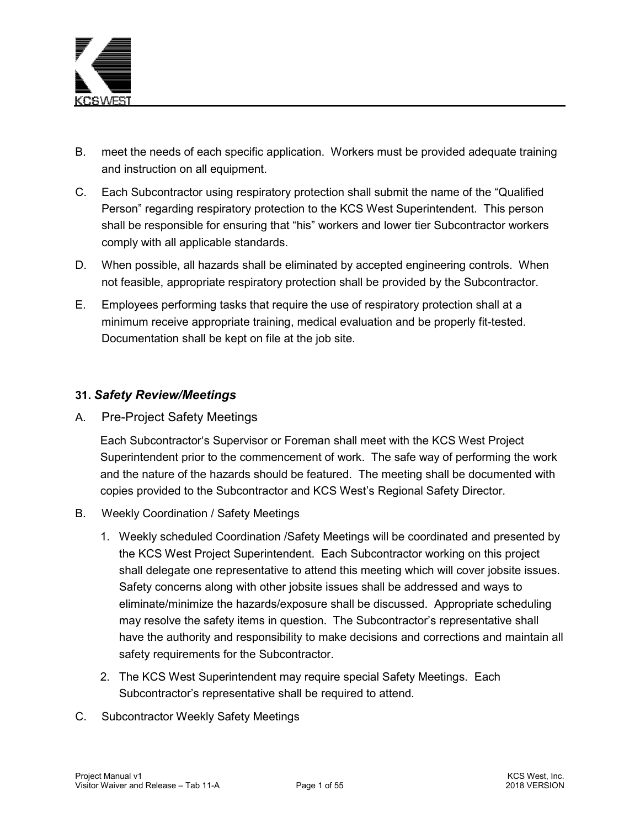

- B. meet the needs of each specific application. Workers must be provided adequate training and instruction on all equipment.
- C. Each Subcontractor using respiratory protection shall submit the name of the "Qualified Person" regarding respiratory protection to the KCS West Superintendent. This person shall be responsible for ensuring that "his" workers and lower tier Subcontractor workers comply with all applicable standards.
- D. When possible, all hazards shall be eliminated by accepted engineering controls. When not feasible, appropriate respiratory protection shall be provided by the Subcontractor.
- E. Employees performing tasks that require the use of respiratory protection shall at a minimum receive appropriate training, medical evaluation and be properly fit-tested. Documentation shall be kept on file at the job site.

#### **31.** *Safety Review/Meetings*

A. Pre-Project Safety Meetings

Each Subcontractor's Supervisor or Foreman shall meet with the KCS West Project Superintendent prior to the commencement of work. The safe way of performing the work and the nature of the hazards should be featured. The meeting shall be documented with copies provided to the Subcontractor and KCS West's Regional Safety Director.

- B. Weekly Coordination / Safety Meetings
	- 1. Weekly scheduled Coordination /Safety Meetings will be coordinated and presented by the KCS West Project Superintendent. Each Subcontractor working on this project shall delegate one representative to attend this meeting which will cover jobsite issues. Safety concerns along with other jobsite issues shall be addressed and ways to eliminate/minimize the hazards/exposure shall be discussed. Appropriate scheduling may resolve the safety items in question. The Subcontractor's representative shall have the authority and responsibility to make decisions and corrections and maintain all safety requirements for the Subcontractor.
	- 2. The KCS West Superintendent may require special Safety Meetings. Each Subcontractor's representative shall be required to attend.
- C. Subcontractor Weekly Safety Meetings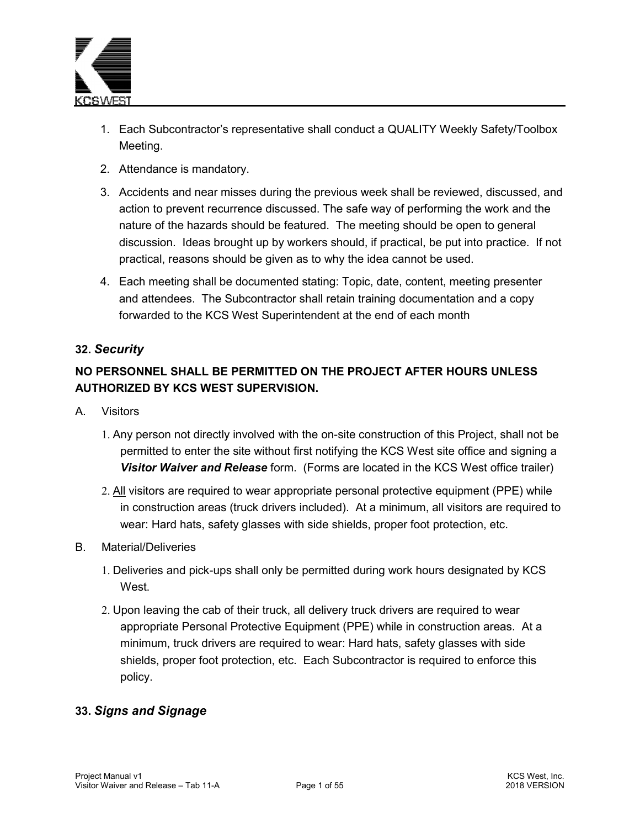

- 1. Each Subcontractor's representative shall conduct a QUALITY Weekly Safety/Toolbox Meeting.
- 2. Attendance is mandatory.
- 3. Accidents and near misses during the previous week shall be reviewed, discussed, and action to prevent recurrence discussed. The safe way of performing the work and the nature of the hazards should be featured. The meeting should be open to general discussion. Ideas brought up by workers should, if practical, be put into practice. If not practical, reasons should be given as to why the idea cannot be used.
- 4. Each meeting shall be documented stating: Topic, date, content, meeting presenter and attendees. The Subcontractor shall retain training documentation and a copy forwarded to the KCS West Superintendent at the end of each month

# **32.** *Security*

# **NO PERSONNEL SHALL BE PERMITTED ON THE PROJECT AFTER HOURS UNLESS AUTHORIZED BY KCS WEST SUPERVISION.**

- A. Visitors
	- 1. Any person not directly involved with the on-site construction of this Project, shall not be permitted to enter the site without first notifying the KCS West site office and signing a *Visitor Waiver and Release* form. (Forms are located in the KCS West office trailer)
	- 2. All visitors are required to wear appropriate personal protective equipment (PPE) while in construction areas (truck drivers included). At a minimum, all visitors are required to wear: Hard hats, safety glasses with side shields, proper foot protection, etc.
- B. Material/Deliveries
	- 1. Deliveries and pick-ups shall only be permitted during work hours designated by KCS West.
	- 2. Upon leaving the cab of their truck, all delivery truck drivers are required to wear appropriate Personal Protective Equipment (PPE) while in construction areas. At a minimum, truck drivers are required to wear: Hard hats, safety glasses with side shields, proper foot protection, etc. Each Subcontractor is required to enforce this policy.

# **33.** *Signs and Signage*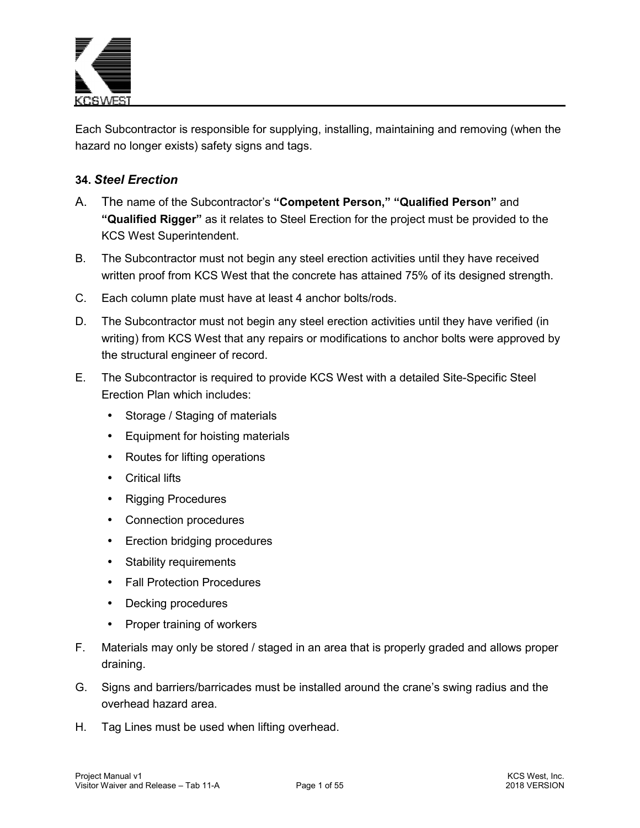

Each Subcontractor is responsible for supplying, installing, maintaining and removing (when the hazard no longer exists) safety signs and tags.

### **34.** *Steel Erection*

- A. The name of the Subcontractor's **"Competent Person," "Qualified Person"** and **"Qualified Rigger"** as it relates to Steel Erection for the project must be provided to the KCS West Superintendent.
- B. The Subcontractor must not begin any steel erection activities until they have received written proof from KCS West that the concrete has attained 75% of its designed strength.
- C. Each column plate must have at least 4 anchor bolts/rods.
- D. The Subcontractor must not begin any steel erection activities until they have verified (in writing) from KCS West that any repairs or modifications to anchor bolts were approved by the structural engineer of record.
- E. The Subcontractor is required to provide KCS West with a detailed Site-Specific Steel Erection Plan which includes:
	- Storage / Staging of materials
	- Equipment for hoisting materials
	- Routes for lifting operations
	- Critical lifts
	- Rigging Procedures
	- Connection procedures
	- Erection bridging procedures
	- Stability requirements
	- Fall Protection Procedures
	- Decking procedures
	- Proper training of workers
- F. Materials may only be stored / staged in an area that is properly graded and allows proper draining.
- G. Signs and barriers/barricades must be installed around the crane's swing radius and the overhead hazard area.
- H. Tag Lines must be used when lifting overhead.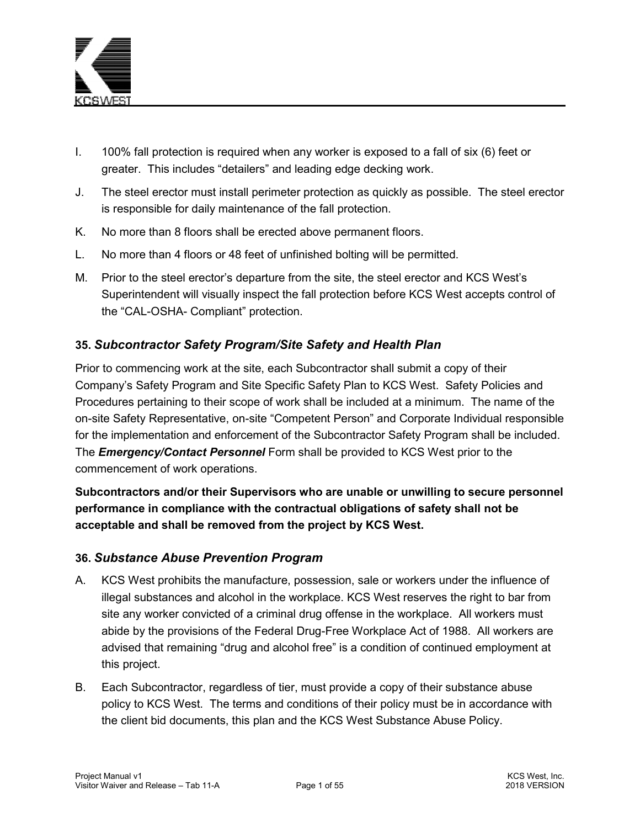

- I. 100% fall protection is required when any worker is exposed to a fall of six (6) feet or greater. This includes "detailers" and leading edge decking work.
- J. The steel erector must install perimeter protection as quickly as possible. The steel erector is responsible for daily maintenance of the fall protection.
- K. No more than 8 floors shall be erected above permanent floors.
- L. No more than 4 floors or 48 feet of unfinished bolting will be permitted.
- M. Prior to the steel erector's departure from the site, the steel erector and KCS West's Superintendent will visually inspect the fall protection before KCS West accepts control of the "CAL-OSHA- Compliant" protection.

# **35.** *Subcontractor Safety Program/Site Safety and Health Plan*

Prior to commencing work at the site, each Subcontractor shall submit a copy of their Company's Safety Program and Site Specific Safety Plan to KCS West. Safety Policies and Procedures pertaining to their scope of work shall be included at a minimum. The name of the on-site Safety Representative, on-site "Competent Person" and Corporate Individual responsible for the implementation and enforcement of the Subcontractor Safety Program shall be included. The *Emergency/Contact Personnel* Form shall be provided to KCS West prior to the commencement of work operations.

**Subcontractors and/or their Supervisors who are unable or unwilling to secure personnel performance in compliance with the contractual obligations of safety shall not be acceptable and shall be removed from the project by KCS West.** 

#### **36.** *Substance Abuse Prevention Program*

- A. KCS West prohibits the manufacture, possession, sale or workers under the influence of illegal substances and alcohol in the workplace. KCS West reserves the right to bar from site any worker convicted of a criminal drug offense in the workplace. All workers must abide by the provisions of the Federal Drug-Free Workplace Act of 1988. All workers are advised that remaining "drug and alcohol free" is a condition of continued employment at this project.
- B. Each Subcontractor, regardless of tier, must provide a copy of their substance abuse policy to KCS West. The terms and conditions of their policy must be in accordance with the client bid documents, this plan and the KCS West Substance Abuse Policy.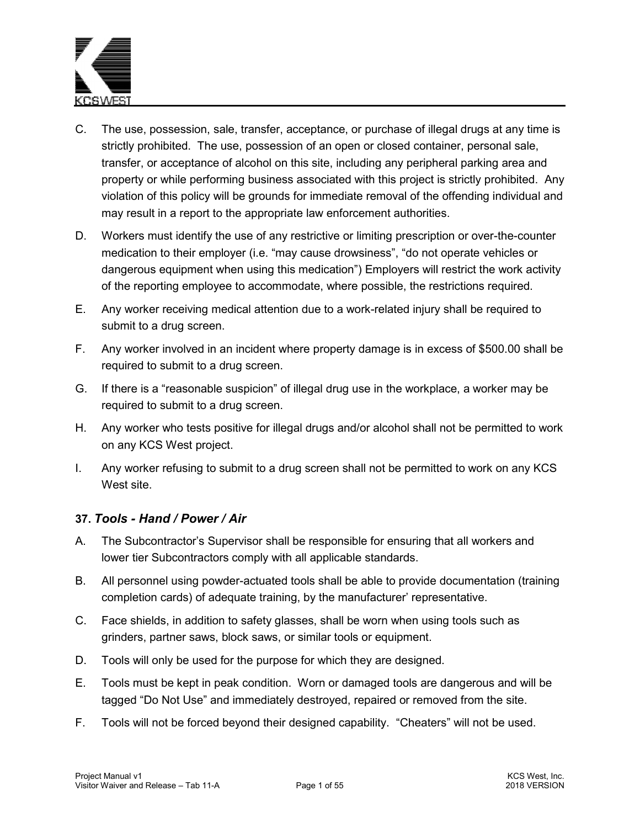

- C. The use, possession, sale, transfer, acceptance, or purchase of illegal drugs at any time is strictly prohibited. The use, possession of an open or closed container, personal sale, transfer, or acceptance of alcohol on this site, including any peripheral parking area and property or while performing business associated with this project is strictly prohibited. Any violation of this policy will be grounds for immediate removal of the offending individual and may result in a report to the appropriate law enforcement authorities.
- D. Workers must identify the use of any restrictive or limiting prescription or over-the-counter medication to their employer (i.e. "may cause drowsiness", "do not operate vehicles or dangerous equipment when using this medication") Employers will restrict the work activity of the reporting employee to accommodate, where possible, the restrictions required.
- E. Any worker receiving medical attention due to a work-related injury shall be required to submit to a drug screen.
- F. Any worker involved in an incident where property damage is in excess of \$500.00 shall be required to submit to a drug screen.
- G. If there is a "reasonable suspicion" of illegal drug use in the workplace, a worker may be required to submit to a drug screen.
- H. Any worker who tests positive for illegal drugs and/or alcohol shall not be permitted to work on any KCS West project.
- I. Any worker refusing to submit to a drug screen shall not be permitted to work on any KCS West site.

#### **37.** *Tools - Hand / Power / Air*

- A. The Subcontractor's Supervisor shall be responsible for ensuring that all workers and lower tier Subcontractors comply with all applicable standards.
- B. All personnel using powder-actuated tools shall be able to provide documentation (training completion cards) of adequate training, by the manufacturer' representative.
- C. Face shields, in addition to safety glasses, shall be worn when using tools such as grinders, partner saws, block saws, or similar tools or equipment.
- D. Tools will only be used for the purpose for which they are designed.
- E. Tools must be kept in peak condition. Worn or damaged tools are dangerous and will be tagged "Do Not Use" and immediately destroyed, repaired or removed from the site.
- F. Tools will not be forced beyond their designed capability. "Cheaters" will not be used.